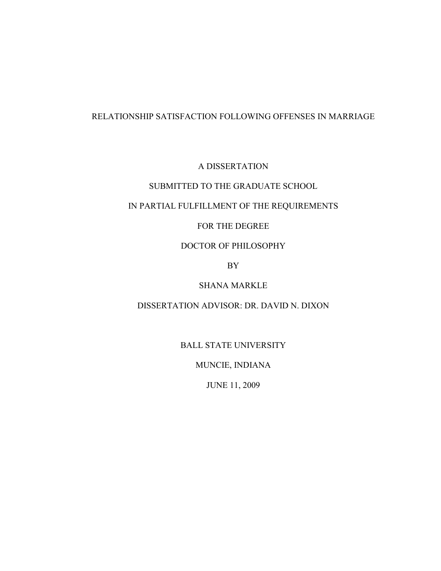# RELATIONSHIP SATISFACTION FOLLOWING OFFENSES IN MARRIAGE

A DISSERTATION

# SUBMITTED TO THE GRADUATE SCHOOL

# IN PARTIAL FULFILLMENT OF THE REQUIREMENTS

# FOR THE DEGREE

# DOCTOR OF PHILOSOPHY

BY

# SHANA MARKLE

# DISSERTATION ADVISOR: DR. DAVID N. DIXON

BALL STATE UNIVERSITY

MUNCIE, INDIANA

JUNE 11, 2009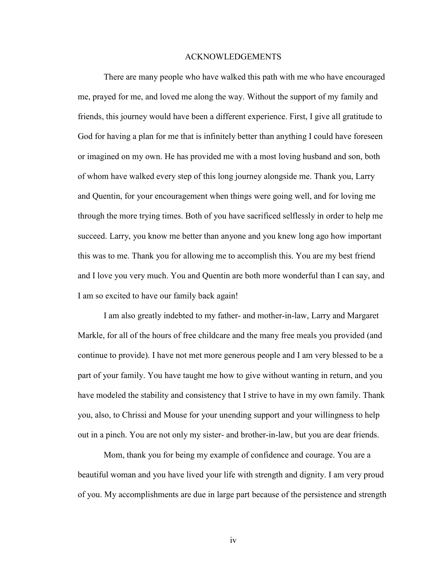#### ACKNOWLEDGEMENTS

 There are many people who have walked this path with me who have encouraged me, prayed for me, and loved me along the way. Without the support of my family and friends, this journey would have been a different experience. First, I give all gratitude to God for having a plan for me that is infinitely better than anything I could have foreseen or imagined on my own. He has provided me with a most loving husband and son, both of whom have walked every step of this long journey alongside me. Thank you, Larry and Quentin, for your encouragement when things were going well, and for loving me through the more trying times. Both of you have sacrificed selflessly in order to help me succeed. Larry, you know me better than anyone and you knew long ago how important this was to me. Thank you for allowing me to accomplish this. You are my best friend and I love you very much. You and Quentin are both more wonderful than I can say, and I am so excited to have our family back again!

I am also greatly indebted to my father- and mother-in-law, Larry and Margaret Markle, for all of the hours of free childcare and the many free meals you provided (and continue to provide). I have not met more generous people and I am very blessed to be a part of your family. You have taught me how to give without wanting in return, and you have modeled the stability and consistency that I strive to have in my own family. Thank you, also, to Chrissi and Mouse for your unending support and your willingness to help out in a pinch. You are not only my sister- and brother-in-law, but you are dear friends.

Mom, thank you for being my example of confidence and courage. You are a beautiful woman and you have lived your life with strength and dignity. I am very proud of you. My accomplishments are due in large part because of the persistence and strength

iv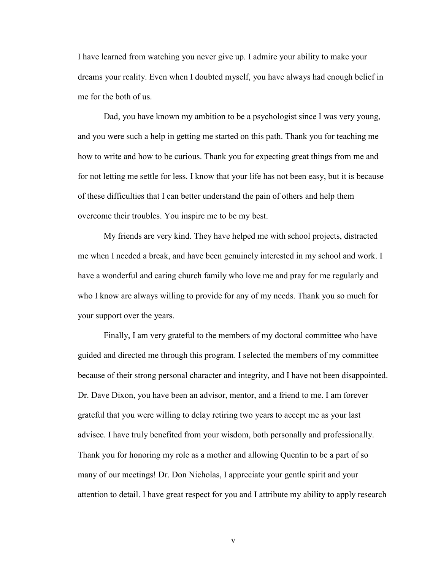I have learned from watching you never give up. I admire your ability to make your dreams your reality. Even when I doubted myself, you have always had enough belief in me for the both of us.

Dad, you have known my ambition to be a psychologist since I was very young, and you were such a help in getting me started on this path. Thank you for teaching me how to write and how to be curious. Thank you for expecting great things from me and for not letting me settle for less. I know that your life has not been easy, but it is because of these difficulties that I can better understand the pain of others and help them overcome their troubles. You inspire me to be my best.

My friends are very kind. They have helped me with school projects, distracted me when I needed a break, and have been genuinely interested in my school and work. I have a wonderful and caring church family who love me and pray for me regularly and who I know are always willing to provide for any of my needs. Thank you so much for your support over the years.

Finally, I am very grateful to the members of my doctoral committee who have guided and directed me through this program. I selected the members of my committee because of their strong personal character and integrity, and I have not been disappointed. Dr. Dave Dixon, you have been an advisor, mentor, and a friend to me. I am forever grateful that you were willing to delay retiring two years to accept me as your last advisee. I have truly benefited from your wisdom, both personally and professionally. Thank you for honoring my role as a mother and allowing Quentin to be a part of so many of our meetings! Dr. Don Nicholas, I appreciate your gentle spirit and your attention to detail. I have great respect for you and I attribute my ability to apply research

v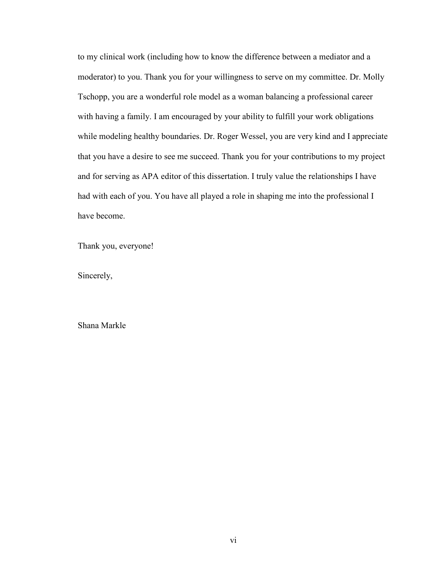to my clinical work (including how to know the difference between a mediator and a moderator) to you. Thank you for your willingness to serve on my committee. Dr. Molly Tschopp, you are a wonderful role model as a woman balancing a professional career with having a family. I am encouraged by your ability to fulfill your work obligations while modeling healthy boundaries. Dr. Roger Wessel, you are very kind and I appreciate that you have a desire to see me succeed. Thank you for your contributions to my project and for serving as APA editor of this dissertation. I truly value the relationships I have had with each of you. You have all played a role in shaping me into the professional I have become.

Thank you, everyone!

Sincerely,

Shana Markle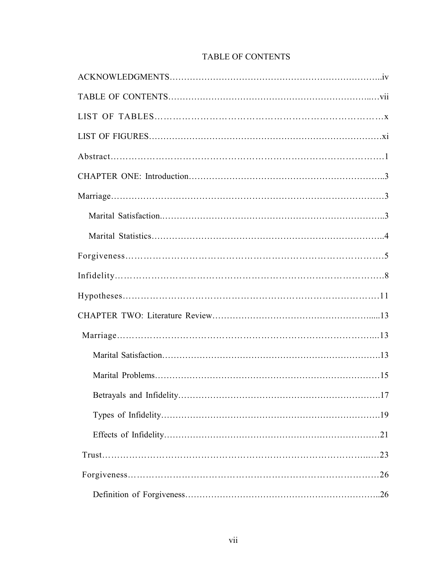| <b>TABLE OF CONTENTS</b> |  |
|--------------------------|--|
|--------------------------|--|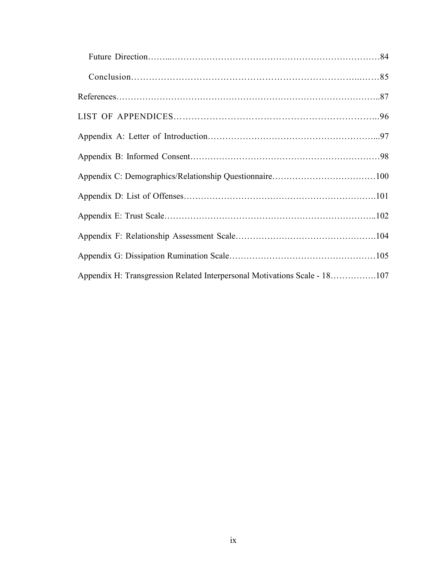| Appendix H: Transgression Related Interpersonal Motivations Scale - 18107 |  |
|---------------------------------------------------------------------------|--|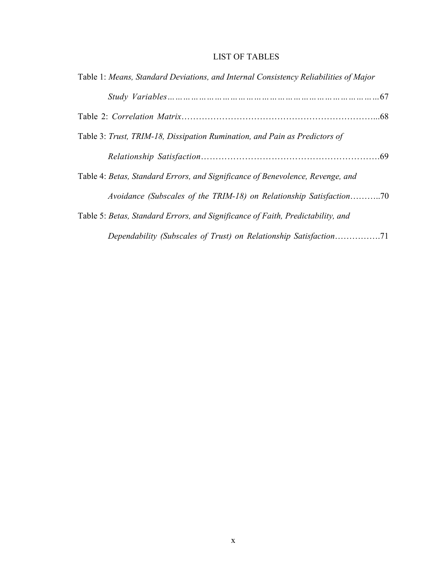## LIST OF TABLES

| Table 1: Means, Standard Deviations, and Internal Consistency Reliabilities of Major |
|--------------------------------------------------------------------------------------|
|                                                                                      |
|                                                                                      |
| Table 3: Trust, TRIM-18, Dissipation Rumination, and Pain as Predictors of           |
|                                                                                      |
| Table 4: Betas, Standard Errors, and Significance of Benevolence, Revenge, and       |
| Avoidance (Subscales of the TRIM-18) on Relationship Satisfaction70                  |
| Table 5: Betas, Standard Errors, and Significance of Faith, Predictability, and      |
|                                                                                      |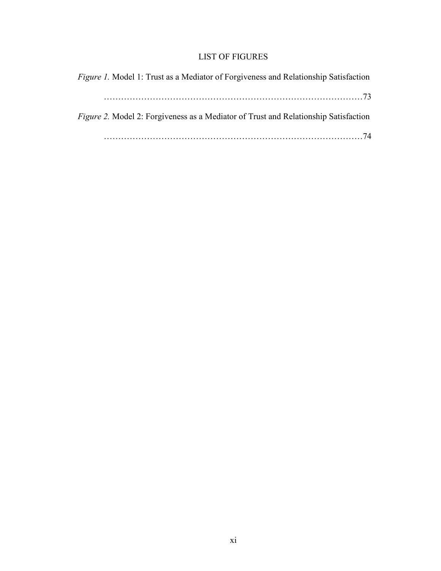# LIST OF FIGURES

| <i>Figure 1.</i> Model 1: Trust as a Mediator of Forgiveness and Relationship Satisfaction |
|--------------------------------------------------------------------------------------------|
|                                                                                            |
| Figure 2. Model 2: Forgiveness as a Mediator of Trust and Relationship Satisfaction        |
|                                                                                            |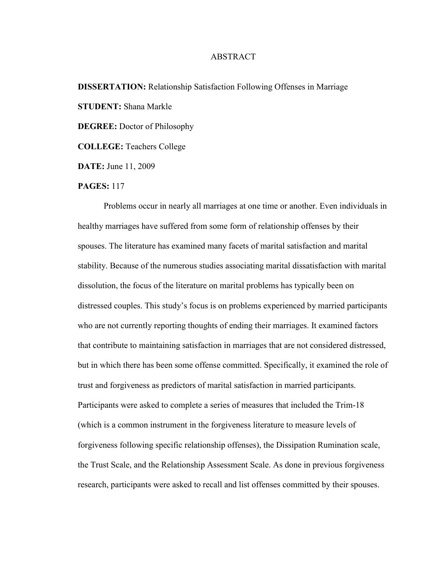## ABSTRACT

# **DISSERTATION:** Relationship Satisfaction Following Offenses in Marriage **STUDENT:** Shana Markle **DEGREE:** Doctor of Philosophy **COLLEGE:** Teachers College **DATE:** June 11, 2009

#### **PAGES:** 117

 Problems occur in nearly all marriages at one time or another. Even individuals in healthy marriages have suffered from some form of relationship offenses by their spouses. The literature has examined many facets of marital satisfaction and marital stability. Because of the numerous studies associating marital dissatisfaction with marital dissolution, the focus of the literature on marital problems has typically been on distressed couples. This study's focus is on problems experienced by married participants who are not currently reporting thoughts of ending their marriages. It examined factors that contribute to maintaining satisfaction in marriages that are not considered distressed, but in which there has been some offense committed. Specifically, it examined the role of trust and forgiveness as predictors of marital satisfaction in married participants. Participants were asked to complete a series of measures that included the Trim-18 (which is a common instrument in the forgiveness literature to measure levels of forgiveness following specific relationship offenses), the Dissipation Rumination scale, the Trust Scale, and the Relationship Assessment Scale. As done in previous forgiveness research, participants were asked to recall and list offenses committed by their spouses.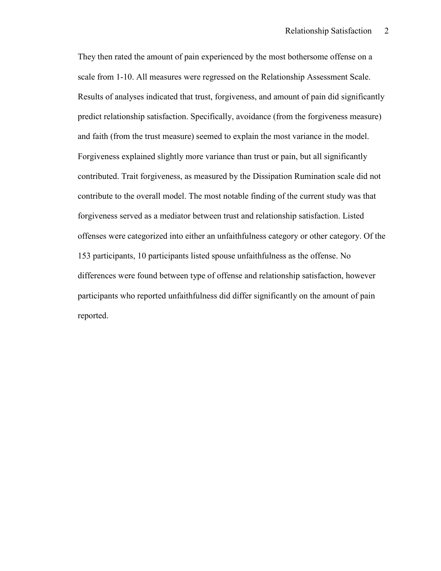They then rated the amount of pain experienced by the most bothersome offense on a scale from 1-10. All measures were regressed on the Relationship Assessment Scale. Results of analyses indicated that trust, forgiveness, and amount of pain did significantly predict relationship satisfaction. Specifically, avoidance (from the forgiveness measure) and faith (from the trust measure) seemed to explain the most variance in the model. Forgiveness explained slightly more variance than trust or pain, but all significantly contributed. Trait forgiveness, as measured by the Dissipation Rumination scale did not contribute to the overall model. The most notable finding of the current study was that forgiveness served as a mediator between trust and relationship satisfaction. Listed offenses were categorized into either an unfaithfulness category or other category. Of the 153 participants, 10 participants listed spouse unfaithfulness as the offense. No differences were found between type of offense and relationship satisfaction, however participants who reported unfaithfulness did differ significantly on the amount of pain reported.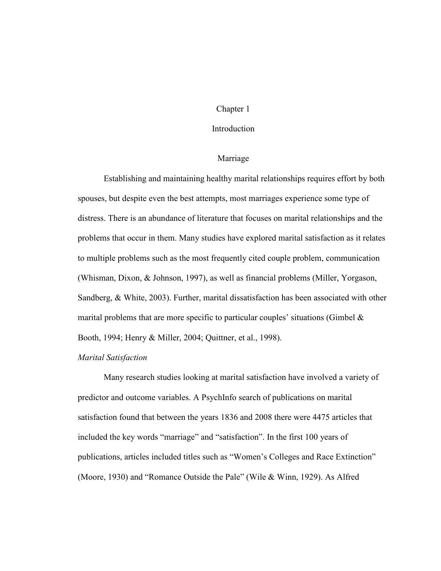## Chapter 1

#### Introduction

#### Marriage

 Establishing and maintaining healthy marital relationships requires effort by both spouses, but despite even the best attempts, most marriages experience some type of distress. There is an abundance of literature that focuses on marital relationships and the problems that occur in them. Many studies have explored marital satisfaction as it relates to multiple problems such as the most frequently cited couple problem, communication (Whisman, Dixon, & Johnson, 1997), as well as financial problems (Miller, Yorgason, Sandberg, & White, 2003). Further, marital dissatisfaction has been associated with other marital problems that are more specific to particular couples' situations (Gimbel  $\&$ Booth, 1994; Henry & Miller, 2004; Quittner, et al., 1998).

#### *Marital Satisfaction*

 Many research studies looking at marital satisfaction have involved a variety of predictor and outcome variables. A PsychInfo search of publications on marital satisfaction found that between the years 1836 and 2008 there were 4475 articles that included the key words "marriage" and "satisfaction". In the first 100 years of publications, articles included titles such as "Women's Colleges and Race Extinction" (Moore, 1930) and "Romance Outside the Pale" (Wile & Winn, 1929). As Alfred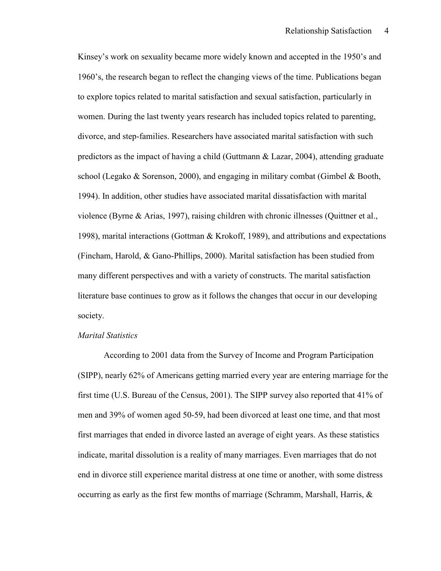Kinsey's work on sexuality became more widely known and accepted in the 1950's and 1960's, the research began to reflect the changing views of the time. Publications began to explore topics related to marital satisfaction and sexual satisfaction, particularly in women. During the last twenty years research has included topics related to parenting, divorce, and step-families. Researchers have associated marital satisfaction with such predictors as the impact of having a child (Guttmann & Lazar, 2004), attending graduate school (Legako & Sorenson, 2000), and engaging in military combat (Gimbel & Booth, 1994). In addition, other studies have associated marital dissatisfaction with marital violence (Byrne & Arias, 1997), raising children with chronic illnesses (Quittner et al., 1998), marital interactions (Gottman & Krokoff, 1989), and attributions and expectations (Fincham, Harold, & Gano-Phillips, 2000). Marital satisfaction has been studied from many different perspectives and with a variety of constructs. The marital satisfaction literature base continues to grow as it follows the changes that occur in our developing society.

#### *Marital Statistics*

 According to 2001 data from the Survey of Income and Program Participation (SIPP), nearly 62% of Americans getting married every year are entering marriage for the first time (U.S. Bureau of the Census, 2001). The SIPP survey also reported that 41% of men and 39% of women aged 50-59, had been divorced at least one time, and that most first marriages that ended in divorce lasted an average of eight years. As these statistics indicate, marital dissolution is a reality of many marriages. Even marriages that do not end in divorce still experience marital distress at one time or another, with some distress occurring as early as the first few months of marriage (Schramm, Marshall, Harris,  $\&$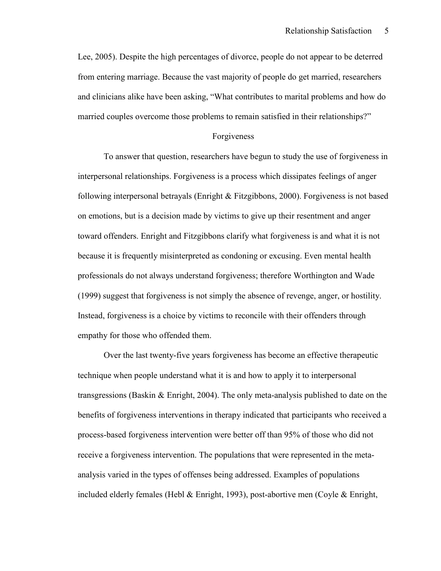Lee, 2005). Despite the high percentages of divorce, people do not appear to be deterred from entering marriage. Because the vast majority of people do get married, researchers and clinicians alike have been asking, "What contributes to marital problems and how do married couples overcome those problems to remain satisfied in their relationships?"

## Forgiveness

 To answer that question, researchers have begun to study the use of forgiveness in interpersonal relationships. Forgiveness is a process which dissipates feelings of anger following interpersonal betrayals (Enright & Fitzgibbons, 2000). Forgiveness is not based on emotions, but is a decision made by victims to give up their resentment and anger toward offenders. Enright and Fitzgibbons clarify what forgiveness is and what it is not because it is frequently misinterpreted as condoning or excusing. Even mental health professionals do not always understand forgiveness; therefore Worthington and Wade (1999) suggest that forgiveness is not simply the absence of revenge, anger, or hostility. Instead, forgiveness is a choice by victims to reconcile with their offenders through empathy for those who offended them.

Over the last twenty-five years forgiveness has become an effective therapeutic technique when people understand what it is and how to apply it to interpersonal transgressions (Baskin & Enright, 2004). The only meta-analysis published to date on the benefits of forgiveness interventions in therapy indicated that participants who received a process-based forgiveness intervention were better off than 95% of those who did not receive a forgiveness intervention. The populations that were represented in the metaanalysis varied in the types of offenses being addressed. Examples of populations included elderly females (Hebl & Enright, 1993), post-abortive men (Coyle & Enright,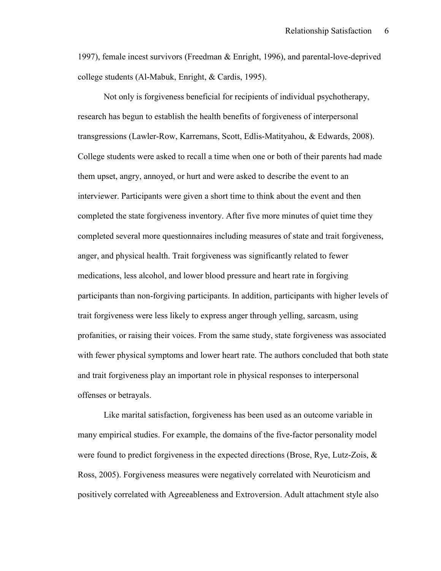1997), female incest survivors (Freedman & Enright, 1996), and parental-love-deprived college students (Al-Mabuk, Enright, & Cardis, 1995).

Not only is forgiveness beneficial for recipients of individual psychotherapy, research has begun to establish the health benefits of forgiveness of interpersonal transgressions (Lawler-Row, Karremans, Scott, Edlis-Matityahou, & Edwards, 2008). College students were asked to recall a time when one or both of their parents had made them upset, angry, annoyed, or hurt and were asked to describe the event to an interviewer. Participants were given a short time to think about the event and then completed the state forgiveness inventory. After five more minutes of quiet time they completed several more questionnaires including measures of state and trait forgiveness, anger, and physical health. Trait forgiveness was significantly related to fewer medications, less alcohol, and lower blood pressure and heart rate in forgiving participants than non-forgiving participants. In addition, participants with higher levels of trait forgiveness were less likely to express anger through yelling, sarcasm, using profanities, or raising their voices. From the same study, state forgiveness was associated with fewer physical symptoms and lower heart rate. The authors concluded that both state and trait forgiveness play an important role in physical responses to interpersonal offenses or betrayals.

 Like marital satisfaction, forgiveness has been used as an outcome variable in many empirical studies. For example, the domains of the five-factor personality model were found to predict forgiveness in the expected directions (Brose, Rye, Lutz-Zois, & Ross, 2005). Forgiveness measures were negatively correlated with Neuroticism and positively correlated with Agreeableness and Extroversion. Adult attachment style also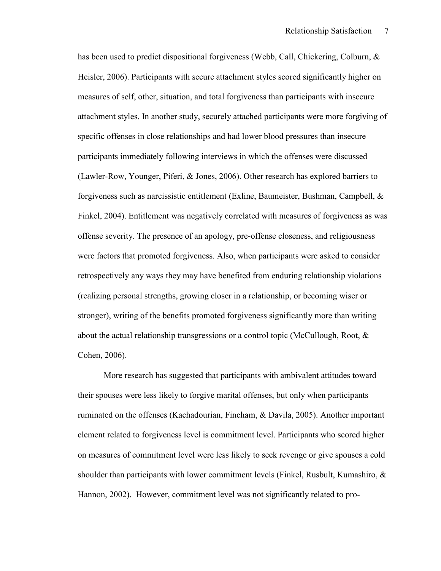has been used to predict dispositional forgiveness (Webb, Call, Chickering, Colburn, & Heisler, 2006). Participants with secure attachment styles scored significantly higher on measures of self, other, situation, and total forgiveness than participants with insecure attachment styles. In another study, securely attached participants were more forgiving of specific offenses in close relationships and had lower blood pressures than insecure participants immediately following interviews in which the offenses were discussed (Lawler-Row, Younger, Piferi, & Jones, 2006). Other research has explored barriers to forgiveness such as narcissistic entitlement (Exline, Baumeister, Bushman, Campbell, & Finkel, 2004). Entitlement was negatively correlated with measures of forgiveness as was offense severity. The presence of an apology, pre-offense closeness, and religiousness were factors that promoted forgiveness. Also, when participants were asked to consider retrospectively any ways they may have benefited from enduring relationship violations (realizing personal strengths, growing closer in a relationship, or becoming wiser or stronger), writing of the benefits promoted forgiveness significantly more than writing about the actual relationship transgressions or a control topic (McCullough, Root,  $\&$ Cohen, 2006).

 More research has suggested that participants with ambivalent attitudes toward their spouses were less likely to forgive marital offenses, but only when participants ruminated on the offenses (Kachadourian, Fincham, & Davila, 2005). Another important element related to forgiveness level is commitment level. Participants who scored higher on measures of commitment level were less likely to seek revenge or give spouses a cold shoulder than participants with lower commitment levels (Finkel, Rusbult, Kumashiro, & Hannon, 2002). However, commitment level was not significantly related to pro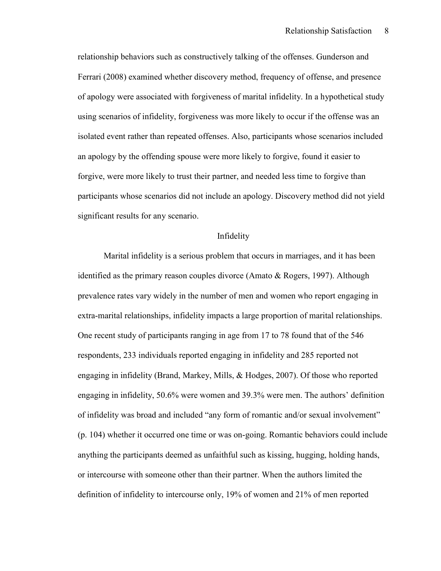relationship behaviors such as constructively talking of the offenses. Gunderson and Ferrari (2008) examined whether discovery method, frequency of offense, and presence of apology were associated with forgiveness of marital infidelity. In a hypothetical study using scenarios of infidelity, forgiveness was more likely to occur if the offense was an isolated event rather than repeated offenses. Also, participants whose scenarios included an apology by the offending spouse were more likely to forgive, found it easier to forgive, were more likely to trust their partner, and needed less time to forgive than participants whose scenarios did not include an apology. Discovery method did not yield significant results for any scenario.

#### Infidelity

Marital infidelity is a serious problem that occurs in marriages, and it has been identified as the primary reason couples divorce (Amato & Rogers, 1997). Although prevalence rates vary widely in the number of men and women who report engaging in extra-marital relationships, infidelity impacts a large proportion of marital relationships. One recent study of participants ranging in age from 17 to 78 found that of the 546 respondents, 233 individuals reported engaging in infidelity and 285 reported not engaging in infidelity (Brand, Markey, Mills, & Hodges, 2007). Of those who reported engaging in infidelity, 50.6% were women and 39.3% were men. The authors' definition of infidelity was broad and included "any form of romantic and/or sexual involvement" (p. 104) whether it occurred one time or was on-going. Romantic behaviors could include anything the participants deemed as unfaithful such as kissing, hugging, holding hands, or intercourse with someone other than their partner. When the authors limited the definition of infidelity to intercourse only, 19% of women and 21% of men reported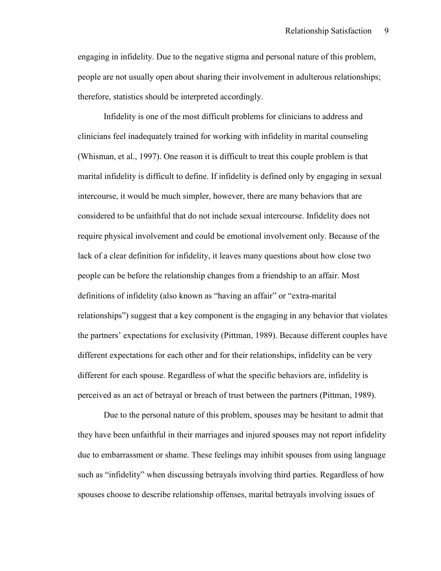engaging in infidelity. Due to the negative stigma and personal nature of this problem, people are not usually open about sharing their involvement in adulterous relationships; therefore, statistics should be interpreted accordingly.

Infidelity is one of the most difficult problems for clinicians to address and clinicians feel inadequately trained for working with infidelity in marital counseling (Whisman, et al., 1997). One reason it is difficult to treat this couple problem is that marital infidelity is difficult to define. If infidelity is defined only by engaging in sexual intercourse, it would be much simpler, however, there are many behaviors that are considered to be unfaithful that do not include sexual intercourse. Infidelity does not require physical involvement and could be emotional involvement only. Because of the lack of a clear definition for infidelity, it leaves many questions about how close two people can be before the relationship changes from a friendship to an affair. Most definitions of infidelity (also known as "having an affair" or "extra-marital relationships") suggest that a key component is the engaging in any behavior that violates the partners' expectations for exclusivity (Pittman, 1989). Because different couples have different expectations for each other and for their relationships, infidelity can be very different for each spouse. Regardless of what the specific behaviors are, infidelity is perceived as an act of betrayal or breach of trust between the partners (Pittman, 1989).

Due to the personal nature of this problem, spouses may be hesitant to admit that they have been unfaithful in their marriages and injured spouses may not report infidelity due to embarrassment or shame. These feelings may inhibit spouses from using language such as "infidelity" when discussing betrayals involving third parties. Regardless of how spouses choose to describe relationship offenses, marital betrayals involving issues of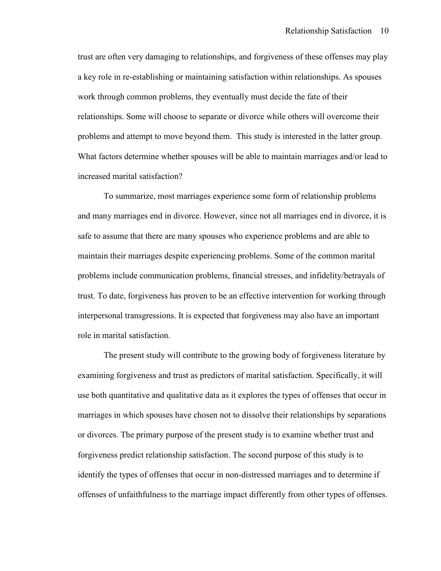trust are often very damaging to relationships, and forgiveness of these offenses may play a key role in re-establishing or maintaining satisfaction within relationships. As spouses work through common problems, they eventually must decide the fate of their relationships. Some will choose to separate or divorce while others will overcome their problems and attempt to move beyond them. This study is interested in the latter group. What factors determine whether spouses will be able to maintain marriages and/or lead to increased marital satisfaction?

 To summarize, most marriages experience some form of relationship problems and many marriages end in divorce. However, since not all marriages end in divorce, it is safe to assume that there are many spouses who experience problems and are able to maintain their marriages despite experiencing problems. Some of the common marital problems include communication problems, financial stresses, and infidelity/betrayals of trust. To date, forgiveness has proven to be an effective intervention for working through interpersonal transgressions. It is expected that forgiveness may also have an important role in marital satisfaction.

 The present study will contribute to the growing body of forgiveness literature by examining forgiveness and trust as predictors of marital satisfaction. Specifically, it will use both quantitative and qualitative data as it explores the types of offenses that occur in marriages in which spouses have chosen not to dissolve their relationships by separations or divorces. The primary purpose of the present study is to examine whether trust and forgiveness predict relationship satisfaction. The second purpose of this study is to identify the types of offenses that occur in non-distressed marriages and to determine if offenses of unfaithfulness to the marriage impact differently from other types of offenses.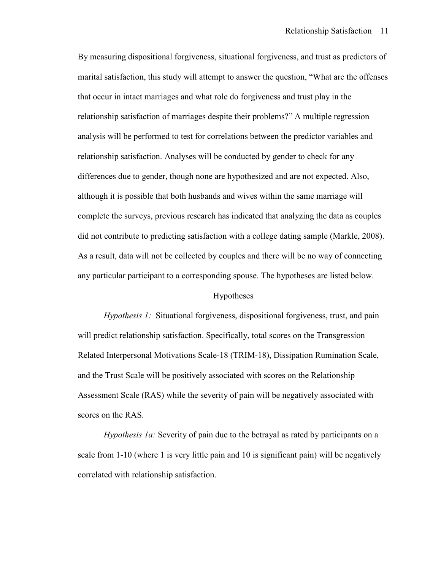By measuring dispositional forgiveness, situational forgiveness, and trust as predictors of marital satisfaction, this study will attempt to answer the question, "What are the offenses that occur in intact marriages and what role do forgiveness and trust play in the relationship satisfaction of marriages despite their problems?" A multiple regression analysis will be performed to test for correlations between the predictor variables and relationship satisfaction. Analyses will be conducted by gender to check for any differences due to gender, though none are hypothesized and are not expected. Also, although it is possible that both husbands and wives within the same marriage will complete the surveys, previous research has indicated that analyzing the data as couples did not contribute to predicting satisfaction with a college dating sample (Markle, 2008). As a result, data will not be collected by couples and there will be no way of connecting any particular participant to a corresponding spouse. The hypotheses are listed below.

#### Hypotheses

*Hypothesis 1:* Situational forgiveness, dispositional forgiveness, trust, and pain will predict relationship satisfaction. Specifically, total scores on the Transgression Related Interpersonal Motivations Scale-18 (TRIM-18), Dissipation Rumination Scale, and the Trust Scale will be positively associated with scores on the Relationship Assessment Scale (RAS) while the severity of pain will be negatively associated with scores on the RAS.

*Hypothesis 1a:* Severity of pain due to the betrayal as rated by participants on a scale from 1-10 (where 1 is very little pain and 10 is significant pain) will be negatively correlated with relationship satisfaction.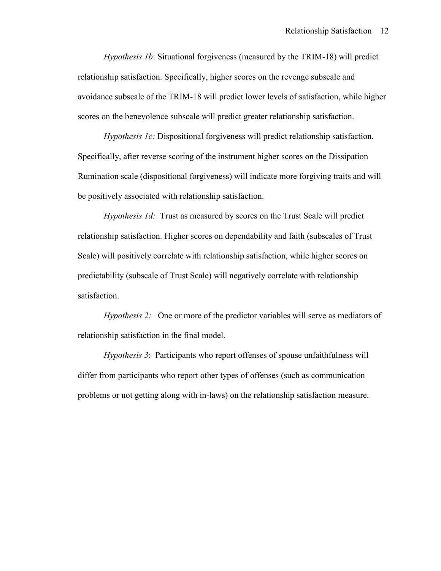*Hypothesis 1b*: Situational forgiveness (measured by the TRIM-18) will predict relationship satisfaction. Specifically, higher scores on the revenge subscale and avoidance subscale of the TRIM-18 will predict lower levels of satisfaction, while higher scores on the benevolence subscale will predict greater relationship satisfaction.

*Hypothesis 1c:* Dispositional forgiveness will predict relationship satisfaction. Specifically, after reverse scoring of the instrument higher scores on the Dissipation Rumination scale (dispositional forgiveness) will indicate more forgiving traits and will be positively associated with relationship satisfaction.

*Hypothesis 1d:* Trust as measured by scores on the Trust Scale will predict relationship satisfaction. Higher scores on dependability and faith (subscales of Trust Scale) will positively correlate with relationship satisfaction, while higher scores on predictability (subscale of Trust Scale) will negatively correlate with relationship satisfaction.

*Hypothesis 2:* One or more of the predictor variables will serve as mediators of relationship satisfaction in the final model.

 *Hypothesis 3*: Participants who report offenses of spouse unfaithfulness will differ from participants who report other types of offenses (such as communication problems or not getting along with in-laws) on the relationship satisfaction measure.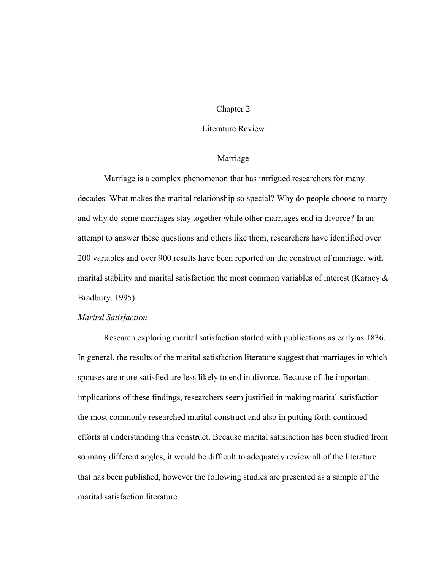## Chapter 2

## Literature Review

## Marriage

 Marriage is a complex phenomenon that has intrigued researchers for many decades. What makes the marital relationship so special? Why do people choose to marry and why do some marriages stay together while other marriages end in divorce? In an attempt to answer these questions and others like them, researchers have identified over 200 variables and over 900 results have been reported on the construct of marriage, with marital stability and marital satisfaction the most common variables of interest (Karney & Bradbury, 1995).

#### *Marital Satisfaction*

 Research exploring marital satisfaction started with publications as early as 1836. In general, the results of the marital satisfaction literature suggest that marriages in which spouses are more satisfied are less likely to end in divorce. Because of the important implications of these findings, researchers seem justified in making marital satisfaction the most commonly researched marital construct and also in putting forth continued efforts at understanding this construct. Because marital satisfaction has been studied from so many different angles, it would be difficult to adequately review all of the literature that has been published, however the following studies are presented as a sample of the marital satisfaction literature.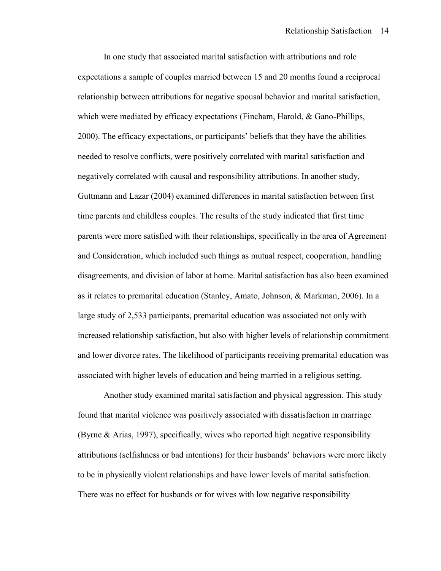In one study that associated marital satisfaction with attributions and role expectations a sample of couples married between 15 and 20 months found a reciprocal relationship between attributions for negative spousal behavior and marital satisfaction, which were mediated by efficacy expectations (Fincham, Harold, & Gano-Phillips, 2000). The efficacy expectations, or participants' beliefs that they have the abilities needed to resolve conflicts, were positively correlated with marital satisfaction and negatively correlated with causal and responsibility attributions. In another study, Guttmann and Lazar (2004) examined differences in marital satisfaction between first time parents and childless couples. The results of the study indicated that first time parents were more satisfied with their relationships, specifically in the area of Agreement and Consideration, which included such things as mutual respect, cooperation, handling disagreements, and division of labor at home. Marital satisfaction has also been examined as it relates to premarital education (Stanley, Amato, Johnson, & Markman, 2006). In a large study of 2,533 participants, premarital education was associated not only with increased relationship satisfaction, but also with higher levels of relationship commitment and lower divorce rates. The likelihood of participants receiving premarital education was associated with higher levels of education and being married in a religious setting.

 Another study examined marital satisfaction and physical aggression. This study found that marital violence was positively associated with dissatisfaction in marriage (Byrne & Arias, 1997), specifically, wives who reported high negative responsibility attributions (selfishness or bad intentions) for their husbands' behaviors were more likely to be in physically violent relationships and have lower levels of marital satisfaction. There was no effect for husbands or for wives with low negative responsibility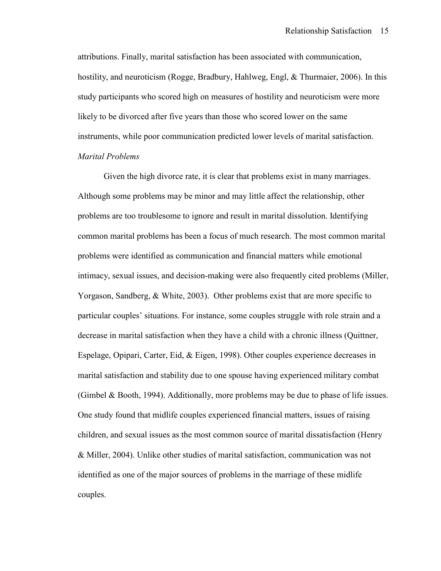attributions. Finally, marital satisfaction has been associated with communication, hostility, and neuroticism (Rogge, Bradbury, Hahlweg, Engl, & Thurmaier, 2006). In this study participants who scored high on measures of hostility and neuroticism were more likely to be divorced after five years than those who scored lower on the same instruments, while poor communication predicted lower levels of marital satisfaction. *Marital Problems* 

Given the high divorce rate, it is clear that problems exist in many marriages. Although some problems may be minor and may little affect the relationship, other problems are too troublesome to ignore and result in marital dissolution. Identifying common marital problems has been a focus of much research. The most common marital problems were identified as communication and financial matters while emotional intimacy, sexual issues, and decision-making were also frequently cited problems (Miller, Yorgason, Sandberg, & White, 2003). Other problems exist that are more specific to particular couples' situations. For instance, some couples struggle with role strain and a decrease in marital satisfaction when they have a child with a chronic illness (Quittner, Espelage, Opipari, Carter, Eid, & Eigen, 1998). Other couples experience decreases in marital satisfaction and stability due to one spouse having experienced military combat (Gimbel & Booth, 1994). Additionally, more problems may be due to phase of life issues. One study found that midlife couples experienced financial matters, issues of raising children, and sexual issues as the most common source of marital dissatisfaction (Henry & Miller, 2004). Unlike other studies of marital satisfaction, communication was not identified as one of the major sources of problems in the marriage of these midlife couples.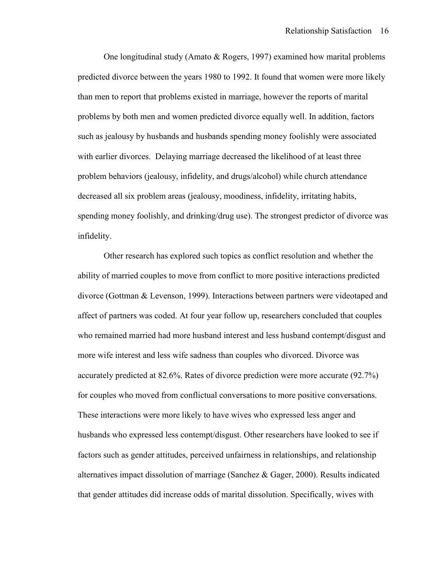One longitudinal study (Amato & Rogers, 1997) examined how marital problems predicted divorce between the years 1980 to 1992. It found that women were more likely than men to report that problems existed in marriage, however the reports of marital problems by both men and women predicted divorce equally well. In addition, factors such as jealousy by husbands and husbands spending money foolishly were associated with earlier divorces. Delaying marriage decreased the likelihood of at least three problem behaviors (jealousy, infidelity, and drugs/alcohol) while church attendance decreased all six problem areas (jealousy, moodiness, infidelity, irritating habits, spending money foolishly, and drinking/drug use). The strongest predictor of divorce was infidelity.

 Other research has explored such topics as conflict resolution and whether the ability of married couples to move from conflict to more positive interactions predicted divorce (Gottman & Levenson, 1999). Interactions between partners were videotaped and affect of partners was coded. At four year follow up, researchers concluded that couples who remained married had more husband interest and less husband contempt/disgust and more wife interest and less wife sadness than couples who divorced. Divorce was accurately predicted at 82.6%. Rates of divorce prediction were more accurate (92.7%) for couples who moved from conflictual conversations to more positive conversations. These interactions were more likely to have wives who expressed less anger and husbands who expressed less contempt/disgust. Other researchers have looked to see if factors such as gender attitudes, perceived unfairness in relationships, and relationship alternatives impact dissolution of marriage (Sanchez & Gager, 2000). Results indicated that gender attitudes did increase odds of marital dissolution. Specifically, wives with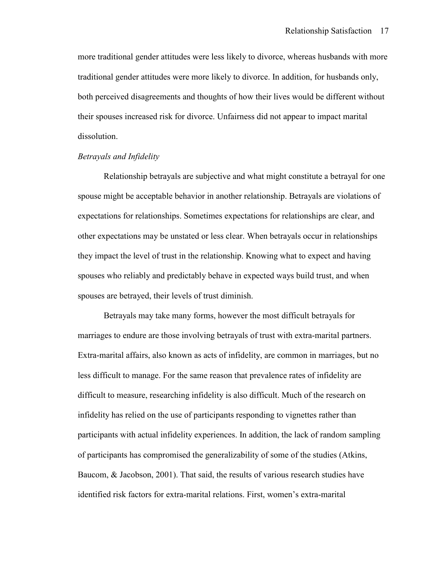more traditional gender attitudes were less likely to divorce, whereas husbands with more traditional gender attitudes were more likely to divorce. In addition, for husbands only, both perceived disagreements and thoughts of how their lives would be different without their spouses increased risk for divorce. Unfairness did not appear to impact marital dissolution.

#### *Betrayals and Infidelity*

 Relationship betrayals are subjective and what might constitute a betrayal for one spouse might be acceptable behavior in another relationship. Betrayals are violations of expectations for relationships. Sometimes expectations for relationships are clear, and other expectations may be unstated or less clear. When betrayals occur in relationships they impact the level of trust in the relationship. Knowing what to expect and having spouses who reliably and predictably behave in expected ways build trust, and when spouses are betrayed, their levels of trust diminish.

 Betrayals may take many forms, however the most difficult betrayals for marriages to endure are those involving betrayals of trust with extra-marital partners. Extra-marital affairs, also known as acts of infidelity, are common in marriages, but no less difficult to manage. For the same reason that prevalence rates of infidelity are difficult to measure, researching infidelity is also difficult. Much of the research on infidelity has relied on the use of participants responding to vignettes rather than participants with actual infidelity experiences. In addition, the lack of random sampling of participants has compromised the generalizability of some of the studies (Atkins, Baucom, & Jacobson, 2001). That said, the results of various research studies have identified risk factors for extra-marital relations. First, women's extra-marital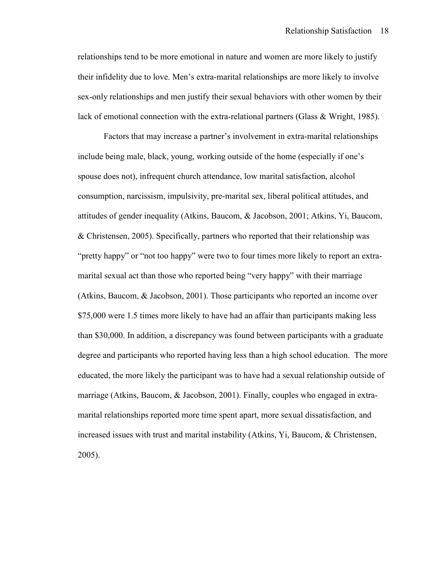relationships tend to be more emotional in nature and women are more likely to justify their infidelity due to love. Men's extra-marital relationships are more likely to involve sex-only relationships and men justify their sexual behaviors with other women by their lack of emotional connection with the extra-relational partners (Glass & Wright, 1985).

 Factors that may increase a partner's involvement in extra-marital relationships include being male, black, young, working outside of the home (especially if one's spouse does not), infrequent church attendance, low marital satisfaction, alcohol consumption, narcissism, impulsivity, pre-marital sex, liberal political attitudes, and attitudes of gender inequality (Atkins, Baucom, & Jacobson, 2001; Atkins, Yi, Baucom, & Christensen, 2005). Specifically, partners who reported that their relationship was "pretty happy" or "not too happy" were two to four times more likely to report an extramarital sexual act than those who reported being "very happy" with their marriage (Atkins, Baucom, & Jacobson, 2001). Those participants who reported an income over \$75,000 were 1.5 times more likely to have had an affair than participants making less than \$30,000. In addition, a discrepancy was found between participants with a graduate degree and participants who reported having less than a high school education. The more educated, the more likely the participant was to have had a sexual relationship outside of marriage (Atkins, Baucom, & Jacobson, 2001). Finally, couples who engaged in extramarital relationships reported more time spent apart, more sexual dissatisfaction, and increased issues with trust and marital instability (Atkins, Yi, Baucom, & Christensen, 2005).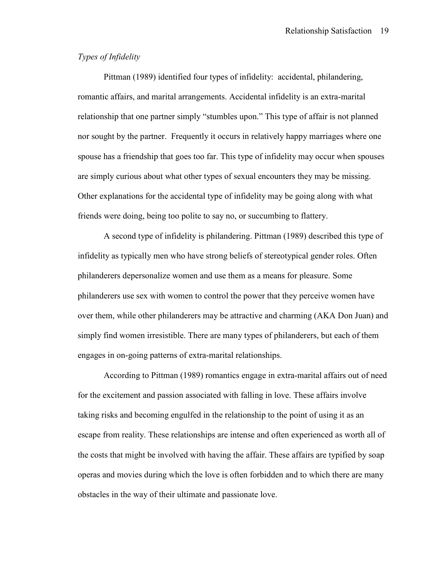## *Types of Infidelity*

 Pittman (1989) identified four types of infidelity: accidental, philandering, romantic affairs, and marital arrangements. Accidental infidelity is an extra-marital relationship that one partner simply "stumbles upon." This type of affair is not planned nor sought by the partner. Frequently it occurs in relatively happy marriages where one spouse has a friendship that goes too far. This type of infidelity may occur when spouses are simply curious about what other types of sexual encounters they may be missing. Other explanations for the accidental type of infidelity may be going along with what friends were doing, being too polite to say no, or succumbing to flattery.

 A second type of infidelity is philandering. Pittman (1989) described this type of infidelity as typically men who have strong beliefs of stereotypical gender roles. Often philanderers depersonalize women and use them as a means for pleasure. Some philanderers use sex with women to control the power that they perceive women have over them, while other philanderers may be attractive and charming (AKA Don Juan) and simply find women irresistible. There are many types of philanderers, but each of them engages in on-going patterns of extra-marital relationships.

 According to Pittman (1989) romantics engage in extra-marital affairs out of need for the excitement and passion associated with falling in love. These affairs involve taking risks and becoming engulfed in the relationship to the point of using it as an escape from reality. These relationships are intense and often experienced as worth all of the costs that might be involved with having the affair. These affairs are typified by soap operas and movies during which the love is often forbidden and to which there are many obstacles in the way of their ultimate and passionate love.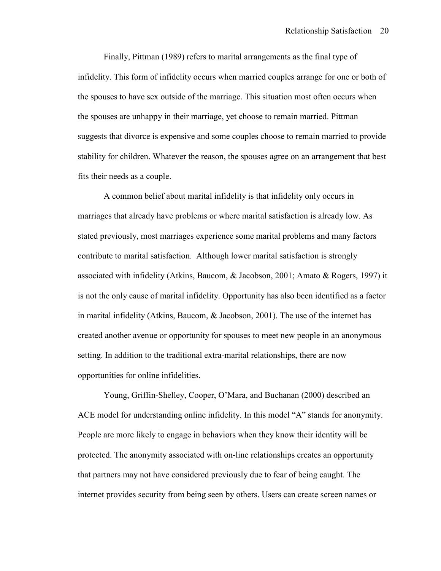Finally, Pittman (1989) refers to marital arrangements as the final type of infidelity. This form of infidelity occurs when married couples arrange for one or both of the spouses to have sex outside of the marriage. This situation most often occurs when the spouses are unhappy in their marriage, yet choose to remain married. Pittman suggests that divorce is expensive and some couples choose to remain married to provide stability for children. Whatever the reason, the spouses agree on an arrangement that best fits their needs as a couple.

A common belief about marital infidelity is that infidelity only occurs in marriages that already have problems or where marital satisfaction is already low. As stated previously, most marriages experience some marital problems and many factors contribute to marital satisfaction. Although lower marital satisfaction is strongly associated with infidelity (Atkins, Baucom, & Jacobson, 2001; Amato & Rogers, 1997) it is not the only cause of marital infidelity. Opportunity has also been identified as a factor in marital infidelity (Atkins, Baucom, & Jacobson, 2001). The use of the internet has created another avenue or opportunity for spouses to meet new people in an anonymous setting. In addition to the traditional extra-marital relationships, there are now opportunities for online infidelities.

 Young, Griffin-Shelley, Cooper, O'Mara, and Buchanan (2000) described an ACE model for understanding online infidelity. In this model "A" stands for anonymity. People are more likely to engage in behaviors when they know their identity will be protected. The anonymity associated with on-line relationships creates an opportunity that partners may not have considered previously due to fear of being caught. The internet provides security from being seen by others. Users can create screen names or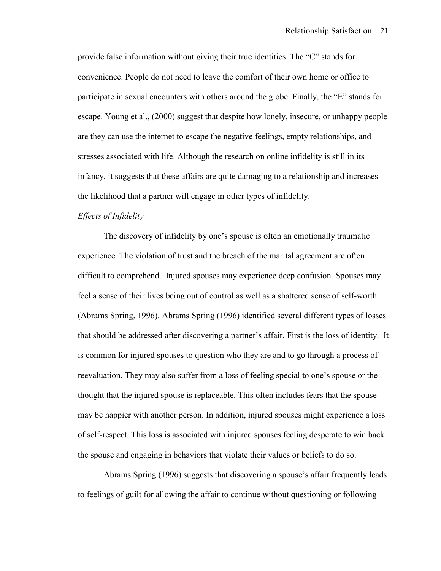provide false information without giving their true identities. The "C" stands for convenience. People do not need to leave the comfort of their own home or office to participate in sexual encounters with others around the globe. Finally, the "E" stands for escape. Young et al., (2000) suggest that despite how lonely, insecure, or unhappy people are they can use the internet to escape the negative feelings, empty relationships, and stresses associated with life. Although the research on online infidelity is still in its infancy, it suggests that these affairs are quite damaging to a relationship and increases the likelihood that a partner will engage in other types of infidelity.

## *Effects of Infidelity*

 The discovery of infidelity by one's spouse is often an emotionally traumatic experience. The violation of trust and the breach of the marital agreement are often difficult to comprehend. Injured spouses may experience deep confusion. Spouses may feel a sense of their lives being out of control as well as a shattered sense of self-worth (Abrams Spring, 1996). Abrams Spring (1996) identified several different types of losses that should be addressed after discovering a partner's affair. First is the loss of identity. It is common for injured spouses to question who they are and to go through a process of reevaluation. They may also suffer from a loss of feeling special to one's spouse or the thought that the injured spouse is replaceable. This often includes fears that the spouse may be happier with another person. In addition, injured spouses might experience a loss of self-respect. This loss is associated with injured spouses feeling desperate to win back the spouse and engaging in behaviors that violate their values or beliefs to do so.

 Abrams Spring (1996) suggests that discovering a spouse's affair frequently leads to feelings of guilt for allowing the affair to continue without questioning or following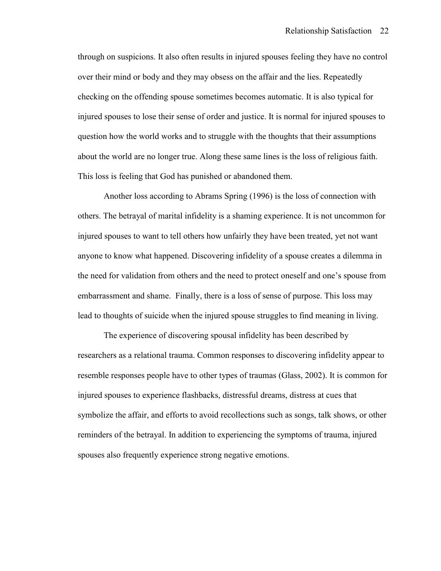through on suspicions. It also often results in injured spouses feeling they have no control over their mind or body and they may obsess on the affair and the lies. Repeatedly checking on the offending spouse sometimes becomes automatic. It is also typical for injured spouses to lose their sense of order and justice. It is normal for injured spouses to question how the world works and to struggle with the thoughts that their assumptions about the world are no longer true. Along these same lines is the loss of religious faith. This loss is feeling that God has punished or abandoned them.

 Another loss according to Abrams Spring (1996) is the loss of connection with others. The betrayal of marital infidelity is a shaming experience. It is not uncommon for injured spouses to want to tell others how unfairly they have been treated, yet not want anyone to know what happened. Discovering infidelity of a spouse creates a dilemma in the need for validation from others and the need to protect oneself and one's spouse from embarrassment and shame. Finally, there is a loss of sense of purpose. This loss may lead to thoughts of suicide when the injured spouse struggles to find meaning in living.

 The experience of discovering spousal infidelity has been described by researchers as a relational trauma. Common responses to discovering infidelity appear to resemble responses people have to other types of traumas (Glass, 2002). It is common for injured spouses to experience flashbacks, distressful dreams, distress at cues that symbolize the affair, and efforts to avoid recollections such as songs, talk shows, or other reminders of the betrayal. In addition to experiencing the symptoms of trauma, injured spouses also frequently experience strong negative emotions.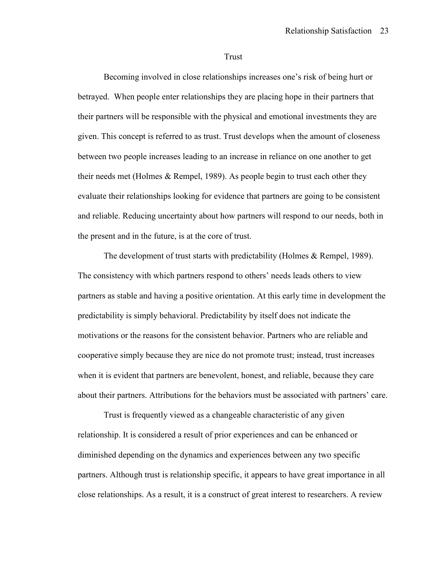#### Trust

 Becoming involved in close relationships increases one's risk of being hurt or betrayed. When people enter relationships they are placing hope in their partners that their partners will be responsible with the physical and emotional investments they are given. This concept is referred to as trust. Trust develops when the amount of closeness between two people increases leading to an increase in reliance on one another to get their needs met (Holmes & Rempel, 1989). As people begin to trust each other they evaluate their relationships looking for evidence that partners are going to be consistent and reliable. Reducing uncertainty about how partners will respond to our needs, both in the present and in the future, is at the core of trust.

The development of trust starts with predictability (Holmes & Rempel, 1989). The consistency with which partners respond to others' needs leads others to view partners as stable and having a positive orientation. At this early time in development the predictability is simply behavioral. Predictability by itself does not indicate the motivations or the reasons for the consistent behavior. Partners who are reliable and cooperative simply because they are nice do not promote trust; instead, trust increases when it is evident that partners are benevolent, honest, and reliable, because they care about their partners. Attributions for the behaviors must be associated with partners' care.

 Trust is frequently viewed as a changeable characteristic of any given relationship. It is considered a result of prior experiences and can be enhanced or diminished depending on the dynamics and experiences between any two specific partners. Although trust is relationship specific, it appears to have great importance in all close relationships. As a result, it is a construct of great interest to researchers. A review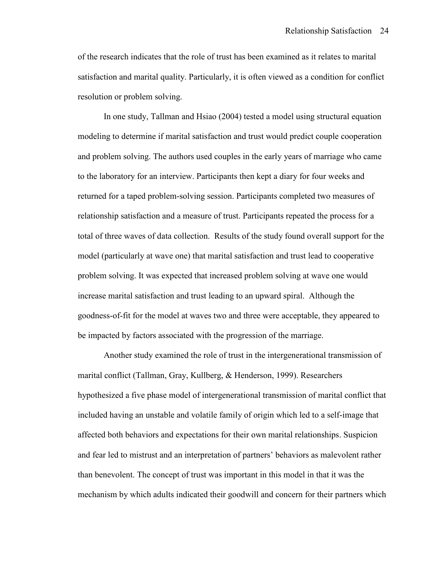of the research indicates that the role of trust has been examined as it relates to marital satisfaction and marital quality. Particularly, it is often viewed as a condition for conflict resolution or problem solving.

 In one study, Tallman and Hsiao (2004) tested a model using structural equation modeling to determine if marital satisfaction and trust would predict couple cooperation and problem solving. The authors used couples in the early years of marriage who came to the laboratory for an interview. Participants then kept a diary for four weeks and returned for a taped problem-solving session. Participants completed two measures of relationship satisfaction and a measure of trust. Participants repeated the process for a total of three waves of data collection. Results of the study found overall support for the model (particularly at wave one) that marital satisfaction and trust lead to cooperative problem solving. It was expected that increased problem solving at wave one would increase marital satisfaction and trust leading to an upward spiral. Although the goodness-of-fit for the model at waves two and three were acceptable, they appeared to be impacted by factors associated with the progression of the marriage.

 Another study examined the role of trust in the intergenerational transmission of marital conflict (Tallman, Gray, Kullberg, & Henderson, 1999). Researchers hypothesized a five phase model of intergenerational transmission of marital conflict that included having an unstable and volatile family of origin which led to a self-image that affected both behaviors and expectations for their own marital relationships. Suspicion and fear led to mistrust and an interpretation of partners' behaviors as malevolent rather than benevolent. The concept of trust was important in this model in that it was the mechanism by which adults indicated their goodwill and concern for their partners which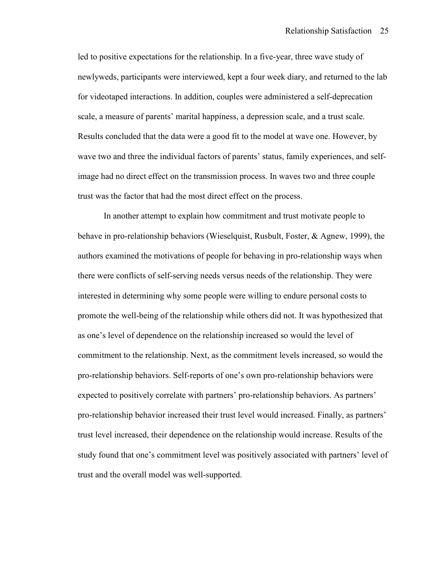led to positive expectations for the relationship. In a five-year, three wave study of newlyweds, participants were interviewed, kept a four week diary, and returned to the lab for videotaped interactions. In addition, couples were administered a self-deprecation scale, a measure of parents' marital happiness, a depression scale, and a trust scale. Results concluded that the data were a good fit to the model at wave one. However, by wave two and three the individual factors of parents' status, family experiences, and selfimage had no direct effect on the transmission process. In waves two and three couple trust was the factor that had the most direct effect on the process.

 In another attempt to explain how commitment and trust motivate people to behave in pro-relationship behaviors (Wieselquist, Rusbult, Foster, & Agnew, 1999), the authors examined the motivations of people for behaving in pro-relationship ways when there were conflicts of self-serving needs versus needs of the relationship. They were interested in determining why some people were willing to endure personal costs to promote the well-being of the relationship while others did not. It was hypothesized that as one's level of dependence on the relationship increased so would the level of commitment to the relationship. Next, as the commitment levels increased, so would the pro-relationship behaviors. Self-reports of one's own pro-relationship behaviors were expected to positively correlate with partners' pro-relationship behaviors. As partners' pro-relationship behavior increased their trust level would increased. Finally, as partners' trust level increased, their dependence on the relationship would increase. Results of the study found that one's commitment level was positively associated with partners' level of trust and the overall model was well-supported.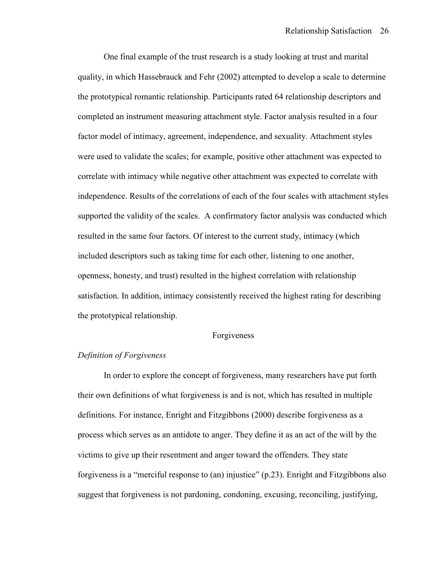One final example of the trust research is a study looking at trust and marital quality, in which Hassebrauck and Fehr (2002) attempted to develop a scale to determine the prototypical romantic relationship. Participants rated 64 relationship descriptors and completed an instrument measuring attachment style. Factor analysis resulted in a four factor model of intimacy, agreement, independence, and sexuality. Attachment styles were used to validate the scales; for example, positive other attachment was expected to correlate with intimacy while negative other attachment was expected to correlate with independence. Results of the correlations of each of the four scales with attachment styles supported the validity of the scales. A confirmatory factor analysis was conducted which resulted in the same four factors. Of interest to the current study, intimacy (which included descriptors such as taking time for each other, listening to one another, openness, honesty, and trust) resulted in the highest correlation with relationship satisfaction. In addition, intimacy consistently received the highest rating for describing the prototypical relationship.

#### Forgiveness

## *Definition of Forgiveness*

In order to explore the concept of forgiveness, many researchers have put forth their own definitions of what forgiveness is and is not, which has resulted in multiple definitions. For instance, Enright and Fitzgibbons (2000) describe forgiveness as a process which serves as an antidote to anger. They define it as an act of the will by the victims to give up their resentment and anger toward the offenders. They state forgiveness is a "merciful response to (an) injustice" (p.23). Enright and Fitzgibbons also suggest that forgiveness is not pardoning, condoning, excusing, reconciling, justifying,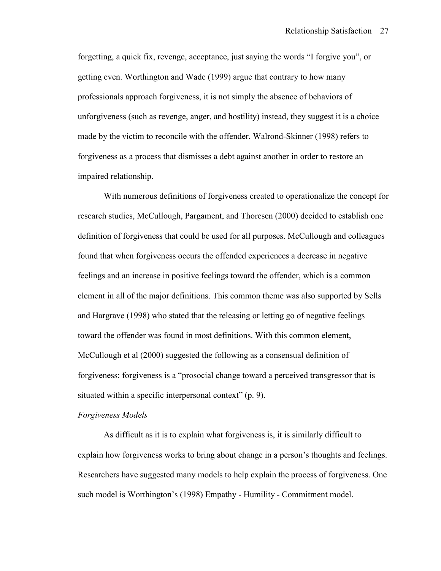forgetting, a quick fix, revenge, acceptance, just saying the words "I forgive you", or getting even. Worthington and Wade (1999) argue that contrary to how many professionals approach forgiveness, it is not simply the absence of behaviors of unforgiveness (such as revenge, anger, and hostility) instead, they suggest it is a choice made by the victim to reconcile with the offender. Walrond-Skinner (1998) refers to forgiveness as a process that dismisses a debt against another in order to restore an impaired relationship.

With numerous definitions of forgiveness created to operationalize the concept for research studies, McCullough, Pargament, and Thoresen (2000) decided to establish one definition of forgiveness that could be used for all purposes. McCullough and colleagues found that when forgiveness occurs the offended experiences a decrease in negative feelings and an increase in positive feelings toward the offender, which is a common element in all of the major definitions. This common theme was also supported by Sells and Hargrave (1998) who stated that the releasing or letting go of negative feelings toward the offender was found in most definitions. With this common element, McCullough et al (2000) suggested the following as a consensual definition of forgiveness: forgiveness is a "prosocial change toward a perceived transgressor that is situated within a specific interpersonal context" (p. 9).

#### *Forgiveness Models*

As difficult as it is to explain what forgiveness is, it is similarly difficult to explain how forgiveness works to bring about change in a person's thoughts and feelings. Researchers have suggested many models to help explain the process of forgiveness. One such model is Worthington's (1998) Empathy - Humility - Commitment model.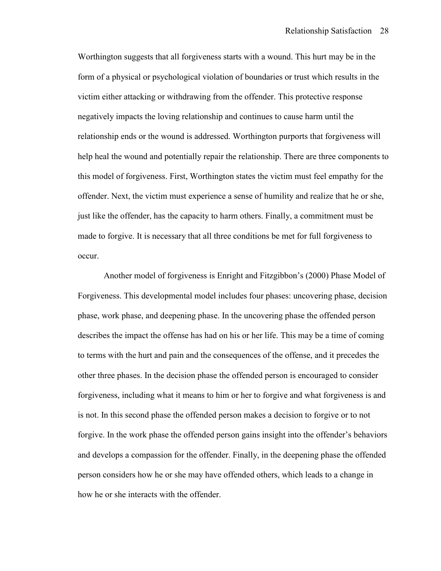Worthington suggests that all forgiveness starts with a wound. This hurt may be in the form of a physical or psychological violation of boundaries or trust which results in the victim either attacking or withdrawing from the offender. This protective response negatively impacts the loving relationship and continues to cause harm until the relationship ends or the wound is addressed. Worthington purports that forgiveness will help heal the wound and potentially repair the relationship. There are three components to this model of forgiveness. First, Worthington states the victim must feel empathy for the offender. Next, the victim must experience a sense of humility and realize that he or she, just like the offender, has the capacity to harm others. Finally, a commitment must be made to forgive. It is necessary that all three conditions be met for full forgiveness to occur.

Another model of forgiveness is Enright and Fitzgibbon's (2000) Phase Model of Forgiveness. This developmental model includes four phases: uncovering phase, decision phase, work phase, and deepening phase. In the uncovering phase the offended person describes the impact the offense has had on his or her life. This may be a time of coming to terms with the hurt and pain and the consequences of the offense, and it precedes the other three phases. In the decision phase the offended person is encouraged to consider forgiveness, including what it means to him or her to forgive and what forgiveness is and is not. In this second phase the offended person makes a decision to forgive or to not forgive. In the work phase the offended person gains insight into the offender's behaviors and develops a compassion for the offender. Finally, in the deepening phase the offended person considers how he or she may have offended others, which leads to a change in how he or she interacts with the offender.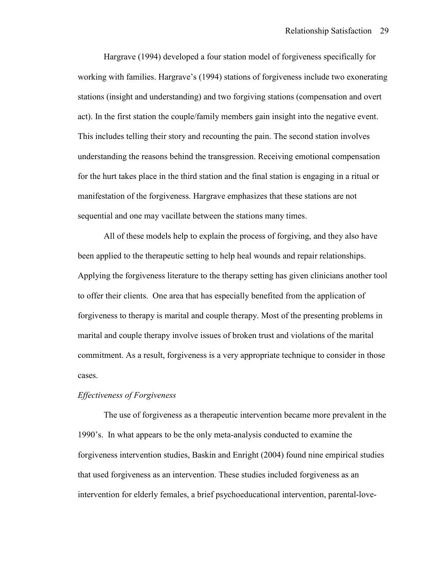Hargrave (1994) developed a four station model of forgiveness specifically for working with families. Hargrave's (1994) stations of forgiveness include two exonerating stations (insight and understanding) and two forgiving stations (compensation and overt act). In the first station the couple/family members gain insight into the negative event. This includes telling their story and recounting the pain. The second station involves understanding the reasons behind the transgression. Receiving emotional compensation for the hurt takes place in the third station and the final station is engaging in a ritual or manifestation of the forgiveness. Hargrave emphasizes that these stations are not sequential and one may vacillate between the stations many times.

All of these models help to explain the process of forgiving, and they also have been applied to the therapeutic setting to help heal wounds and repair relationships. Applying the forgiveness literature to the therapy setting has given clinicians another tool to offer their clients. One area that has especially benefited from the application of forgiveness to therapy is marital and couple therapy. Most of the presenting problems in marital and couple therapy involve issues of broken trust and violations of the marital commitment. As a result, forgiveness is a very appropriate technique to consider in those cases.

# *Effectiveness of Forgiveness*

 The use of forgiveness as a therapeutic intervention became more prevalent in the 1990's. In what appears to be the only meta-analysis conducted to examine the forgiveness intervention studies, Baskin and Enright (2004) found nine empirical studies that used forgiveness as an intervention. These studies included forgiveness as an intervention for elderly females, a brief psychoeducational intervention, parental-love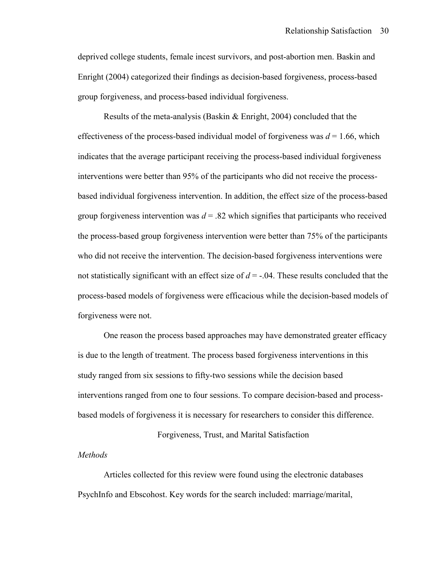deprived college students, female incest survivors, and post-abortion men. Baskin and Enright (2004) categorized their findings as decision-based forgiveness, process-based group forgiveness, and process-based individual forgiveness.

 Results of the meta-analysis (Baskin & Enright, 2004) concluded that the effectiveness of the process-based individual model of forgiveness was *d* = 1.66, which indicates that the average participant receiving the process-based individual forgiveness interventions were better than 95% of the participants who did not receive the processbased individual forgiveness intervention. In addition, the effect size of the process-based group forgiveness intervention was  $d = 0.82$  which signifies that participants who received the process-based group forgiveness intervention were better than 75% of the participants who did not receive the intervention. The decision-based forgiveness interventions were not statistically significant with an effect size of *d* = -.04. These results concluded that the process-based models of forgiveness were efficacious while the decision-based models of forgiveness were not.

 One reason the process based approaches may have demonstrated greater efficacy is due to the length of treatment. The process based forgiveness interventions in this study ranged from six sessions to fifty-two sessions while the decision based interventions ranged from one to four sessions. To compare decision-based and processbased models of forgiveness it is necessary for researchers to consider this difference.

# Forgiveness, Trust, and Marital Satisfaction

#### *Methods*

Articles collected for this review were found using the electronic databases PsychInfo and Ebscohost. Key words for the search included: marriage/marital,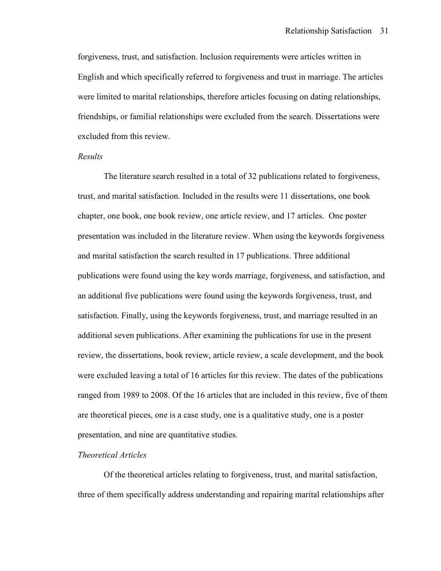forgiveness, trust, and satisfaction. Inclusion requirements were articles written in English and which specifically referred to forgiveness and trust in marriage. The articles were limited to marital relationships, therefore articles focusing on dating relationships, friendships, or familial relationships were excluded from the search. Dissertations were excluded from this review.

#### *Results*

The literature search resulted in a total of 32 publications related to forgiveness, trust, and marital satisfaction. Included in the results were 11 dissertations, one book chapter, one book, one book review, one article review, and 17 articles. One poster presentation was included in the literature review. When using the keywords forgiveness and marital satisfaction the search resulted in 17 publications. Three additional publications were found using the key words marriage, forgiveness, and satisfaction, and an additional five publications were found using the keywords forgiveness, trust, and satisfaction. Finally, using the keywords forgiveness, trust, and marriage resulted in an additional seven publications. After examining the publications for use in the present review, the dissertations, book review, article review, a scale development, and the book were excluded leaving a total of 16 articles for this review. The dates of the publications ranged from 1989 to 2008. Of the 16 articles that are included in this review, five of them are theoretical pieces, one is a case study, one is a qualitative study, one is a poster presentation, and nine are quantitative studies.

#### *Theoretical Articles*

 Of the theoretical articles relating to forgiveness, trust, and marital satisfaction, three of them specifically address understanding and repairing marital relationships after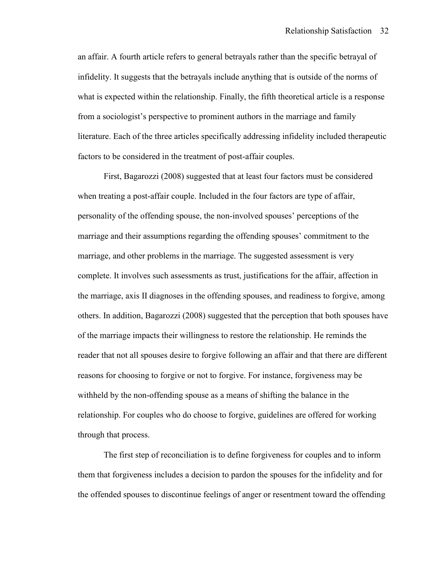an affair. A fourth article refers to general betrayals rather than the specific betrayal of infidelity. It suggests that the betrayals include anything that is outside of the norms of what is expected within the relationship. Finally, the fifth theoretical article is a response from a sociologist's perspective to prominent authors in the marriage and family literature. Each of the three articles specifically addressing infidelity included therapeutic factors to be considered in the treatment of post-affair couples.

 First, Bagarozzi (2008) suggested that at least four factors must be considered when treating a post-affair couple. Included in the four factors are type of affair, personality of the offending spouse, the non-involved spouses' perceptions of the marriage and their assumptions regarding the offending spouses' commitment to the marriage, and other problems in the marriage. The suggested assessment is very complete. It involves such assessments as trust, justifications for the affair, affection in the marriage, axis II diagnoses in the offending spouses, and readiness to forgive, among others. In addition, Bagarozzi (2008) suggested that the perception that both spouses have of the marriage impacts their willingness to restore the relationship. He reminds the reader that not all spouses desire to forgive following an affair and that there are different reasons for choosing to forgive or not to forgive. For instance, forgiveness may be withheld by the non-offending spouse as a means of shifting the balance in the relationship. For couples who do choose to forgive, guidelines are offered for working through that process.

 The first step of reconciliation is to define forgiveness for couples and to inform them that forgiveness includes a decision to pardon the spouses for the infidelity and for the offended spouses to discontinue feelings of anger or resentment toward the offending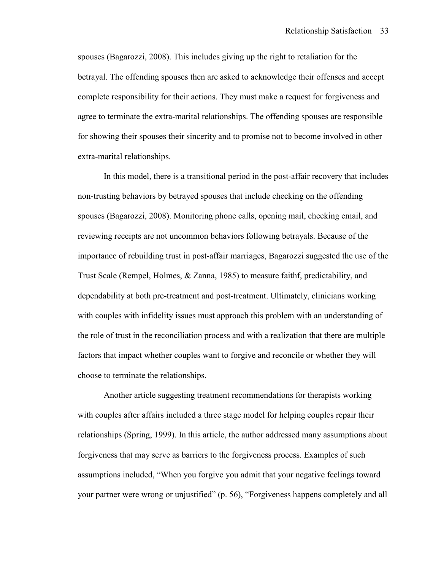spouses (Bagarozzi, 2008). This includes giving up the right to retaliation for the betrayal. The offending spouses then are asked to acknowledge their offenses and accept complete responsibility for their actions. They must make a request for forgiveness and agree to terminate the extra-marital relationships. The offending spouses are responsible for showing their spouses their sincerity and to promise not to become involved in other extra-marital relationships.

 In this model, there is a transitional period in the post-affair recovery that includes non-trusting behaviors by betrayed spouses that include checking on the offending spouses (Bagarozzi, 2008). Monitoring phone calls, opening mail, checking email, and reviewing receipts are not uncommon behaviors following betrayals. Because of the importance of rebuilding trust in post-affair marriages, Bagarozzi suggested the use of the Trust Scale (Rempel, Holmes, & Zanna, 1985) to measure faithf, predictability, and dependability at both pre-treatment and post-treatment. Ultimately, clinicians working with couples with infidelity issues must approach this problem with an understanding of the role of trust in the reconciliation process and with a realization that there are multiple factors that impact whether couples want to forgive and reconcile or whether they will choose to terminate the relationships.

 Another article suggesting treatment recommendations for therapists working with couples after affairs included a three stage model for helping couples repair their relationships (Spring, 1999). In this article, the author addressed many assumptions about forgiveness that may serve as barriers to the forgiveness process. Examples of such assumptions included, "When you forgive you admit that your negative feelings toward your partner were wrong or unjustified" (p. 56), "Forgiveness happens completely and all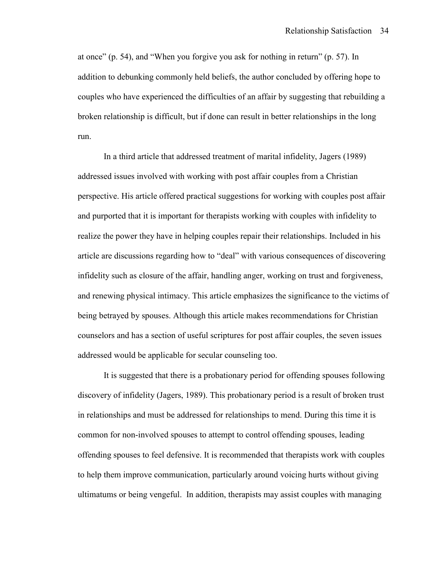at once" (p. 54), and "When you forgive you ask for nothing in return" (p. 57). In addition to debunking commonly held beliefs, the author concluded by offering hope to couples who have experienced the difficulties of an affair by suggesting that rebuilding a broken relationship is difficult, but if done can result in better relationships in the long run.

 In a third article that addressed treatment of marital infidelity, Jagers (1989) addressed issues involved with working with post affair couples from a Christian perspective. His article offered practical suggestions for working with couples post affair and purported that it is important for therapists working with couples with infidelity to realize the power they have in helping couples repair their relationships. Included in his article are discussions regarding how to "deal" with various consequences of discovering infidelity such as closure of the affair, handling anger, working on trust and forgiveness, and renewing physical intimacy. This article emphasizes the significance to the victims of being betrayed by spouses. Although this article makes recommendations for Christian counselors and has a section of useful scriptures for post affair couples, the seven issues addressed would be applicable for secular counseling too.

 It is suggested that there is a probationary period for offending spouses following discovery of infidelity (Jagers, 1989). This probationary period is a result of broken trust in relationships and must be addressed for relationships to mend. During this time it is common for non-involved spouses to attempt to control offending spouses, leading offending spouses to feel defensive. It is recommended that therapists work with couples to help them improve communication, particularly around voicing hurts without giving ultimatums or being vengeful. In addition, therapists may assist couples with managing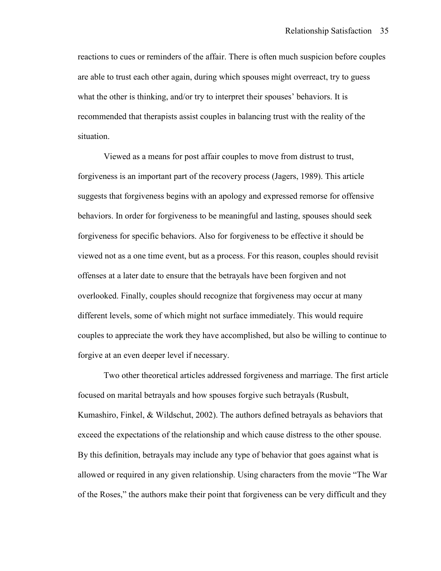reactions to cues or reminders of the affair. There is often much suspicion before couples are able to trust each other again, during which spouses might overreact, try to guess what the other is thinking, and/or try to interpret their spouses' behaviors. It is recommended that therapists assist couples in balancing trust with the reality of the situation.

 Viewed as a means for post affair couples to move from distrust to trust, forgiveness is an important part of the recovery process (Jagers, 1989). This article suggests that forgiveness begins with an apology and expressed remorse for offensive behaviors. In order for forgiveness to be meaningful and lasting, spouses should seek forgiveness for specific behaviors. Also for forgiveness to be effective it should be viewed not as a one time event, but as a process. For this reason, couples should revisit offenses at a later date to ensure that the betrayals have been forgiven and not overlooked. Finally, couples should recognize that forgiveness may occur at many different levels, some of which might not surface immediately. This would require couples to appreciate the work they have accomplished, but also be willing to continue to forgive at an even deeper level if necessary.

 Two other theoretical articles addressed forgiveness and marriage. The first article focused on marital betrayals and how spouses forgive such betrayals (Rusbult, Kumashiro, Finkel,  $\&$  Wildschut, 2002). The authors defined betrayals as behaviors that exceed the expectations of the relationship and which cause distress to the other spouse. By this definition, betrayals may include any type of behavior that goes against what is allowed or required in any given relationship. Using characters from the movie "The War of the Roses," the authors make their point that forgiveness can be very difficult and they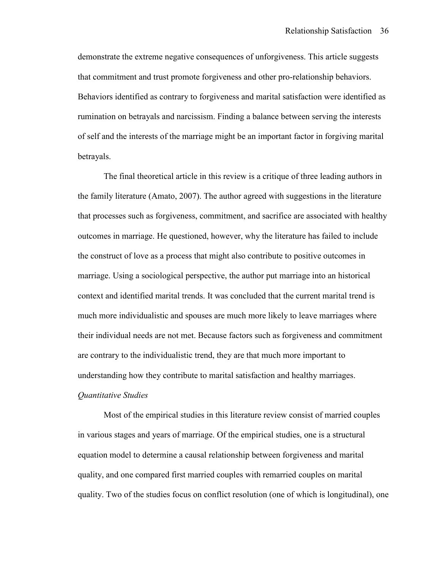demonstrate the extreme negative consequences of unforgiveness. This article suggests that commitment and trust promote forgiveness and other pro-relationship behaviors. Behaviors identified as contrary to forgiveness and marital satisfaction were identified as rumination on betrayals and narcissism. Finding a balance between serving the interests of self and the interests of the marriage might be an important factor in forgiving marital betrayals.

 The final theoretical article in this review is a critique of three leading authors in the family literature (Amato, 2007). The author agreed with suggestions in the literature that processes such as forgiveness, commitment, and sacrifice are associated with healthy outcomes in marriage. He questioned, however, why the literature has failed to include the construct of love as a process that might also contribute to positive outcomes in marriage. Using a sociological perspective, the author put marriage into an historical context and identified marital trends. It was concluded that the current marital trend is much more individualistic and spouses are much more likely to leave marriages where their individual needs are not met. Because factors such as forgiveness and commitment are contrary to the individualistic trend, they are that much more important to understanding how they contribute to marital satisfaction and healthy marriages.

# *Quantitative Studies*

Most of the empirical studies in this literature review consist of married couples in various stages and years of marriage. Of the empirical studies, one is a structural equation model to determine a causal relationship between forgiveness and marital quality, and one compared first married couples with remarried couples on marital quality. Two of the studies focus on conflict resolution (one of which is longitudinal), one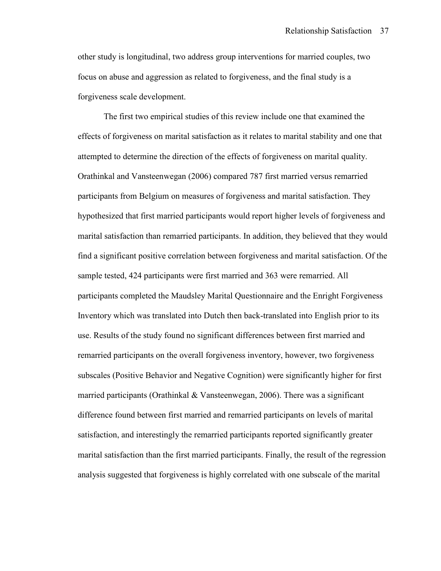other study is longitudinal, two address group interventions for married couples, two focus on abuse and aggression as related to forgiveness, and the final study is a forgiveness scale development.

 The first two empirical studies of this review include one that examined the effects of forgiveness on marital satisfaction as it relates to marital stability and one that attempted to determine the direction of the effects of forgiveness on marital quality. Orathinkal and Vansteenwegan (2006) compared 787 first married versus remarried participants from Belgium on measures of forgiveness and marital satisfaction. They hypothesized that first married participants would report higher levels of forgiveness and marital satisfaction than remarried participants. In addition, they believed that they would find a significant positive correlation between forgiveness and marital satisfaction. Of the sample tested, 424 participants were first married and 363 were remarried. All participants completed the Maudsley Marital Questionnaire and the Enright Forgiveness Inventory which was translated into Dutch then back-translated into English prior to its use. Results of the study found no significant differences between first married and remarried participants on the overall forgiveness inventory, however, two forgiveness subscales (Positive Behavior and Negative Cognition) were significantly higher for first married participants (Orathinkal & Vansteenwegan, 2006). There was a significant difference found between first married and remarried participants on levels of marital satisfaction, and interestingly the remarried participants reported significantly greater marital satisfaction than the first married participants. Finally, the result of the regression analysis suggested that forgiveness is highly correlated with one subscale of the marital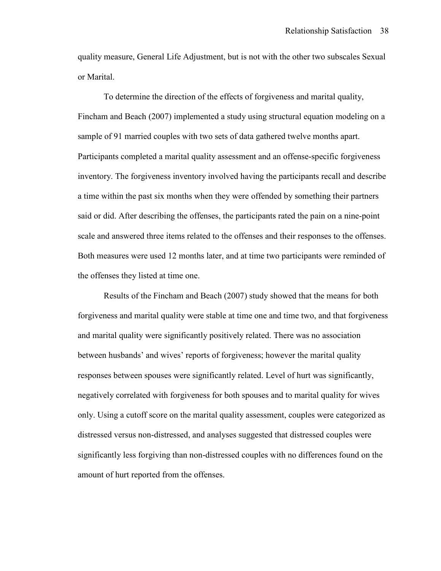quality measure, General Life Adjustment, but is not with the other two subscales Sexual or Marital.

 To determine the direction of the effects of forgiveness and marital quality, Fincham and Beach (2007) implemented a study using structural equation modeling on a sample of 91 married couples with two sets of data gathered twelve months apart. Participants completed a marital quality assessment and an offense-specific forgiveness inventory. The forgiveness inventory involved having the participants recall and describe a time within the past six months when they were offended by something their partners said or did. After describing the offenses, the participants rated the pain on a nine-point scale and answered three items related to the offenses and their responses to the offenses. Both measures were used 12 months later, and at time two participants were reminded of the offenses they listed at time one.

Results of the Fincham and Beach (2007) study showed that the means for both forgiveness and marital quality were stable at time one and time two, and that forgiveness and marital quality were significantly positively related. There was no association between husbands' and wives' reports of forgiveness; however the marital quality responses between spouses were significantly related. Level of hurt was significantly, negatively correlated with forgiveness for both spouses and to marital quality for wives only. Using a cutoff score on the marital quality assessment, couples were categorized as distressed versus non-distressed, and analyses suggested that distressed couples were significantly less forgiving than non-distressed couples with no differences found on the amount of hurt reported from the offenses.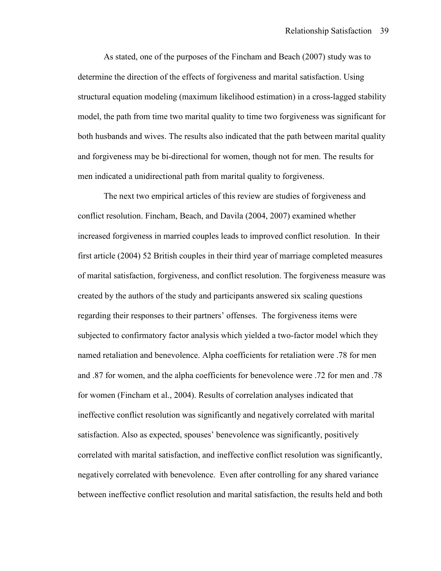As stated, one of the purposes of the Fincham and Beach (2007) study was to determine the direction of the effects of forgiveness and marital satisfaction. Using structural equation modeling (maximum likelihood estimation) in a cross-lagged stability model, the path from time two marital quality to time two forgiveness was significant for both husbands and wives. The results also indicated that the path between marital quality and forgiveness may be bi-directional for women, though not for men. The results for men indicated a unidirectional path from marital quality to forgiveness.

 The next two empirical articles of this review are studies of forgiveness and conflict resolution. Fincham, Beach, and Davila (2004, 2007) examined whether increased forgiveness in married couples leads to improved conflict resolution. In their first article (2004) 52 British couples in their third year of marriage completed measures of marital satisfaction, forgiveness, and conflict resolution. The forgiveness measure was created by the authors of the study and participants answered six scaling questions regarding their responses to their partners' offenses. The forgiveness items were subjected to confirmatory factor analysis which yielded a two-factor model which they named retaliation and benevolence. Alpha coefficients for retaliation were .78 for men and .87 for women, and the alpha coefficients for benevolence were .72 for men and .78 for women (Fincham et al., 2004). Results of correlation analyses indicated that ineffective conflict resolution was significantly and negatively correlated with marital satisfaction. Also as expected, spouses' benevolence was significantly, positively correlated with marital satisfaction, and ineffective conflict resolution was significantly, negatively correlated with benevolence. Even after controlling for any shared variance between ineffective conflict resolution and marital satisfaction, the results held and both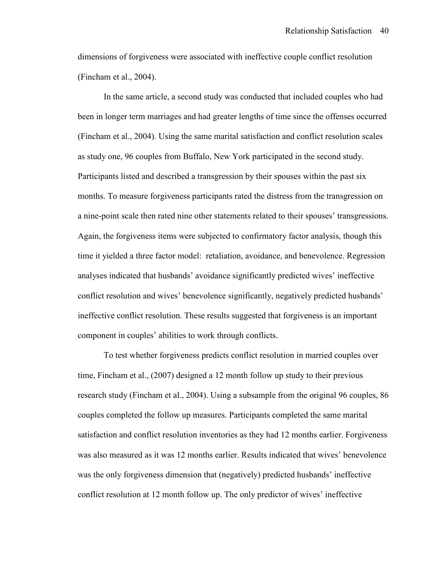dimensions of forgiveness were associated with ineffective couple conflict resolution (Fincham et al., 2004).

 In the same article, a second study was conducted that included couples who had been in longer term marriages and had greater lengths of time since the offenses occurred (Fincham et al., 2004). Using the same marital satisfaction and conflict resolution scales as study one, 96 couples from Buffalo, New York participated in the second study. Participants listed and described a transgression by their spouses within the past six months. To measure forgiveness participants rated the distress from the transgression on a nine-point scale then rated nine other statements related to their spouses' transgressions. Again, the forgiveness items were subjected to confirmatory factor analysis, though this time it yielded a three factor model: retaliation, avoidance, and benevolence. Regression analyses indicated that husbands' avoidance significantly predicted wives' ineffective conflict resolution and wives' benevolence significantly, negatively predicted husbands' ineffective conflict resolution. These results suggested that forgiveness is an important component in couples' abilities to work through conflicts.

 To test whether forgiveness predicts conflict resolution in married couples over time, Fincham et al., (2007) designed a 12 month follow up study to their previous research study (Fincham et al., 2004). Using a subsample from the original 96 couples, 86 couples completed the follow up measures. Participants completed the same marital satisfaction and conflict resolution inventories as they had 12 months earlier. Forgiveness was also measured as it was 12 months earlier. Results indicated that wives' benevolence was the only forgiveness dimension that (negatively) predicted husbands' ineffective conflict resolution at 12 month follow up. The only predictor of wives' ineffective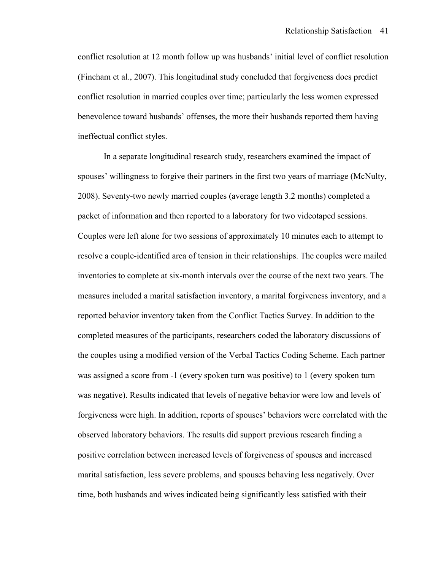conflict resolution at 12 month follow up was husbands' initial level of conflict resolution (Fincham et al., 2007). This longitudinal study concluded that forgiveness does predict conflict resolution in married couples over time; particularly the less women expressed benevolence toward husbands' offenses, the more their husbands reported them having ineffectual conflict styles.

 In a separate longitudinal research study, researchers examined the impact of spouses' willingness to forgive their partners in the first two years of marriage (McNulty, 2008). Seventy-two newly married couples (average length 3.2 months) completed a packet of information and then reported to a laboratory for two videotaped sessions. Couples were left alone for two sessions of approximately 10 minutes each to attempt to resolve a couple-identified area of tension in their relationships. The couples were mailed inventories to complete at six-month intervals over the course of the next two years. The measures included a marital satisfaction inventory, a marital forgiveness inventory, and a reported behavior inventory taken from the Conflict Tactics Survey. In addition to the completed measures of the participants, researchers coded the laboratory discussions of the couples using a modified version of the Verbal Tactics Coding Scheme. Each partner was assigned a score from -1 (every spoken turn was positive) to 1 (every spoken turn was negative). Results indicated that levels of negative behavior were low and levels of forgiveness were high. In addition, reports of spouses' behaviors were correlated with the observed laboratory behaviors. The results did support previous research finding a positive correlation between increased levels of forgiveness of spouses and increased marital satisfaction, less severe problems, and spouses behaving less negatively. Over time, both husbands and wives indicated being significantly less satisfied with their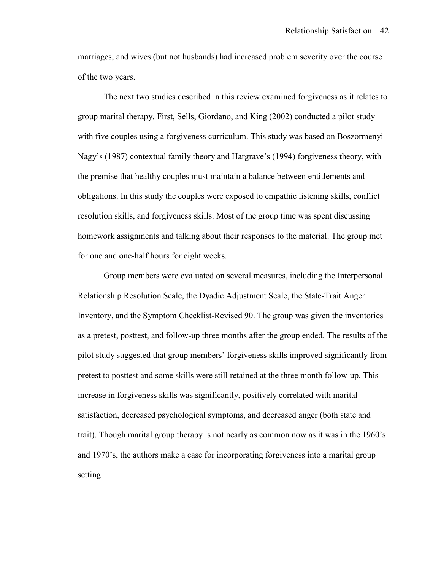marriages, and wives (but not husbands) had increased problem severity over the course of the two years.

The next two studies described in this review examined forgiveness as it relates to group marital therapy. First, Sells, Giordano, and King (2002) conducted a pilot study with five couples using a forgiveness curriculum. This study was based on Boszormenyi-Nagy's (1987) contextual family theory and Hargrave's (1994) forgiveness theory, with the premise that healthy couples must maintain a balance between entitlements and obligations. In this study the couples were exposed to empathic listening skills, conflict resolution skills, and forgiveness skills. Most of the group time was spent discussing homework assignments and talking about their responses to the material. The group met for one and one-half hours for eight weeks.

 Group members were evaluated on several measures, including the Interpersonal Relationship Resolution Scale, the Dyadic Adjustment Scale, the State-Trait Anger Inventory, and the Symptom Checklist-Revised 90. The group was given the inventories as a pretest, posttest, and follow-up three months after the group ended. The results of the pilot study suggested that group members' forgiveness skills improved significantly from pretest to posttest and some skills were still retained at the three month follow-up. This increase in forgiveness skills was significantly, positively correlated with marital satisfaction, decreased psychological symptoms, and decreased anger (both state and trait). Though marital group therapy is not nearly as common now as it was in the 1960's and 1970's, the authors make a case for incorporating forgiveness into a marital group setting.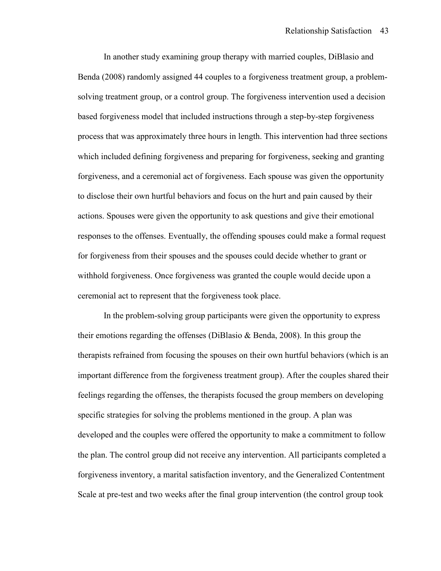In another study examining group therapy with married couples, DiBlasio and Benda (2008) randomly assigned 44 couples to a forgiveness treatment group, a problemsolving treatment group, or a control group. The forgiveness intervention used a decision based forgiveness model that included instructions through a step-by-step forgiveness process that was approximately three hours in length. This intervention had three sections which included defining forgiveness and preparing for forgiveness, seeking and granting forgiveness, and a ceremonial act of forgiveness. Each spouse was given the opportunity to disclose their own hurtful behaviors and focus on the hurt and pain caused by their actions. Spouses were given the opportunity to ask questions and give their emotional responses to the offenses. Eventually, the offending spouses could make a formal request for forgiveness from their spouses and the spouses could decide whether to grant or withhold forgiveness. Once forgiveness was granted the couple would decide upon a ceremonial act to represent that the forgiveness took place.

 In the problem-solving group participants were given the opportunity to express their emotions regarding the offenses (DiBlasio  $\&$  Benda, 2008). In this group the therapists refrained from focusing the spouses on their own hurtful behaviors (which is an important difference from the forgiveness treatment group). After the couples shared their feelings regarding the offenses, the therapists focused the group members on developing specific strategies for solving the problems mentioned in the group. A plan was developed and the couples were offered the opportunity to make a commitment to follow the plan. The control group did not receive any intervention. All participants completed a forgiveness inventory, a marital satisfaction inventory, and the Generalized Contentment Scale at pre-test and two weeks after the final group intervention (the control group took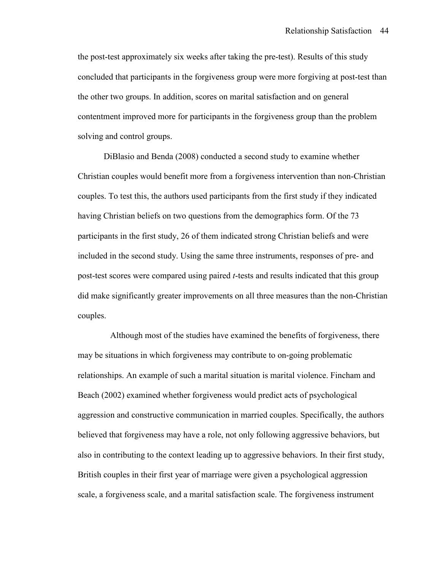the post-test approximately six weeks after taking the pre-test). Results of this study concluded that participants in the forgiveness group were more forgiving at post-test than the other two groups. In addition, scores on marital satisfaction and on general contentment improved more for participants in the forgiveness group than the problem solving and control groups.

 DiBlasio and Benda (2008) conducted a second study to examine whether Christian couples would benefit more from a forgiveness intervention than non-Christian couples. To test this, the authors used participants from the first study if they indicated having Christian beliefs on two questions from the demographics form. Of the 73 participants in the first study, 26 of them indicated strong Christian beliefs and were included in the second study. Using the same three instruments, responses of pre- and post-test scores were compared using paired *t*-tests and results indicated that this group did make significantly greater improvements on all three measures than the non-Christian couples.

 Although most of the studies have examined the benefits of forgiveness, there may be situations in which forgiveness may contribute to on-going problematic relationships. An example of such a marital situation is marital violence. Fincham and Beach (2002) examined whether forgiveness would predict acts of psychological aggression and constructive communication in married couples. Specifically, the authors believed that forgiveness may have a role, not only following aggressive behaviors, but also in contributing to the context leading up to aggressive behaviors. In their first study, British couples in their first year of marriage were given a psychological aggression scale, a forgiveness scale, and a marital satisfaction scale. The forgiveness instrument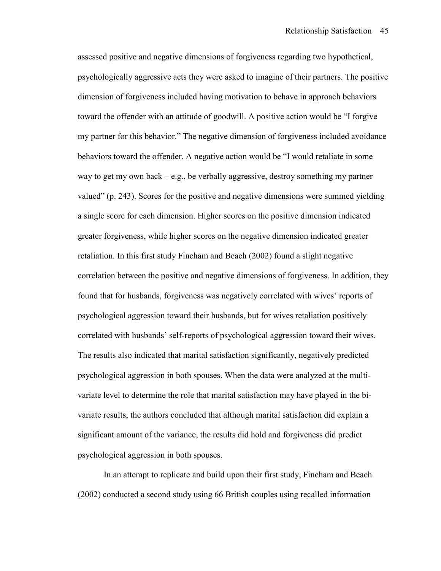assessed positive and negative dimensions of forgiveness regarding two hypothetical, psychologically aggressive acts they were asked to imagine of their partners. The positive dimension of forgiveness included having motivation to behave in approach behaviors toward the offender with an attitude of goodwill. A positive action would be "I forgive my partner for this behavior." The negative dimension of forgiveness included avoidance behaviors toward the offender. A negative action would be "I would retaliate in some way to get my own back – e.g., be verbally aggressive, destroy something my partner valued" (p. 243). Scores for the positive and negative dimensions were summed yielding a single score for each dimension. Higher scores on the positive dimension indicated greater forgiveness, while higher scores on the negative dimension indicated greater retaliation. In this first study Fincham and Beach (2002) found a slight negative correlation between the positive and negative dimensions of forgiveness. In addition, they found that for husbands, forgiveness was negatively correlated with wives' reports of psychological aggression toward their husbands, but for wives retaliation positively correlated with husbands' self-reports of psychological aggression toward their wives. The results also indicated that marital satisfaction significantly, negatively predicted psychological aggression in both spouses. When the data were analyzed at the multivariate level to determine the role that marital satisfaction may have played in the bivariate results, the authors concluded that although marital satisfaction did explain a significant amount of the variance, the results did hold and forgiveness did predict psychological aggression in both spouses.

 In an attempt to replicate and build upon their first study, Fincham and Beach (2002) conducted a second study using 66 British couples using recalled information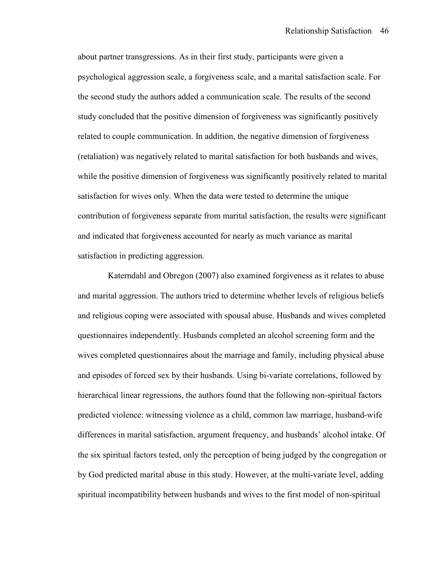about partner transgressions. As in their first study, participants were given a psychological aggression scale, a forgiveness scale, and a marital satisfaction scale. For the second study the authors added a communication scale. The results of the second study concluded that the positive dimension of forgiveness was significantly positively related to couple communication. In addition, the negative dimension of forgiveness (retaliation) was negatively related to marital satisfaction for both husbands and wives, while the positive dimension of forgiveness was significantly positively related to marital satisfaction for wives only. When the data were tested to determine the unique contribution of forgiveness separate from marital satisfaction, the results were significant and indicated that forgiveness accounted for nearly as much variance as marital satisfaction in predicting aggression.

 Katerndahl and Obregon (2007) also examined forgiveness as it relates to abuse and marital aggression. The authors tried to determine whether levels of religious beliefs and religious coping were associated with spousal abuse. Husbands and wives completed questionnaires independently. Husbands completed an alcohol screening form and the wives completed questionnaires about the marriage and family, including physical abuse and episodes of forced sex by their husbands. Using bi-variate correlations, followed by hierarchical linear regressions, the authors found that the following non-spiritual factors predicted violence: witnessing violence as a child, common law marriage, husband-wife differences in marital satisfaction, argument frequency, and husbands' alcohol intake. Of the six spiritual factors tested, only the perception of being judged by the congregation or by God predicted marital abuse in this study. However, at the multi-variate level, adding spiritual incompatibility between husbands and wives to the first model of non-spiritual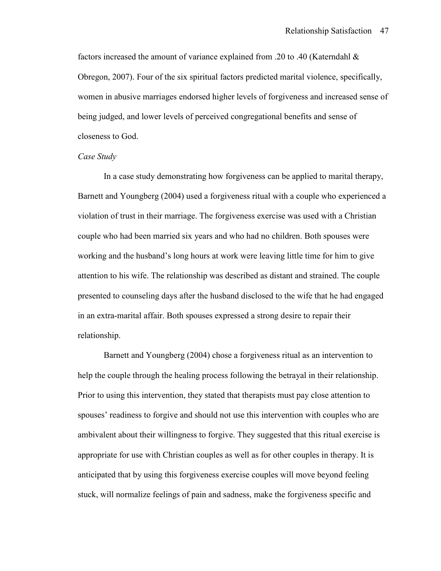factors increased the amount of variance explained from .20 to .40 (Katerndahl & Obregon, 2007). Four of the six spiritual factors predicted marital violence, specifically, women in abusive marriages endorsed higher levels of forgiveness and increased sense of being judged, and lower levels of perceived congregational benefits and sense of closeness to God.

#### *Case Study*

 In a case study demonstrating how forgiveness can be applied to marital therapy, Barnett and Youngberg (2004) used a forgiveness ritual with a couple who experienced a violation of trust in their marriage. The forgiveness exercise was used with a Christian couple who had been married six years and who had no children. Both spouses were working and the husband's long hours at work were leaving little time for him to give attention to his wife. The relationship was described as distant and strained. The couple presented to counseling days after the husband disclosed to the wife that he had engaged in an extra-marital affair. Both spouses expressed a strong desire to repair their relationship.

 Barnett and Youngberg (2004) chose a forgiveness ritual as an intervention to help the couple through the healing process following the betrayal in their relationship. Prior to using this intervention, they stated that therapists must pay close attention to spouses' readiness to forgive and should not use this intervention with couples who are ambivalent about their willingness to forgive. They suggested that this ritual exercise is appropriate for use with Christian couples as well as for other couples in therapy. It is anticipated that by using this forgiveness exercise couples will move beyond feeling stuck, will normalize feelings of pain and sadness, make the forgiveness specific and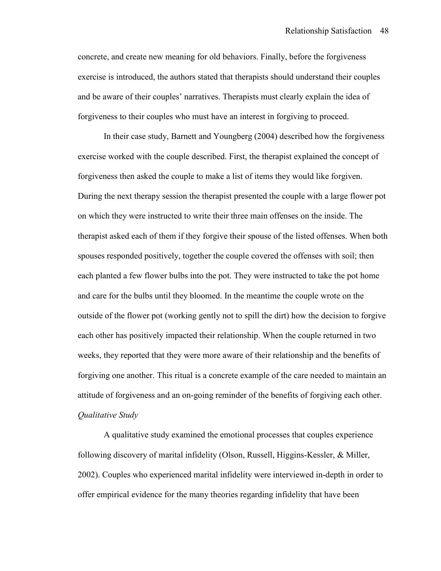concrete, and create new meaning for old behaviors. Finally, before the forgiveness exercise is introduced, the authors stated that therapists should understand their couples and be aware of their couples' narratives. Therapists must clearly explain the idea of forgiveness to their couples who must have an interest in forgiving to proceed.

 In their case study, Barnett and Youngberg (2004) described how the forgiveness exercise worked with the couple described. First, the therapist explained the concept of forgiveness then asked the couple to make a list of items they would like forgiven. During the next therapy session the therapist presented the couple with a large flower pot on which they were instructed to write their three main offenses on the inside. The therapist asked each of them if they forgive their spouse of the listed offenses. When both spouses responded positively, together the couple covered the offenses with soil; then each planted a few flower bulbs into the pot. They were instructed to take the pot home and care for the bulbs until they bloomed. In the meantime the couple wrote on the outside of the flower pot (working gently not to spill the dirt) how the decision to forgive each other has positively impacted their relationship. When the couple returned in two weeks, they reported that they were more aware of their relationship and the benefits of forgiving one another. This ritual is a concrete example of the care needed to maintain an attitude of forgiveness and an on-going reminder of the benefits of forgiving each other. *Qualitative Study* 

 A qualitative study examined the emotional processes that couples experience following discovery of marital infidelity (Olson, Russell, Higgins-Kessler, & Miller, 2002). Couples who experienced marital infidelity were interviewed in-depth in order to offer empirical evidence for the many theories regarding infidelity that have been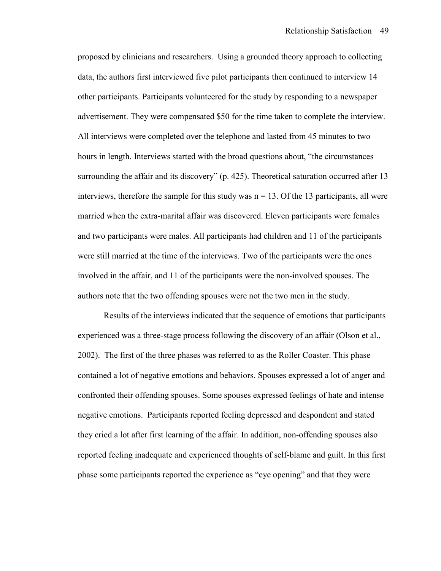proposed by clinicians and researchers. Using a grounded theory approach to collecting data, the authors first interviewed five pilot participants then continued to interview 14 other participants. Participants volunteered for the study by responding to a newspaper advertisement. They were compensated \$50 for the time taken to complete the interview. All interviews were completed over the telephone and lasted from 45 minutes to two hours in length. Interviews started with the broad questions about, "the circumstances surrounding the affair and its discovery" (p. 425). Theoretical saturation occurred after 13 interviews, therefore the sample for this study was  $n = 13$ . Of the 13 participants, all were married when the extra-marital affair was discovered. Eleven participants were females and two participants were males. All participants had children and 11 of the participants were still married at the time of the interviews. Two of the participants were the ones involved in the affair, and 11 of the participants were the non-involved spouses. The authors note that the two offending spouses were not the two men in the study.

 Results of the interviews indicated that the sequence of emotions that participants experienced was a three-stage process following the discovery of an affair (Olson et al., 2002). The first of the three phases was referred to as the Roller Coaster. This phase contained a lot of negative emotions and behaviors. Spouses expressed a lot of anger and confronted their offending spouses. Some spouses expressed feelings of hate and intense negative emotions. Participants reported feeling depressed and despondent and stated they cried a lot after first learning of the affair. In addition, non-offending spouses also reported feeling inadequate and experienced thoughts of self-blame and guilt. In this first phase some participants reported the experience as "eye opening" and that they were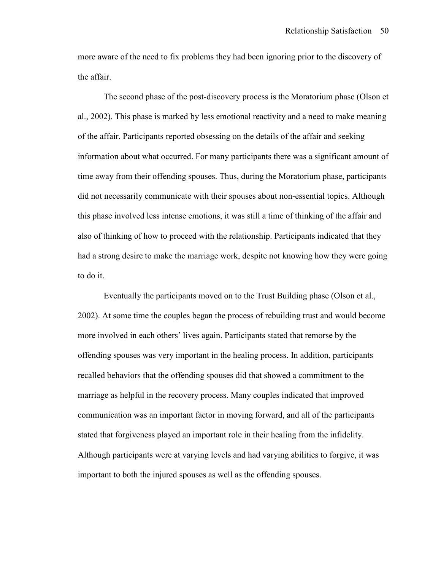more aware of the need to fix problems they had been ignoring prior to the discovery of the affair.

 The second phase of the post-discovery process is the Moratorium phase (Olson et al., 2002). This phase is marked by less emotional reactivity and a need to make meaning of the affair. Participants reported obsessing on the details of the affair and seeking information about what occurred. For many participants there was a significant amount of time away from their offending spouses. Thus, during the Moratorium phase, participants did not necessarily communicate with their spouses about non-essential topics. Although this phase involved less intense emotions, it was still a time of thinking of the affair and also of thinking of how to proceed with the relationship. Participants indicated that they had a strong desire to make the marriage work, despite not knowing how they were going to do it.

 Eventually the participants moved on to the Trust Building phase (Olson et al., 2002). At some time the couples began the process of rebuilding trust and would become more involved in each others' lives again. Participants stated that remorse by the offending spouses was very important in the healing process. In addition, participants recalled behaviors that the offending spouses did that showed a commitment to the marriage as helpful in the recovery process. Many couples indicated that improved communication was an important factor in moving forward, and all of the participants stated that forgiveness played an important role in their healing from the infidelity. Although participants were at varying levels and had varying abilities to forgive, it was important to both the injured spouses as well as the offending spouses.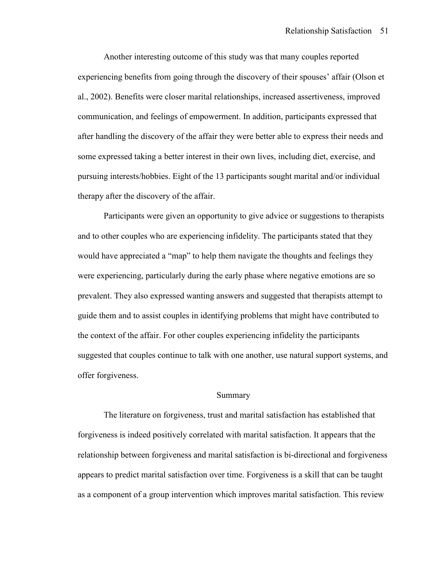Another interesting outcome of this study was that many couples reported experiencing benefits from going through the discovery of their spouses' affair (Olson et al., 2002). Benefits were closer marital relationships, increased assertiveness, improved communication, and feelings of empowerment. In addition, participants expressed that after handling the discovery of the affair they were better able to express their needs and some expressed taking a better interest in their own lives, including diet, exercise, and pursuing interests/hobbies. Eight of the 13 participants sought marital and/or individual therapy after the discovery of the affair.

 Participants were given an opportunity to give advice or suggestions to therapists and to other couples who are experiencing infidelity. The participants stated that they would have appreciated a "map" to help them navigate the thoughts and feelings they were experiencing, particularly during the early phase where negative emotions are so prevalent. They also expressed wanting answers and suggested that therapists attempt to guide them and to assist couples in identifying problems that might have contributed to the context of the affair. For other couples experiencing infidelity the participants suggested that couples continue to talk with one another, use natural support systems, and offer forgiveness.

## Summary

 The literature on forgiveness, trust and marital satisfaction has established that forgiveness is indeed positively correlated with marital satisfaction. It appears that the relationship between forgiveness and marital satisfaction is bi-directional and forgiveness appears to predict marital satisfaction over time. Forgiveness is a skill that can be taught as a component of a group intervention which improves marital satisfaction. This review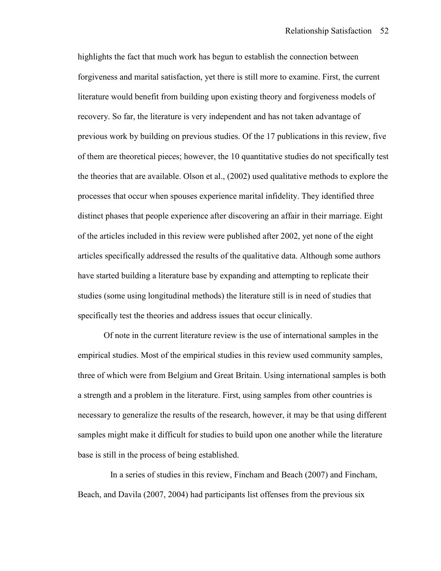highlights the fact that much work has begun to establish the connection between forgiveness and marital satisfaction, yet there is still more to examine. First, the current literature would benefit from building upon existing theory and forgiveness models of recovery. So far, the literature is very independent and has not taken advantage of previous work by building on previous studies. Of the 17 publications in this review, five of them are theoretical pieces; however, the 10 quantitative studies do not specifically test the theories that are available. Olson et al., (2002) used qualitative methods to explore the processes that occur when spouses experience marital infidelity. They identified three distinct phases that people experience after discovering an affair in their marriage. Eight of the articles included in this review were published after 2002, yet none of the eight articles specifically addressed the results of the qualitative data. Although some authors have started building a literature base by expanding and attempting to replicate their studies (some using longitudinal methods) the literature still is in need of studies that specifically test the theories and address issues that occur clinically.

 Of note in the current literature review is the use of international samples in the empirical studies. Most of the empirical studies in this review used community samples, three of which were from Belgium and Great Britain. Using international samples is both a strength and a problem in the literature. First, using samples from other countries is necessary to generalize the results of the research, however, it may be that using different samples might make it difficult for studies to build upon one another while the literature base is still in the process of being established.

 In a series of studies in this review, Fincham and Beach (2007) and Fincham, Beach, and Davila (2007, 2004) had participants list offenses from the previous six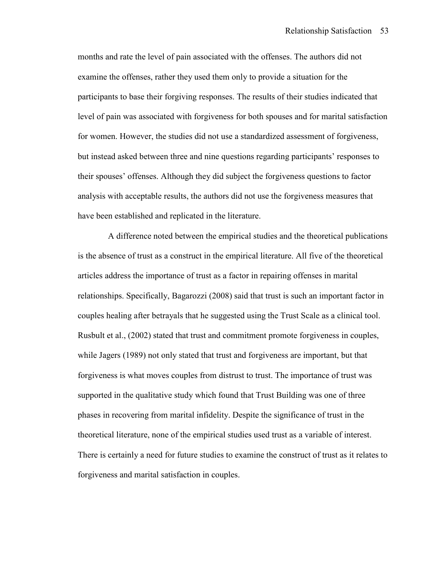months and rate the level of pain associated with the offenses. The authors did not examine the offenses, rather they used them only to provide a situation for the participants to base their forgiving responses. The results of their studies indicated that level of pain was associated with forgiveness for both spouses and for marital satisfaction for women. However, the studies did not use a standardized assessment of forgiveness, but instead asked between three and nine questions regarding participants' responses to their spouses' offenses. Although they did subject the forgiveness questions to factor analysis with acceptable results, the authors did not use the forgiveness measures that have been established and replicated in the literature.

 A difference noted between the empirical studies and the theoretical publications is the absence of trust as a construct in the empirical literature. All five of the theoretical articles address the importance of trust as a factor in repairing offenses in marital relationships. Specifically, Bagarozzi (2008) said that trust is such an important factor in couples healing after betrayals that he suggested using the Trust Scale as a clinical tool. Rusbult et al., (2002) stated that trust and commitment promote forgiveness in couples, while Jagers (1989) not only stated that trust and forgiveness are important, but that forgiveness is what moves couples from distrust to trust. The importance of trust was supported in the qualitative study which found that Trust Building was one of three phases in recovering from marital infidelity. Despite the significance of trust in the theoretical literature, none of the empirical studies used trust as a variable of interest. There is certainly a need for future studies to examine the construct of trust as it relates to forgiveness and marital satisfaction in couples.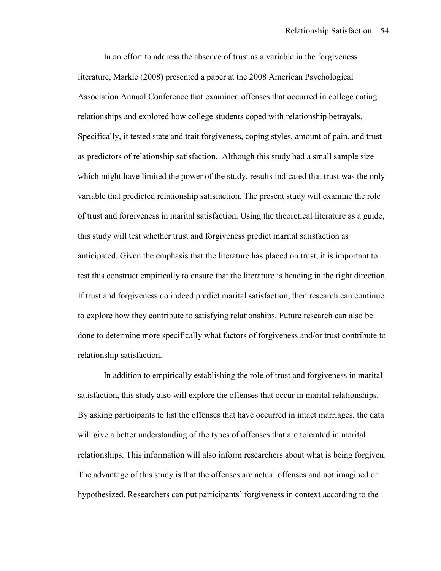In an effort to address the absence of trust as a variable in the forgiveness literature, Markle (2008) presented a paper at the 2008 American Psychological Association Annual Conference that examined offenses that occurred in college dating relationships and explored how college students coped with relationship betrayals. Specifically, it tested state and trait forgiveness, coping styles, amount of pain, and trust as predictors of relationship satisfaction. Although this study had a small sample size which might have limited the power of the study, results indicated that trust was the only variable that predicted relationship satisfaction. The present study will examine the role of trust and forgiveness in marital satisfaction. Using the theoretical literature as a guide, this study will test whether trust and forgiveness predict marital satisfaction as anticipated. Given the emphasis that the literature has placed on trust, it is important to test this construct empirically to ensure that the literature is heading in the right direction. If trust and forgiveness do indeed predict marital satisfaction, then research can continue to explore how they contribute to satisfying relationships. Future research can also be done to determine more specifically what factors of forgiveness and/or trust contribute to relationship satisfaction.

 In addition to empirically establishing the role of trust and forgiveness in marital satisfaction, this study also will explore the offenses that occur in marital relationships. By asking participants to list the offenses that have occurred in intact marriages, the data will give a better understanding of the types of offenses that are tolerated in marital relationships. This information will also inform researchers about what is being forgiven. The advantage of this study is that the offenses are actual offenses and not imagined or hypothesized. Researchers can put participants' forgiveness in context according to the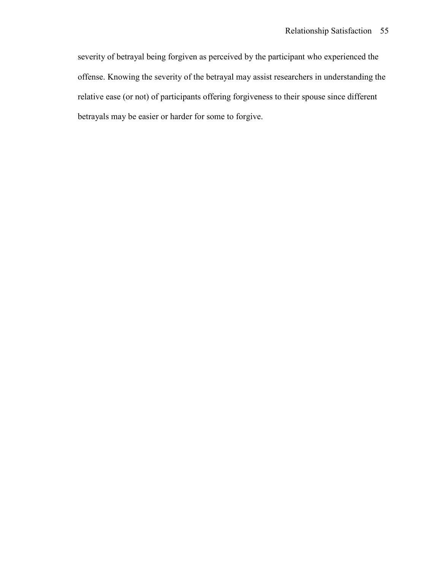severity of betrayal being forgiven as perceived by the participant who experienced the offense. Knowing the severity of the betrayal may assist researchers in understanding the relative ease (or not) of participants offering forgiveness to their spouse since different betrayals may be easier or harder for some to forgive.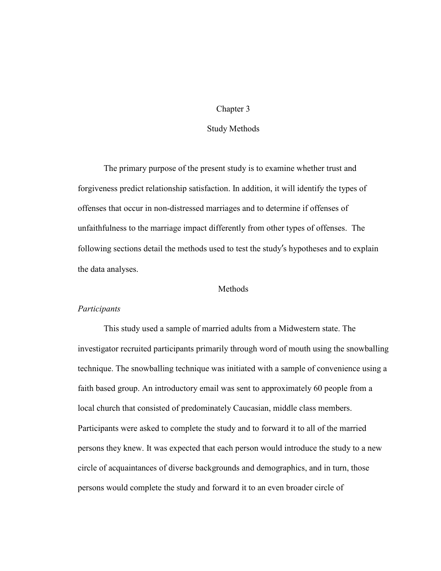## Chapter 3

# Study Methods

 The primary purpose of the present study is to examine whether trust and forgiveness predict relationship satisfaction. In addition, it will identify the types of offenses that occur in non-distressed marriages and to determine if offenses of unfaithfulness to the marriage impact differently from other types of offenses. The following sections detail the methods used to test the study's hypotheses and to explain the data analyses.

## **Methods**

# *Participants*

This study used a sample of married adults from a Midwestern state. The investigator recruited participants primarily through word of mouth using the snowballing technique. The snowballing technique was initiated with a sample of convenience using a faith based group. An introductory email was sent to approximately 60 people from a local church that consisted of predominately Caucasian, middle class members. Participants were asked to complete the study and to forward it to all of the married persons they knew. It was expected that each person would introduce the study to a new circle of acquaintances of diverse backgrounds and demographics, and in turn, those persons would complete the study and forward it to an even broader circle of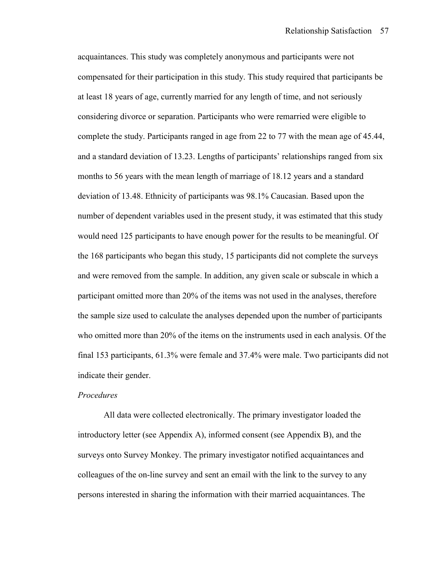acquaintances. This study was completely anonymous and participants were not compensated for their participation in this study. This study required that participants be at least 18 years of age, currently married for any length of time, and not seriously considering divorce or separation. Participants who were remarried were eligible to complete the study. Participants ranged in age from 22 to 77 with the mean age of 45.44, and a standard deviation of 13.23. Lengths of participants' relationships ranged from six months to 56 years with the mean length of marriage of 18.12 years and a standard deviation of 13.48. Ethnicity of participants was 98.1% Caucasian. Based upon the number of dependent variables used in the present study, it was estimated that this study would need 125 participants to have enough power for the results to be meaningful. Of the 168 participants who began this study, 15 participants did not complete the surveys and were removed from the sample. In addition, any given scale or subscale in which a participant omitted more than 20% of the items was not used in the analyses, therefore the sample size used to calculate the analyses depended upon the number of participants who omitted more than 20% of the items on the instruments used in each analysis. Of the final 153 participants, 61.3% were female and 37.4% were male. Two participants did not indicate their gender.

# *Procedures*

All data were collected electronically. The primary investigator loaded the introductory letter (see Appendix A), informed consent (see Appendix B), and the surveys onto Survey Monkey. The primary investigator notified acquaintances and colleagues of the on-line survey and sent an email with the link to the survey to any persons interested in sharing the information with their married acquaintances. The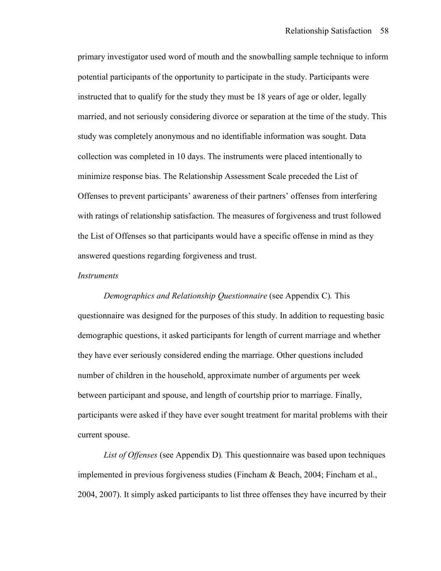primary investigator used word of mouth and the snowballing sample technique to inform potential participants of the opportunity to participate in the study. Participants were instructed that to qualify for the study they must be 18 years of age or older, legally married, and not seriously considering divorce or separation at the time of the study. This study was completely anonymous and no identifiable information was sought. Data collection was completed in 10 days. The instruments were placed intentionally to minimize response bias. The Relationship Assessment Scale preceded the List of Offenses to prevent participants' awareness of their partners' offenses from interfering with ratings of relationship satisfaction. The measures of forgiveness and trust followed the List of Offenses so that participants would have a specific offense in mind as they answered questions regarding forgiveness and trust.

#### *Instruments*

 *Demographics and Relationship Questionnaire* (see Appendix C)*.* This questionnaire was designed for the purposes of this study. In addition to requesting basic demographic questions, it asked participants for length of current marriage and whether they have ever seriously considered ending the marriage. Other questions included number of children in the household, approximate number of arguments per week between participant and spouse, and length of courtship prior to marriage. Finally, participants were asked if they have ever sought treatment for marital problems with their current spouse.

 *List of Offenses* (see Appendix D)*.* This questionnaire was based upon techniques implemented in previous forgiveness studies (Fincham & Beach, 2004; Fincham et al., 2004, 2007). It simply asked participants to list three offenses they have incurred by their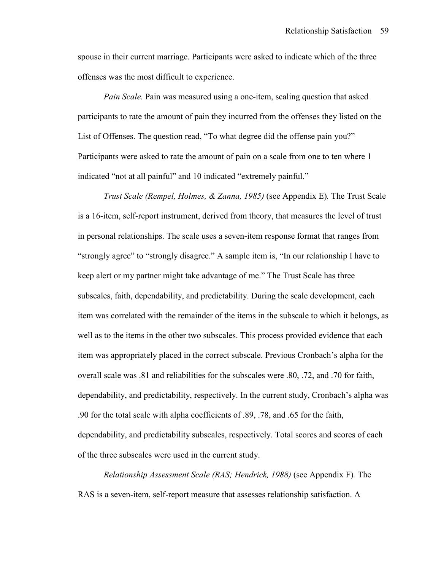spouse in their current marriage. Participants were asked to indicate which of the three offenses was the most difficult to experience.

*Pain Scale.* Pain was measured using a one-item, scaling question that asked participants to rate the amount of pain they incurred from the offenses they listed on the List of Offenses. The question read, "To what degree did the offense pain you?" Participants were asked to rate the amount of pain on a scale from one to ten where 1 indicated "not at all painful" and 10 indicated "extremely painful."

*Trust Scale (Rempel, Holmes, & Zanna, 1985)* (see Appendix E)*.* The Trust Scale is a 16-item, self-report instrument, derived from theory, that measures the level of trust in personal relationships. The scale uses a seven-item response format that ranges from "strongly agree" to "strongly disagree." A sample item is, "In our relationship I have to keep alert or my partner might take advantage of me." The Trust Scale has three subscales, faith, dependability, and predictability. During the scale development, each item was correlated with the remainder of the items in the subscale to which it belongs, as well as to the items in the other two subscales. This process provided evidence that each item was appropriately placed in the correct subscale. Previous Cronbach's alpha for the overall scale was .81 and reliabilities for the subscales were .80, .72, and .70 for faith, dependability, and predictability, respectively. In the current study, Cronbach's alpha was .90 for the total scale with alpha coefficients of .89, .78, and .65 for the faith, dependability, and predictability subscales, respectively. Total scores and scores of each of the three subscales were used in the current study.

*Relationship Assessment Scale (RAS; Hendrick, 1988)* (see Appendix F)*.* The RAS is a seven-item, self-report measure that assesses relationship satisfaction. A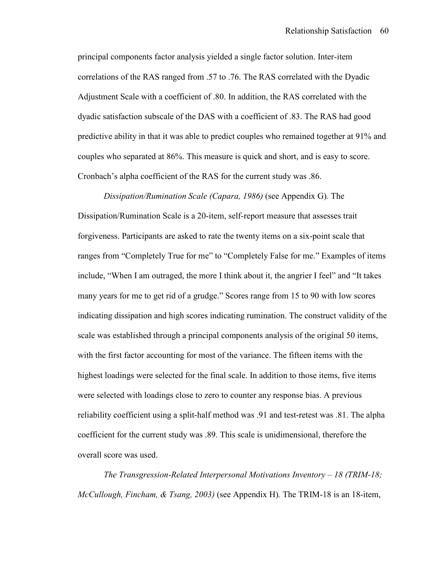principal components factor analysis yielded a single factor solution. Inter-item correlations of the RAS ranged from .57 to .76. The RAS correlated with the Dyadic Adjustment Scale with a coefficient of .80. In addition, the RAS correlated with the dyadic satisfaction subscale of the DAS with a coefficient of .83. The RAS had good predictive ability in that it was able to predict couples who remained together at 91% and couples who separated at 86%. This measure is quick and short, and is easy to score. Cronbach's alpha coefficient of the RAS for the current study was .86.

 *Dissipation/Rumination Scale (Capara, 1986)* (see Appendix G)*.* The Dissipation/Rumination Scale is a 20-item, self-report measure that assesses trait forgiveness. Participants are asked to rate the twenty items on a six-point scale that ranges from "Completely True for me" to "Completely False for me." Examples of items include, "When I am outraged, the more I think about it, the angrier I feel" and "It takes many years for me to get rid of a grudge." Scores range from 15 to 90 with low scores indicating dissipation and high scores indicating rumination. The construct validity of the scale was established through a principal components analysis of the original 50 items, with the first factor accounting for most of the variance. The fifteen items with the highest loadings were selected for the final scale. In addition to those items, five items were selected with loadings close to zero to counter any response bias. A previous reliability coefficient using a split-half method was .91 and test-retest was .81. The alpha coefficient for the current study was .89. This scale is unidimensional, therefore the overall score was used.

 *The Transgression-Related Interpersonal Motivations Inventory – 18 (TRIM-18; McCullough, Fincham, & Tsang, 2003)* (see Appendix H)*.* The TRIM-18 is an 18-item,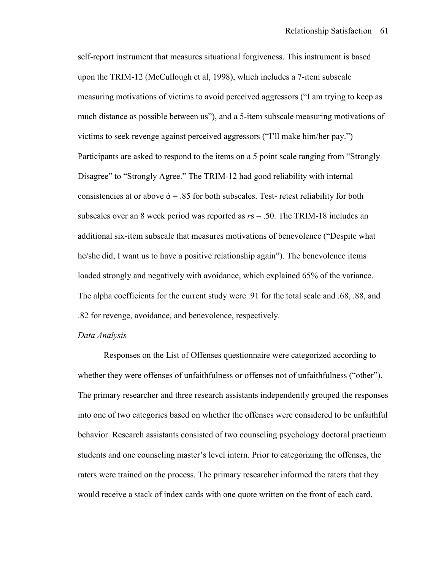self-report instrument that measures situational forgiveness. This instrument is based upon the TRIM-12 (McCullough et al, 1998), which includes a 7-item subscale measuring motivations of victims to avoid perceived aggressors ("I am trying to keep as much distance as possible between us"), and a 5-item subscale measuring motivations of victims to seek revenge against perceived aggressors ("I'll make him/her pay.") Participants are asked to respond to the items on a 5 point scale ranging from "Strongly Disagree" to "Strongly Agree." The TRIM-12 had good reliability with internal consistencies at or above  $\dot{\alpha}$  = .85 for both subscales. Test- retest reliability for both subscales over an 8 week period was reported as *r*s = .50. The TRIM-18 includes an additional six-item subscale that measures motivations of benevolence ("Despite what he/she did, I want us to have a positive relationship again"). The benevolence items loaded strongly and negatively with avoidance, which explained 65% of the variance. The alpha coefficients for the current study were .91 for the total scale and .68, .88, and .82 for revenge, avoidance, and benevolence, respectively.

# *Data Analysis*

 Responses on the List of Offenses questionnaire were categorized according to whether they were offenses of unfaithfulness or offenses not of unfaithfulness ("other"). The primary researcher and three research assistants independently grouped the responses into one of two categories based on whether the offenses were considered to be unfaithful behavior. Research assistants consisted of two counseling psychology doctoral practicum students and one counseling master's level intern. Prior to categorizing the offenses, the raters were trained on the process. The primary researcher informed the raters that they would receive a stack of index cards with one quote written on the front of each card.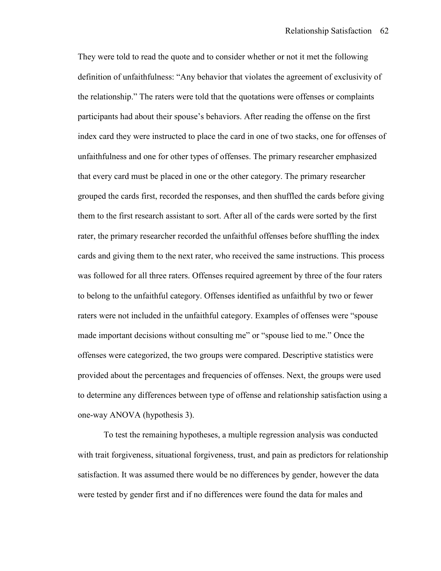They were told to read the quote and to consider whether or not it met the following definition of unfaithfulness: "Any behavior that violates the agreement of exclusivity of the relationship." The raters were told that the quotations were offenses or complaints participants had about their spouse's behaviors. After reading the offense on the first index card they were instructed to place the card in one of two stacks, one for offenses of unfaithfulness and one for other types of offenses. The primary researcher emphasized that every card must be placed in one or the other category. The primary researcher grouped the cards first, recorded the responses, and then shuffled the cards before giving them to the first research assistant to sort. After all of the cards were sorted by the first rater, the primary researcher recorded the unfaithful offenses before shuffling the index cards and giving them to the next rater, who received the same instructions. This process was followed for all three raters. Offenses required agreement by three of the four raters to belong to the unfaithful category. Offenses identified as unfaithful by two or fewer raters were not included in the unfaithful category. Examples of offenses were "spouse made important decisions without consulting me" or "spouse lied to me." Once the offenses were categorized, the two groups were compared. Descriptive statistics were provided about the percentages and frequencies of offenses. Next, the groups were used to determine any differences between type of offense and relationship satisfaction using a one-way ANOVA (hypothesis 3).

 To test the remaining hypotheses, a multiple regression analysis was conducted with trait forgiveness, situational forgiveness, trust, and pain as predictors for relationship satisfaction. It was assumed there would be no differences by gender, however the data were tested by gender first and if no differences were found the data for males and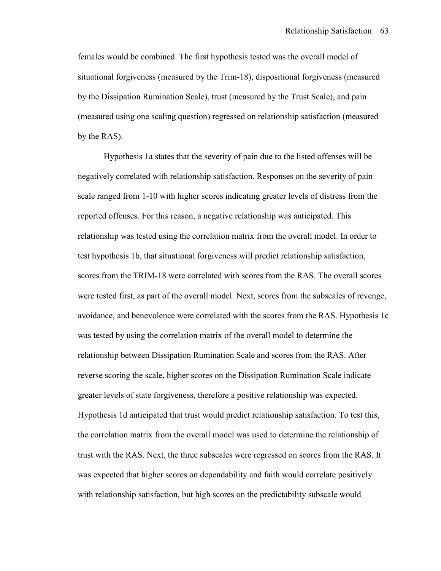females would be combined. The first hypothesis tested was the overall model of situational forgiveness (measured by the Trim-18), dispositional forgiveness (measured by the Dissipation Rumination Scale), trust (measured by the Trust Scale), and pain (measured using one scaling question) regressed on relationship satisfaction (measured by the RAS).

 Hypothesis 1a states that the severity of pain due to the listed offenses will be negatively correlated with relationship satisfaction. Responses on the severity of pain scale ranged from 1-10 with higher scores indicating greater levels of distress from the reported offenses. For this reason, a negative relationship was anticipated. This relationship was tested using the correlation matrix from the overall model. In order to test hypothesis 1b, that situational forgiveness will predict relationship satisfaction, scores from the TRIM-18 were correlated with scores from the RAS. The overall scores were tested first, as part of the overall model. Next, scores from the subscales of revenge, avoidance, and benevolence were correlated with the scores from the RAS. Hypothesis 1c was tested by using the correlation matrix of the overall model to determine the relationship between Dissipation Rumination Scale and scores from the RAS. After reverse scoring the scale, higher scores on the Dissipation Rumination Scale indicate greater levels of state forgiveness, therefore a positive relationship was expected. Hypothesis 1d anticipated that trust would predict relationship satisfaction. To test this, the correlation matrix from the overall model was used to determine the relationship of trust with the RAS. Next, the three subscales were regressed on scores from the RAS. It was expected that higher scores on dependability and faith would correlate positively with relationship satisfaction, but high scores on the predictability subscale would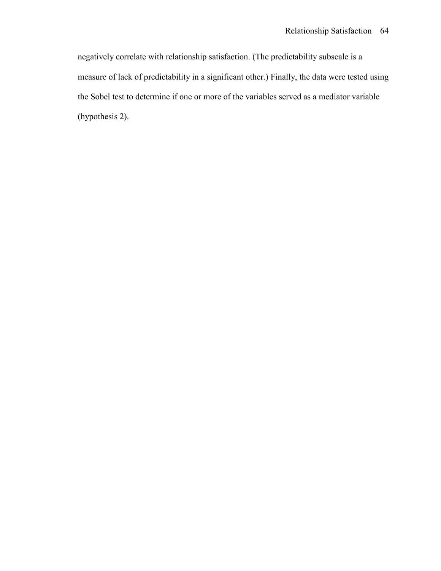negatively correlate with relationship satisfaction. (The predictability subscale is a measure of lack of predictability in a significant other.) Finally, the data were tested using the Sobel test to determine if one or more of the variables served as a mediator variable (hypothesis 2).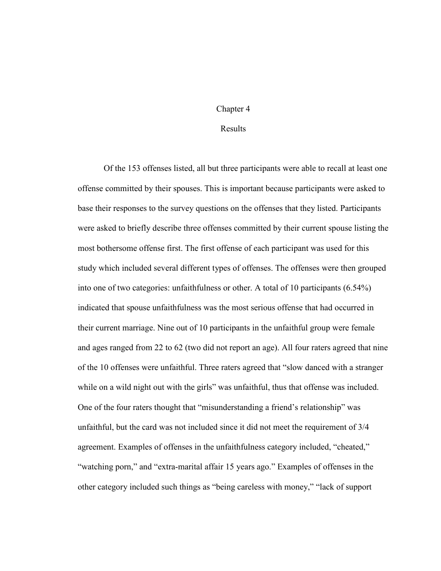#### Chapter 4

### Results

 Of the 153 offenses listed, all but three participants were able to recall at least one offense committed by their spouses. This is important because participants were asked to base their responses to the survey questions on the offenses that they listed. Participants were asked to briefly describe three offenses committed by their current spouse listing the most bothersome offense first. The first offense of each participant was used for this study which included several different types of offenses. The offenses were then grouped into one of two categories: unfaithfulness or other. A total of 10 participants (6.54%) indicated that spouse unfaithfulness was the most serious offense that had occurred in their current marriage. Nine out of 10 participants in the unfaithful group were female and ages ranged from 22 to 62 (two did not report an age). All four raters agreed that nine of the 10 offenses were unfaithful. Three raters agreed that "slow danced with a stranger while on a wild night out with the girls" was unfaithful, thus that offense was included. One of the four raters thought that "misunderstanding a friend's relationship" was unfaithful, but the card was not included since it did not meet the requirement of 3/4 agreement. Examples of offenses in the unfaithfulness category included, "cheated," "watching porn," and "extra-marital affair 15 years ago." Examples of offenses in the other category included such things as "being careless with money," "lack of support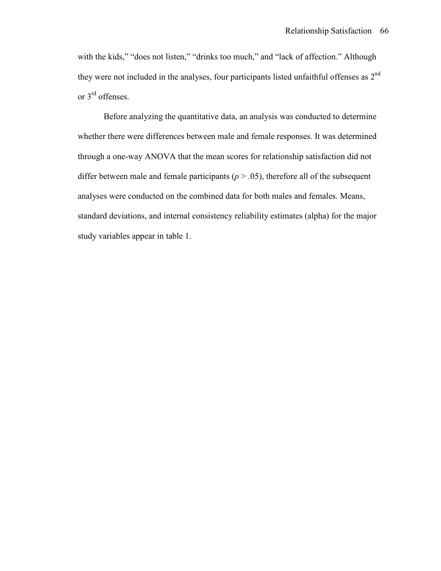with the kids," "does not listen," "drinks too much," and "lack of affection." Although they were not included in the analyses, four participants listed unfaithful offenses as  $2<sup>nd</sup>$ or 3rd offenses.

 Before analyzing the quantitative data, an analysis was conducted to determine whether there were differences between male and female responses. It was determined through a one-way ANOVA that the mean scores for relationship satisfaction did not differ between male and female participants ( $p > .05$ ), therefore all of the subsequent analyses were conducted on the combined data for both males and females. Means, standard deviations, and internal consistency reliability estimates (alpha) for the major study variables appear in table 1.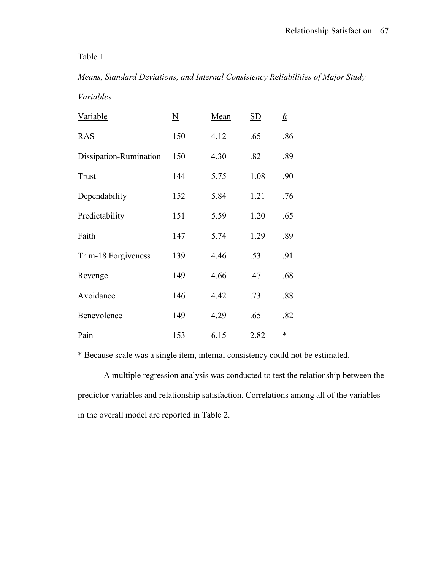### Table 1

# *Means, Standard Deviations, and Internal Consistency Reliabilities of Major Study*

*Variables* 

| Variable               | $\underline{\rm N}$ | Mean | $\underline{\mathrm{SD}}$ | $\underline{\acute{\alpha}}$ |
|------------------------|---------------------|------|---------------------------|------------------------------|
| <b>RAS</b>             | 150                 | 4.12 | .65                       | .86                          |
| Dissipation-Rumination | 150                 | 4.30 | .82                       | .89                          |
| Trust                  | 144                 | 5.75 | 1.08                      | .90                          |
| Dependability          | 152                 | 5.84 | 1.21                      | .76                          |
| Predictability         | 151                 | 5.59 | 1.20                      | .65                          |
| Faith                  | 147                 | 5.74 | 1.29                      | .89                          |
| Trim-18 Forgiveness    | 139                 | 4.46 | .53                       | .91                          |
| Revenge                | 149                 | 4.66 | .47                       | .68                          |
| Avoidance              | 146                 | 4.42 | .73                       | .88                          |
| Benevolence            | 149                 | 4.29 | .65                       | .82                          |
| Pain                   | 153                 | 6.15 | 2.82                      | $\ast$                       |

\* Because scale was a single item, internal consistency could not be estimated.

 A multiple regression analysis was conducted to test the relationship between the predictor variables and relationship satisfaction. Correlations among all of the variables in the overall model are reported in Table 2.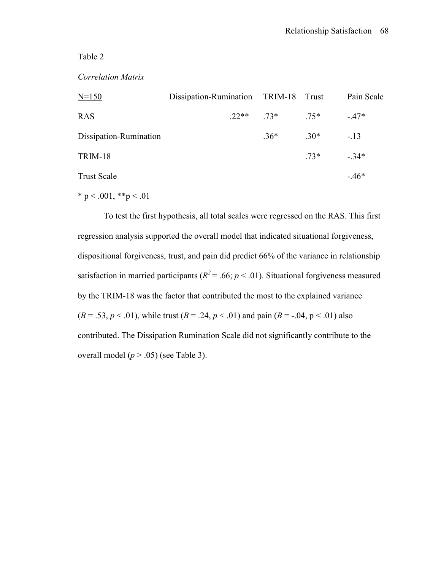### Table 2

### *Correlation Matrix*

| $N=150$                | Dissipation-Rumination TRIM-18 Trust |                |        | Pain Scale |
|------------------------|--------------------------------------|----------------|--------|------------|
| <b>RAS</b>             |                                      | $22**$ 73* 75* |        | $-47*$     |
| Dissipation-Rumination |                                      | $.36*$         | $.30*$ | $-.13$     |
| <b>TRIM-18</b>         |                                      |                | $.73*$ | $-34*$     |
| <b>Trust Scale</b>     |                                      |                |        | $-46*$     |

\* p < .001, \*\*p < .01

 To test the first hypothesis, all total scales were regressed on the RAS. This first regression analysis supported the overall model that indicated situational forgiveness, dispositional forgiveness, trust, and pain did predict 66% of the variance in relationship satisfaction in married participants ( $R^2$  = .66;  $p$  < .01). Situational forgiveness measured by the TRIM-18 was the factor that contributed the most to the explained variance  $(B = .53, p < .01)$ , while trust  $(B = .24, p < .01)$  and pain  $(B = .04, p < .01)$  also contributed. The Dissipation Rumination Scale did not significantly contribute to the overall model  $(p > .05)$  (see Table 3).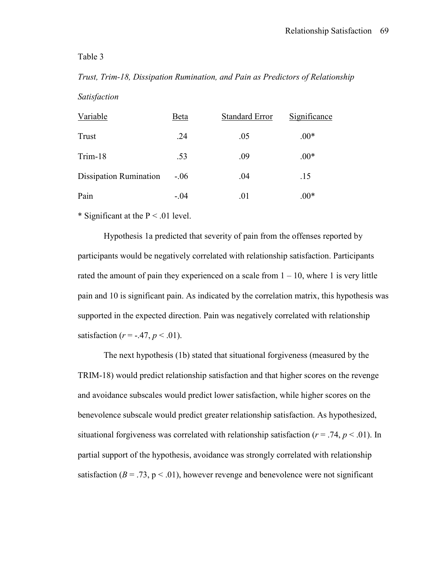### Table 3

# *Trust, Trim-18, Dissipation Rumination, and Pain as Predictors of Relationship Satisfaction*

| Variable                      | Beta    | <b>Standard Error</b> | Significance |
|-------------------------------|---------|-----------------------|--------------|
| Trust                         | .24     | .05                   | $.00*$       |
| Trim-18                       | .53     | .09                   | $.00*$       |
| <b>Dissipation Rumination</b> | $-0.06$ | .04                   | .15          |
| Pain                          | $-.04$  | .01                   | $.00*$       |

\* Significant at the  $P < 0.01$  level.

 Hypothesis 1a predicted that severity of pain from the offenses reported by participants would be negatively correlated with relationship satisfaction. Participants rated the amount of pain they experienced on a scale from  $1 - 10$ , where 1 is very little pain and 10 is significant pain. As indicated by the correlation matrix, this hypothesis was supported in the expected direction. Pain was negatively correlated with relationship satisfaction ( $r = -0.47$ ,  $p < 0.01$ ).

 The next hypothesis (1b) stated that situational forgiveness (measured by the TRIM-18) would predict relationship satisfaction and that higher scores on the revenge and avoidance subscales would predict lower satisfaction, while higher scores on the benevolence subscale would predict greater relationship satisfaction. As hypothesized, situational forgiveness was correlated with relationship satisfaction ( $r = .74$ ,  $p < .01$ ). In partial support of the hypothesis, avoidance was strongly correlated with relationship satisfaction ( $B = .73$ ,  $p < .01$ ), however revenge and benevolence were not significant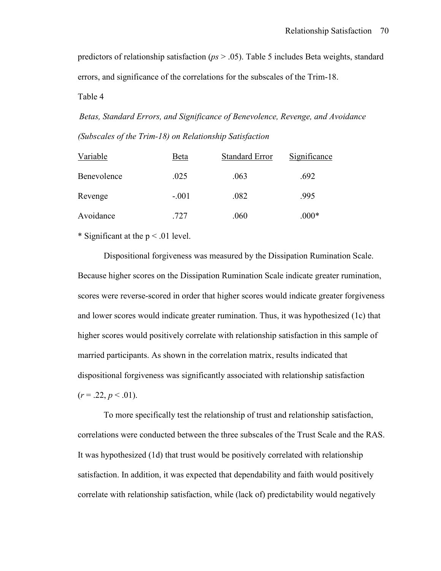predictors of relationship satisfaction (*ps* > .05). Table 5 includes Beta weights, standard errors, and significance of the correlations for the subscales of the Trim-18.

Table 4

*Betas, Standard Errors, and Significance of Benevolence, Revenge, and Avoidance (Subscales of the Trim-18) on Relationship Satisfaction* 

| Variable    | Beta    | <b>Standard Error</b> | Significance |
|-------------|---------|-----------------------|--------------|
| Benevolence | .025    | .063                  | .692         |
| Revenge     | $-.001$ | .082                  | .995         |
| Avoidance   | .727    | .060                  | $.000*$      |

\* Significant at the  $p < .01$  level.

 Dispositional forgiveness was measured by the Dissipation Rumination Scale. Because higher scores on the Dissipation Rumination Scale indicate greater rumination, scores were reverse-scored in order that higher scores would indicate greater forgiveness and lower scores would indicate greater rumination. Thus, it was hypothesized (1c) that higher scores would positively correlate with relationship satisfaction in this sample of married participants. As shown in the correlation matrix, results indicated that dispositional forgiveness was significantly associated with relationship satisfaction  $(r = .22, p < .01)$ .

 To more specifically test the relationship of trust and relationship satisfaction, correlations were conducted between the three subscales of the Trust Scale and the RAS. It was hypothesized (1d) that trust would be positively correlated with relationship satisfaction. In addition, it was expected that dependability and faith would positively correlate with relationship satisfaction, while (lack of) predictability would negatively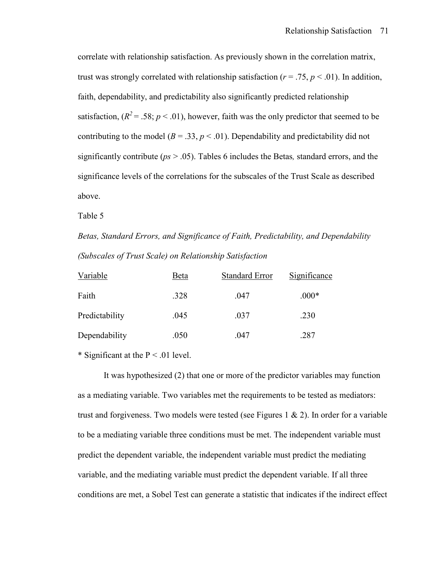correlate with relationship satisfaction. As previously shown in the correlation matrix, trust was strongly correlated with relationship satisfaction ( $r = .75$ ,  $p < .01$ ). In addition, faith, dependability, and predictability also significantly predicted relationship satisfaction,  $(R^2 = .58; p < .01)$ , however, faith was the only predictor that seemed to be contributing to the model ( $B = .33$ ,  $p < .01$ ). Dependability and predictability did not significantly contribute (*ps* > .05). Tables 6 includes the Betas*,* standard errors, and the significance levels of the correlations for the subscales of the Trust Scale as described above.

Table 5

*Betas, Standard Errors, and Significance of Faith, Predictability, and Dependability (Subscales of Trust Scale) on Relationship Satisfaction* 

| Variable       | Beta | <b>Standard Error</b> | Significance |
|----------------|------|-----------------------|--------------|
| Faith          | .328 | .047                  | $.000*$      |
| Predictability | .045 | .037                  | .230         |
| Dependability  | .050 | .047                  | .287         |

\* Significant at the  $P < 0.01$  level.

 It was hypothesized (2) that one or more of the predictor variables may function as a mediating variable. Two variables met the requirements to be tested as mediators: trust and forgiveness. Two models were tested (see Figures 1  $\&$  2). In order for a variable to be a mediating variable three conditions must be met. The independent variable must predict the dependent variable, the independent variable must predict the mediating variable, and the mediating variable must predict the dependent variable. If all three conditions are met, a Sobel Test can generate a statistic that indicates if the indirect effect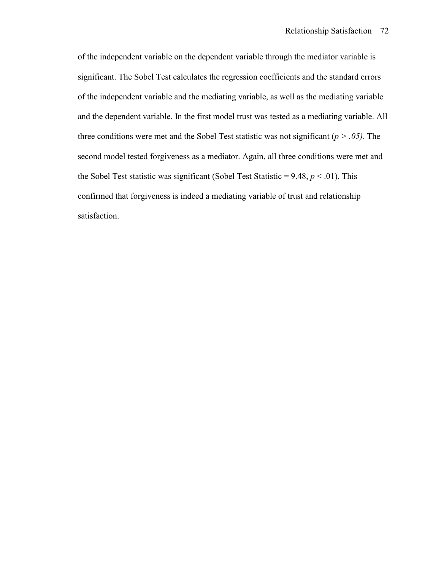of the independent variable on the dependent variable through the mediator variable is significant. The Sobel Test calculates the regression coefficients and the standard errors of the independent variable and the mediating variable, as well as the mediating variable and the dependent variable. In the first model trust was tested as a mediating variable. All three conditions were met and the Sobel Test statistic was not significant (*p > .05).* The second model tested forgiveness as a mediator. Again, all three conditions were met and the Sobel Test statistic was significant (Sobel Test Statistic =  $9.48$ ,  $p < .01$ ). This confirmed that forgiveness is indeed a mediating variable of trust and relationship satisfaction.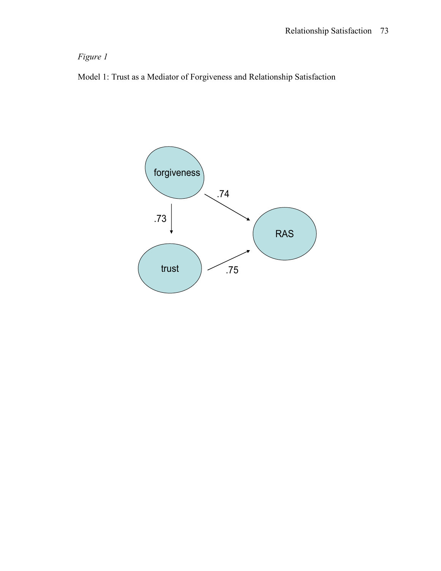# *Figure 1*

Model 1: Trust as a Mediator of Forgiveness and Relationship Satisfaction

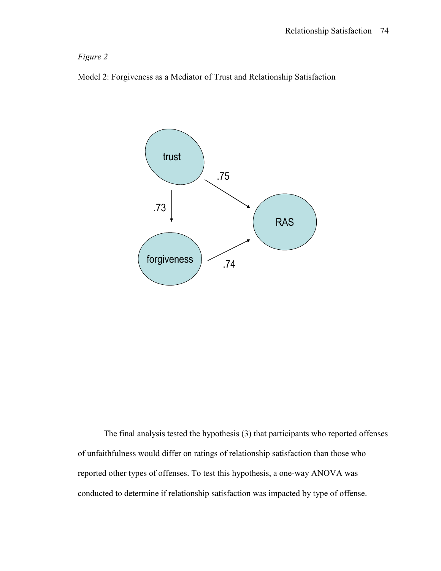# *Figure 2*





 The final analysis tested the hypothesis (3) that participants who reported offenses of unfaithfulness would differ on ratings of relationship satisfaction than those who reported other types of offenses. To test this hypothesis, a one-way ANOVA was conducted to determine if relationship satisfaction was impacted by type of offense.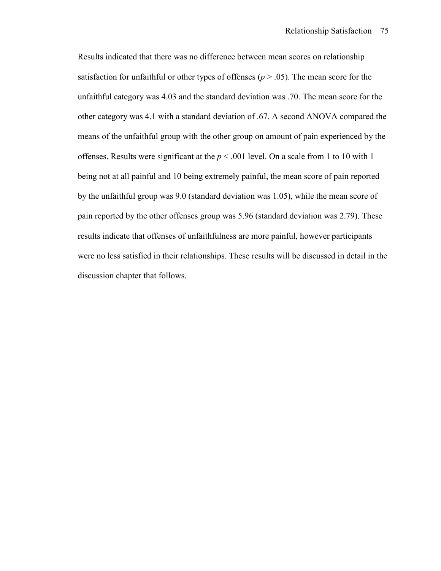Results indicated that there was no difference between mean scores on relationship satisfaction for unfaithful or other types of offenses ( $p > .05$ ). The mean score for the unfaithful category was 4.03 and the standard deviation was .70. The mean score for the other category was 4.1 with a standard deviation of .67. A second ANOVA compared the means of the unfaithful group with the other group on amount of pain experienced by the offenses. Results were significant at the *p* < .001 level. On a scale from 1 to 10 with 1 being not at all painful and 10 being extremely painful, the mean score of pain reported by the unfaithful group was 9.0 (standard deviation was 1.05), while the mean score of pain reported by the other offenses group was 5.96 (standard deviation was 2.79). These results indicate that offenses of unfaithfulness are more painful, however participants were no less satisfied in their relationships. These results will be discussed in detail in the discussion chapter that follows.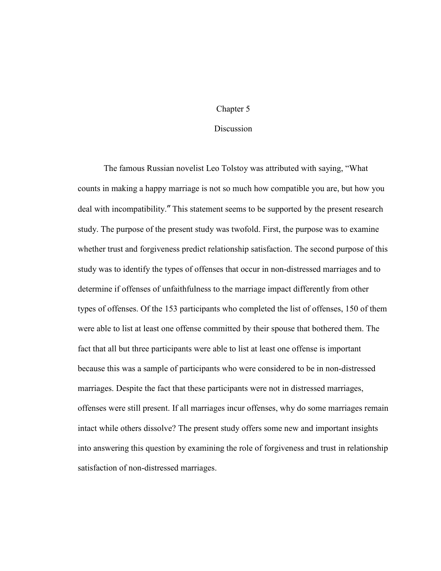#### Chapter 5

### **Discussion**

 The famous Russian novelist Leo Tolstoy was attributed with saying, "What counts in making a happy marriage is not so much how compatible you are, but how you deal with incompatibility." This statement seems to be supported by the present research study. The purpose of the present study was twofold. First, the purpose was to examine whether trust and forgiveness predict relationship satisfaction. The second purpose of this study was to identify the types of offenses that occur in non-distressed marriages and to determine if offenses of unfaithfulness to the marriage impact differently from other types of offenses. Of the 153 participants who completed the list of offenses, 150 of them were able to list at least one offense committed by their spouse that bothered them. The fact that all but three participants were able to list at least one offense is important because this was a sample of participants who were considered to be in non-distressed marriages. Despite the fact that these participants were not in distressed marriages, offenses were still present. If all marriages incur offenses, why do some marriages remain intact while others dissolve? The present study offers some new and important insights into answering this question by examining the role of forgiveness and trust in relationship satisfaction of non-distressed marriages.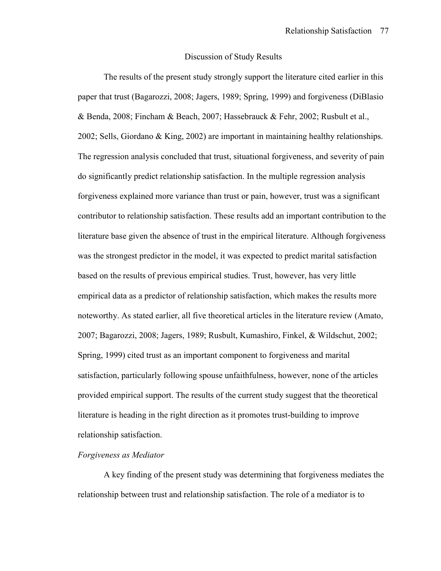#### Discussion of Study Results

 The results of the present study strongly support the literature cited earlier in this paper that trust (Bagarozzi, 2008; Jagers, 1989; Spring, 1999) and forgiveness (DiBlasio & Benda, 2008; Fincham & Beach, 2007; Hassebrauck & Fehr, 2002; Rusbult et al., 2002; Sells, Giordano & King, 2002) are important in maintaining healthy relationships. The regression analysis concluded that trust, situational forgiveness, and severity of pain do significantly predict relationship satisfaction. In the multiple regression analysis forgiveness explained more variance than trust or pain, however, trust was a significant contributor to relationship satisfaction. These results add an important contribution to the literature base given the absence of trust in the empirical literature. Although forgiveness was the strongest predictor in the model, it was expected to predict marital satisfaction based on the results of previous empirical studies. Trust, however, has very little empirical data as a predictor of relationship satisfaction, which makes the results more noteworthy. As stated earlier, all five theoretical articles in the literature review (Amato, 2007; Bagarozzi, 2008; Jagers, 1989; Rusbult, Kumashiro, Finkel, & Wildschut, 2002; Spring, 1999) cited trust as an important component to forgiveness and marital satisfaction, particularly following spouse unfaithfulness, however, none of the articles provided empirical support. The results of the current study suggest that the theoretical literature is heading in the right direction as it promotes trust-building to improve relationship satisfaction.

#### *Forgiveness as Mediator*

 A key finding of the present study was determining that forgiveness mediates the relationship between trust and relationship satisfaction. The role of a mediator is to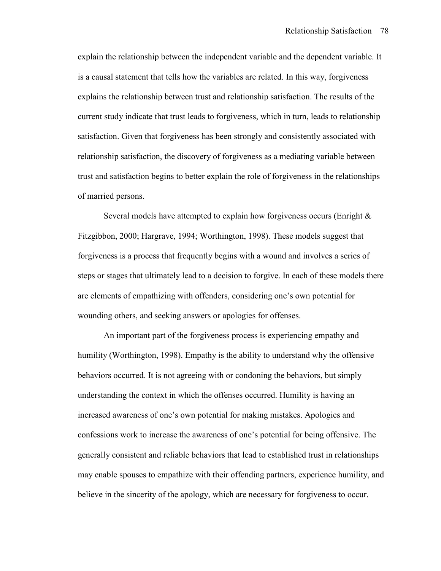explain the relationship between the independent variable and the dependent variable. It is a causal statement that tells how the variables are related. In this way, forgiveness explains the relationship between trust and relationship satisfaction. The results of the current study indicate that trust leads to forgiveness, which in turn, leads to relationship satisfaction. Given that forgiveness has been strongly and consistently associated with relationship satisfaction, the discovery of forgiveness as a mediating variable between trust and satisfaction begins to better explain the role of forgiveness in the relationships of married persons.

Several models have attempted to explain how forgiveness occurs (Enright & Fitzgibbon, 2000; Hargrave, 1994; Worthington, 1998). These models suggest that forgiveness is a process that frequently begins with a wound and involves a series of steps or stages that ultimately lead to a decision to forgive. In each of these models there are elements of empathizing with offenders, considering one's own potential for wounding others, and seeking answers or apologies for offenses.

 An important part of the forgiveness process is experiencing empathy and humility (Worthington, 1998). Empathy is the ability to understand why the offensive behaviors occurred. It is not agreeing with or condoning the behaviors, but simply understanding the context in which the offenses occurred. Humility is having an increased awareness of one's own potential for making mistakes. Apologies and confessions work to increase the awareness of one's potential for being offensive. The generally consistent and reliable behaviors that lead to established trust in relationships may enable spouses to empathize with their offending partners, experience humility, and believe in the sincerity of the apology, which are necessary for forgiveness to occur.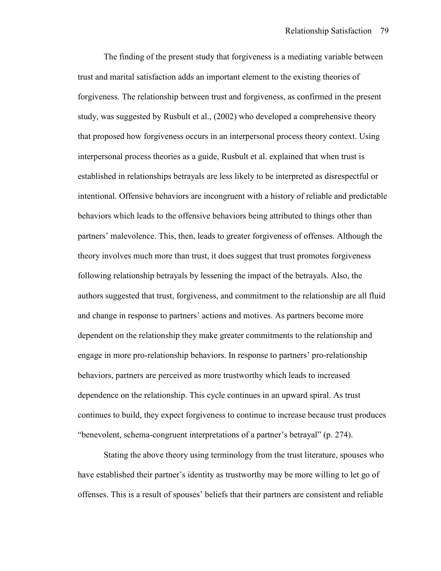The finding of the present study that forgiveness is a mediating variable between trust and marital satisfaction adds an important element to the existing theories of forgiveness. The relationship between trust and forgiveness, as confirmed in the present study, was suggested by Rusbult et al., (2002) who developed a comprehensive theory that proposed how forgiveness occurs in an interpersonal process theory context. Using interpersonal process theories as a guide, Rusbult et al. explained that when trust is established in relationships betrayals are less likely to be interpreted as disrespectful or intentional. Offensive behaviors are incongruent with a history of reliable and predictable behaviors which leads to the offensive behaviors being attributed to things other than partners' malevolence. This, then, leads to greater forgiveness of offenses. Although the theory involves much more than trust, it does suggest that trust promotes forgiveness following relationship betrayals by lessening the impact of the betrayals. Also, the authors suggested that trust, forgiveness, and commitment to the relationship are all fluid and change in response to partners' actions and motives. As partners become more dependent on the relationship they make greater commitments to the relationship and engage in more pro-relationship behaviors. In response to partners' pro-relationship behaviors, partners are perceived as more trustworthy which leads to increased dependence on the relationship. This cycle continues in an upward spiral. As trust continues to build, they expect forgiveness to continue to increase because trust produces "benevolent, schema-congruent interpretations of a partner's betrayal" (p. 274).

 Stating the above theory using terminology from the trust literature, spouses who have established their partner's identity as trustworthy may be more willing to let go of offenses. This is a result of spouses' beliefs that their partners are consistent and reliable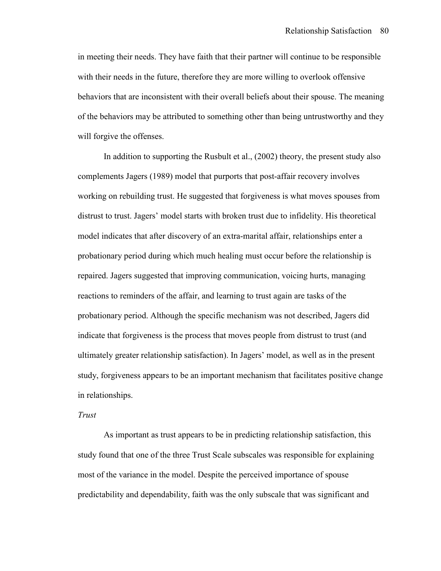in meeting their needs. They have faith that their partner will continue to be responsible with their needs in the future, therefore they are more willing to overlook offensive behaviors that are inconsistent with their overall beliefs about their spouse. The meaning of the behaviors may be attributed to something other than being untrustworthy and they will forgive the offenses.

 In addition to supporting the Rusbult et al., (2002) theory, the present study also complements Jagers (1989) model that purports that post-affair recovery involves working on rebuilding trust. He suggested that forgiveness is what moves spouses from distrust to trust. Jagers' model starts with broken trust due to infidelity. His theoretical model indicates that after discovery of an extra-marital affair, relationships enter a probationary period during which much healing must occur before the relationship is repaired. Jagers suggested that improving communication, voicing hurts, managing reactions to reminders of the affair, and learning to trust again are tasks of the probationary period. Although the specific mechanism was not described, Jagers did indicate that forgiveness is the process that moves people from distrust to trust (and ultimately greater relationship satisfaction). In Jagers' model, as well as in the present study, forgiveness appears to be an important mechanism that facilitates positive change in relationships.

#### *Trust*

 As important as trust appears to be in predicting relationship satisfaction, this study found that one of the three Trust Scale subscales was responsible for explaining most of the variance in the model. Despite the perceived importance of spouse predictability and dependability, faith was the only subscale that was significant and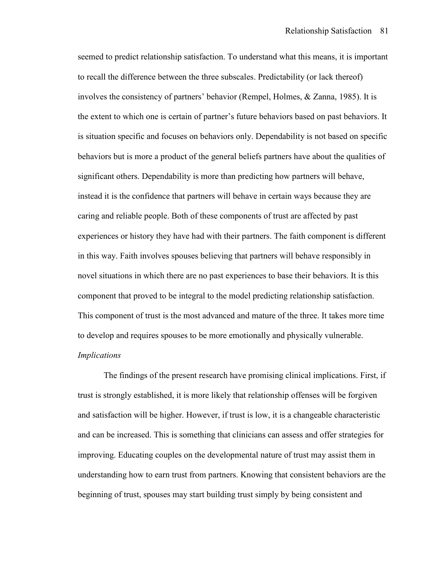seemed to predict relationship satisfaction. To understand what this means, it is important to recall the difference between the three subscales. Predictability (or lack thereof) involves the consistency of partners' behavior (Rempel, Holmes, & Zanna, 1985). It is the extent to which one is certain of partner's future behaviors based on past behaviors. It is situation specific and focuses on behaviors only. Dependability is not based on specific behaviors but is more a product of the general beliefs partners have about the qualities of significant others. Dependability is more than predicting how partners will behave, instead it is the confidence that partners will behave in certain ways because they are caring and reliable people. Both of these components of trust are affected by past experiences or history they have had with their partners. The faith component is different in this way. Faith involves spouses believing that partners will behave responsibly in novel situations in which there are no past experiences to base their behaviors. It is this component that proved to be integral to the model predicting relationship satisfaction. This component of trust is the most advanced and mature of the three. It takes more time to develop and requires spouses to be more emotionally and physically vulnerable. *Implications* 

 The findings of the present research have promising clinical implications. First, if trust is strongly established, it is more likely that relationship offenses will be forgiven and satisfaction will be higher. However, if trust is low, it is a changeable characteristic and can be increased. This is something that clinicians can assess and offer strategies for improving. Educating couples on the developmental nature of trust may assist them in understanding how to earn trust from partners. Knowing that consistent behaviors are the beginning of trust, spouses may start building trust simply by being consistent and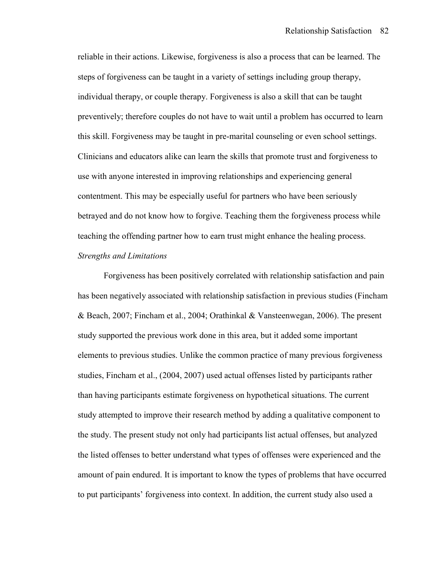reliable in their actions. Likewise, forgiveness is also a process that can be learned. The steps of forgiveness can be taught in a variety of settings including group therapy, individual therapy, or couple therapy. Forgiveness is also a skill that can be taught preventively; therefore couples do not have to wait until a problem has occurred to learn this skill. Forgiveness may be taught in pre-marital counseling or even school settings. Clinicians and educators alike can learn the skills that promote trust and forgiveness to use with anyone interested in improving relationships and experiencing general contentment. This may be especially useful for partners who have been seriously betrayed and do not know how to forgive. Teaching them the forgiveness process while teaching the offending partner how to earn trust might enhance the healing process. *Strengths and Limitations* 

 Forgiveness has been positively correlated with relationship satisfaction and pain has been negatively associated with relationship satisfaction in previous studies (Fincham & Beach, 2007; Fincham et al., 2004; Orathinkal & Vansteenwegan, 2006). The present study supported the previous work done in this area, but it added some important elements to previous studies. Unlike the common practice of many previous forgiveness studies, Fincham et al., (2004, 2007) used actual offenses listed by participants rather than having participants estimate forgiveness on hypothetical situations. The current study attempted to improve their research method by adding a qualitative component to the study. The present study not only had participants list actual offenses, but analyzed the listed offenses to better understand what types of offenses were experienced and the amount of pain endured. It is important to know the types of problems that have occurred to put participants' forgiveness into context. In addition, the current study also used a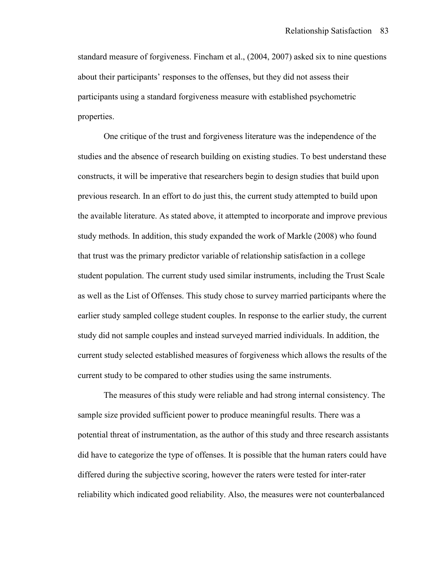standard measure of forgiveness. Fincham et al., (2004, 2007) asked six to nine questions about their participants' responses to the offenses, but they did not assess their participants using a standard forgiveness measure with established psychometric properties.

 One critique of the trust and forgiveness literature was the independence of the studies and the absence of research building on existing studies. To best understand these constructs, it will be imperative that researchers begin to design studies that build upon previous research. In an effort to do just this, the current study attempted to build upon the available literature. As stated above, it attempted to incorporate and improve previous study methods. In addition, this study expanded the work of Markle (2008) who found that trust was the primary predictor variable of relationship satisfaction in a college student population. The current study used similar instruments, including the Trust Scale as well as the List of Offenses. This study chose to survey married participants where the earlier study sampled college student couples. In response to the earlier study, the current study did not sample couples and instead surveyed married individuals. In addition, the current study selected established measures of forgiveness which allows the results of the current study to be compared to other studies using the same instruments.

 The measures of this study were reliable and had strong internal consistency. The sample size provided sufficient power to produce meaningful results. There was a potential threat of instrumentation, as the author of this study and three research assistants did have to categorize the type of offenses. It is possible that the human raters could have differed during the subjective scoring, however the raters were tested for inter-rater reliability which indicated good reliability. Also, the measures were not counterbalanced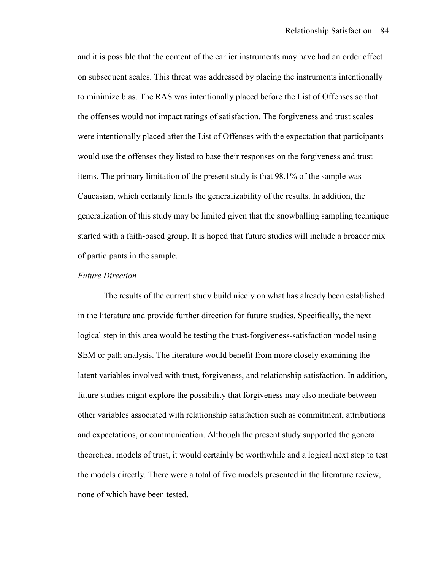and it is possible that the content of the earlier instruments may have had an order effect on subsequent scales. This threat was addressed by placing the instruments intentionally to minimize bias. The RAS was intentionally placed before the List of Offenses so that the offenses would not impact ratings of satisfaction. The forgiveness and trust scales were intentionally placed after the List of Offenses with the expectation that participants would use the offenses they listed to base their responses on the forgiveness and trust items. The primary limitation of the present study is that 98.1% of the sample was Caucasian, which certainly limits the generalizability of the results. In addition, the generalization of this study may be limited given that the snowballing sampling technique started with a faith-based group. It is hoped that future studies will include a broader mix of participants in the sample.

#### *Future Direction*

 The results of the current study build nicely on what has already been established in the literature and provide further direction for future studies. Specifically, the next logical step in this area would be testing the trust-forgiveness-satisfaction model using SEM or path analysis. The literature would benefit from more closely examining the latent variables involved with trust, forgiveness, and relationship satisfaction. In addition, future studies might explore the possibility that forgiveness may also mediate between other variables associated with relationship satisfaction such as commitment, attributions and expectations, or communication. Although the present study supported the general theoretical models of trust, it would certainly be worthwhile and a logical next step to test the models directly. There were a total of five models presented in the literature review, none of which have been tested.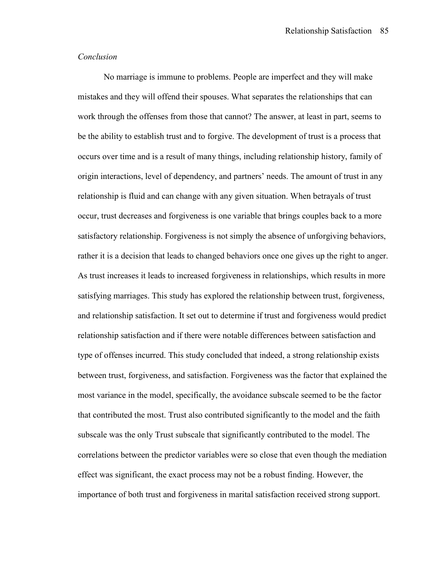#### *Conclusion*

 No marriage is immune to problems. People are imperfect and they will make mistakes and they will offend their spouses. What separates the relationships that can work through the offenses from those that cannot? The answer, at least in part, seems to be the ability to establish trust and to forgive. The development of trust is a process that occurs over time and is a result of many things, including relationship history, family of origin interactions, level of dependency, and partners' needs. The amount of trust in any relationship is fluid and can change with any given situation. When betrayals of trust occur, trust decreases and forgiveness is one variable that brings couples back to a more satisfactory relationship. Forgiveness is not simply the absence of unforgiving behaviors, rather it is a decision that leads to changed behaviors once one gives up the right to anger. As trust increases it leads to increased forgiveness in relationships, which results in more satisfying marriages. This study has explored the relationship between trust, forgiveness, and relationship satisfaction. It set out to determine if trust and forgiveness would predict relationship satisfaction and if there were notable differences between satisfaction and type of offenses incurred. This study concluded that indeed, a strong relationship exists between trust, forgiveness, and satisfaction. Forgiveness was the factor that explained the most variance in the model, specifically, the avoidance subscale seemed to be the factor that contributed the most. Trust also contributed significantly to the model and the faith subscale was the only Trust subscale that significantly contributed to the model. The correlations between the predictor variables were so close that even though the mediation effect was significant, the exact process may not be a robust finding. However, the importance of both trust and forgiveness in marital satisfaction received strong support.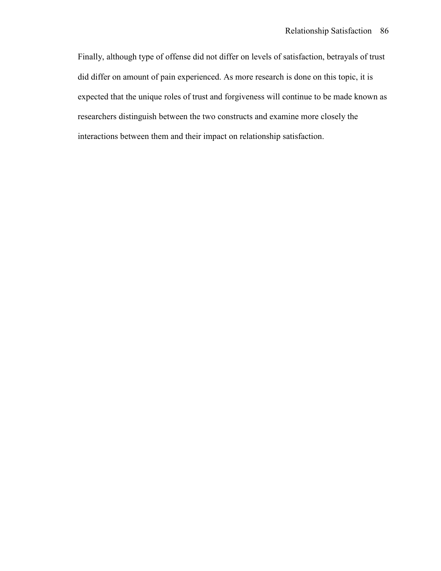Finally, although type of offense did not differ on levels of satisfaction, betrayals of trust did differ on amount of pain experienced. As more research is done on this topic, it is expected that the unique roles of trust and forgiveness will continue to be made known as researchers distinguish between the two constructs and examine more closely the interactions between them and their impact on relationship satisfaction.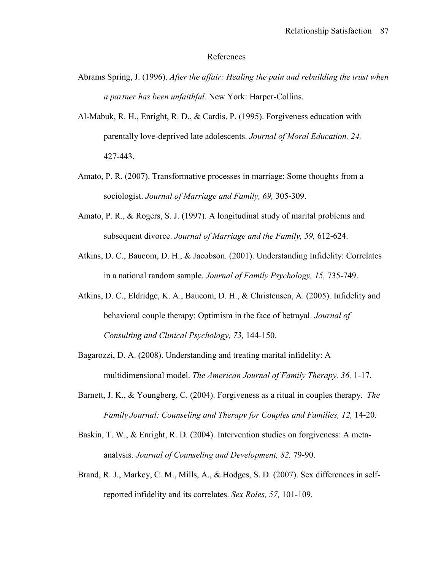#### References

- Abrams Spring, J. (1996). *After the affair: Healing the pain and rebuilding the trust when a partner has been unfaithful.* New York: Harper-Collins.
- Al-Mabuk, R. H., Enright, R. D., & Cardis, P. (1995). Forgiveness education with parentally love-deprived late adolescents. *Journal of Moral Education, 24,*  427-443.
- Amato, P. R. (2007). Transformative processes in marriage: Some thoughts from a sociologist. *Journal of Marriage and Family, 69,* 305-309.
- Amato, P. R., & Rogers, S. J. (1997). A longitudinal study of marital problems and subsequent divorce. *Journal of Marriage and the Family, 59,* 612-624.
- Atkins, D. C., Baucom, D. H., & Jacobson. (2001). Understanding Infidelity: Correlates in a national random sample. *Journal of Family Psychology, 15,* 735-749.
- Atkins, D. C., Eldridge, K. A., Baucom, D. H., & Christensen, A. (2005). Infidelity and behavioral couple therapy: Optimism in the face of betrayal. *Journal of Consulting and Clinical Psychology, 73,* 144-150.
- Bagarozzi, D. A. (2008). Understanding and treating marital infidelity: A multidimensional model. *The American Journal of Family Therapy, 36,* 1-17.
- Barnett, J. K., & Youngberg, C. (2004). Forgiveness as a ritual in couples therapy. *The Family Journal: Counseling and Therapy for Couples and Families, 12, 14-20.*
- Baskin, T. W., & Enright, R. D. (2004). Intervention studies on forgiveness: A meta analysis. *Journal of Counseling and Development, 82,* 79-90.
- Brand, R. J., Markey, C. M., Mills, A., & Hodges, S. D. (2007). Sex differences in self reported infidelity and its correlates. *Sex Roles, 57,* 101-109*.*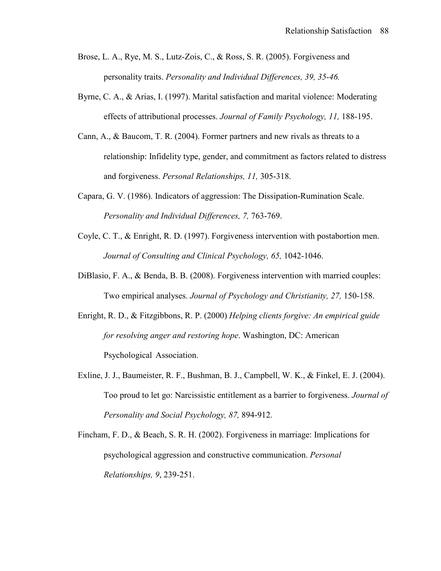- Brose, L. A., Rye, M. S., Lutz-Zois, C., & Ross, S. R. (2005). Forgiveness and personality traits. *Personality and Individual Differences, 39, 35-46.*
- Byrne, C. A., & Arias, I. (1997). Marital satisfaction and marital violence: Moderating effects of attributional processes. *Journal of Family Psychology, 11,* 188-195.
- Cann, A., & Baucom, T. R. (2004). Former partners and new rivals as threats to a relationship: Infidelity type, gender, and commitment as factors related to distress and forgiveness. *Personal Relationships, 11,* 305-318.
- Capara, G. V. (1986). Indicators of aggression: The Dissipation-Rumination Scale. *Personality and Individual Differences, 7,* 763-769.
- Coyle, C. T., & Enright, R. D. (1997). Forgiveness intervention with postabortion men. *Journal of Consulting and Clinical Psychology, 65,* 1042-1046.
- DiBlasio, F. A., & Benda, B. B. (2008). Forgiveness intervention with married couples: Two empirical analyses. *Journal of Psychology and Christianity, 27,* 150-158.
- Enright, R. D., & Fitzgibbons, R. P. (2000) *Helping clients forgive: An empirical guide for resolving anger and restoring hope*. Washington, DC: American Psychological Association.
- Exline, J. J., Baumeister, R. F., Bushman, B. J., Campbell, W. K., & Finkel, E. J. (2004). Too proud to let go: Narcissistic entitlement as a barrier to forgiveness. *Journal of Personality and Social Psychology, 87,* 894-912.
- Fincham, F. D., & Beach, S. R. H. (2002). Forgiveness in marriage: Implications for psychological aggression and constructive communication. *Personal Relationships, 9*, 239-251.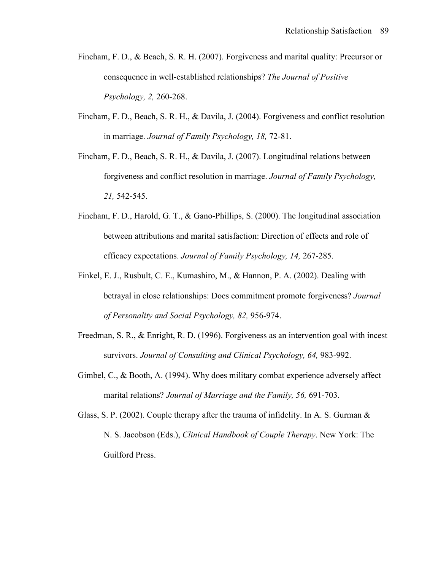- Fincham, F. D., & Beach, S. R. H. (2007). Forgiveness and marital quality: Precursor or consequence in well-established relationships? *The Journal of Positive Psychology, 2,* 260-268.
- Fincham, F. D., Beach, S. R. H., & Davila, J. (2004). Forgiveness and conflict resolution in marriage. *Journal of Family Psychology, 18,* 72-81.
- Fincham, F. D., Beach, S. R. H., & Davila, J. (2007). Longitudinal relations between forgiveness and conflict resolution in marriage. *Journal of Family Psychology, 21,* 542-545.
- Fincham, F. D., Harold, G. T., & Gano-Phillips, S. (2000). The longitudinal association between attributions and marital satisfaction: Direction of effects and role of efficacy expectations. *Journal of Family Psychology, 14,* 267-285.
- Finkel, E. J., Rusbult, C. E., Kumashiro, M., & Hannon, P. A. (2002). Dealing with betrayal in close relationships: Does commitment promote forgiveness? *Journal of Personality and Social Psychology, 82,* 956-974.
- Freedman, S. R., & Enright, R. D. (1996). Forgiveness as an intervention goal with incest survivors. *Journal of Consulting and Clinical Psychology, 64,* 983-992.
- Gimbel, C., & Booth, A. (1994). Why does military combat experience adversely affect marital relations? *Journal of Marriage and the Family, 56,* 691-703.
- Glass, S. P. (2002). Couple therapy after the trauma of infidelity. In A. S. Gurman  $\&$  N. S. Jacobson (Eds.), *Clinical Handbook of Couple Therapy*. New York: The Guilford Press.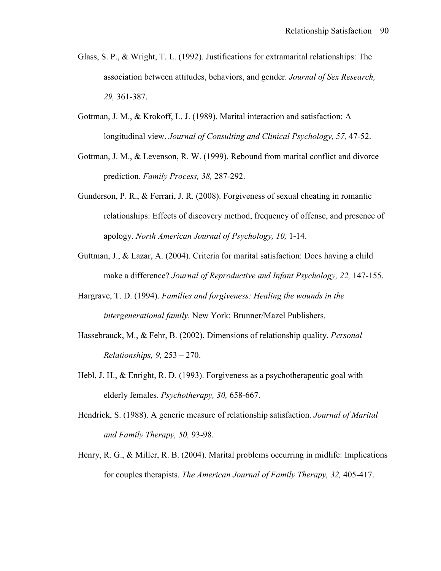- Glass, S. P., & Wright, T. L. (1992). Justifications for extramarital relationships: The association between attitudes, behaviors, and gender. *Journal of Sex Research, 29,* 361-387.
- Gottman, J. M., & Krokoff, L. J. (1989). Marital interaction and satisfaction: A longitudinal view. *Journal of Consulting and Clinical Psychology, 57,* 47-52.
- Gottman, J. M., & Levenson, R. W. (1999). Rebound from marital conflict and divorce prediction. *Family Process, 38,* 287-292.
- Gunderson, P. R., & Ferrari, J. R. (2008). Forgiveness of sexual cheating in romantic relationships: Effects of discovery method, frequency of offense, and presence of apology. *North American Journal of Psychology, 10,* 1-14.
- Guttman, J., & Lazar, A. (2004). Criteria for marital satisfaction: Does having a child make a difference? *Journal of Reproductive and Infant Psychology, 22,* 147-155.
- Hargrave, T. D. (1994). *Families and forgiveness: Healing the wounds in the intergenerational family.* New York: Brunner/Mazel Publishers.
- Hassebrauck, M., & Fehr, B. (2002). Dimensions of relationship quality. *Personal Relationships, 9,* 253 – 270.
- Hebl, J. H., & Enright, R. D. (1993). Forgiveness as a psychotherapeutic goal with elderly females. *Psychotherapy, 30,* 658-667.
- Hendrick, S. (1988). A generic measure of relationship satisfaction. *Journal of Marital and Family Therapy, 50,* 93-98.
- Henry, R. G., & Miller, R. B. (2004). Marital problems occurring in midlife: Implications for couples therapists. *The American Journal of Family Therapy, 32,* 405-417.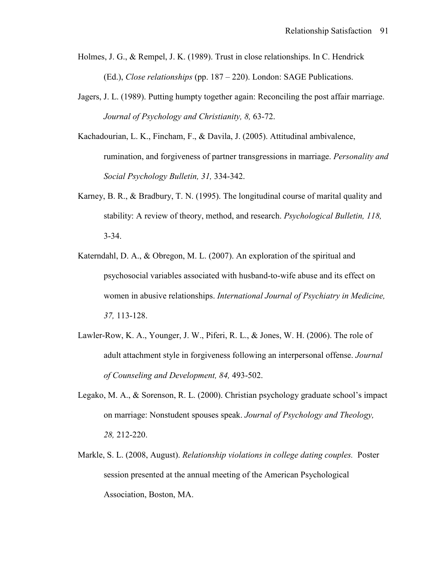- Holmes, J. G., & Rempel, J. K. (1989). Trust in close relationships. In C. Hendrick (Ed.), *Close relationships* (pp. 187 – 220). London: SAGE Publications.
- Jagers, J. L. (1989). Putting humpty together again: Reconciling the post affair marriage. *Journal of Psychology and Christianity, 8,* 63-72.
- Kachadourian, L. K., Fincham, F., & Davila, J. (2005). Attitudinal ambivalence, rumination, and forgiveness of partner transgressions in marriage. *Personality and Social Psychology Bulletin, 31,* 334-342.
- Karney, B. R., & Bradbury, T. N. (1995). The longitudinal course of marital quality and stability: A review of theory, method, and research. *Psychological Bulletin, 118,*  3-34.
- Katerndahl, D. A., & Obregon, M. L. (2007). An exploration of the spiritual and psychosocial variables associated with husband-to-wife abuse and its effect on women in abusive relationships. *International Journal of Psychiatry in Medicine, 37,* 113-128.
- Lawler-Row, K. A., Younger, J. W., Piferi, R. L., & Jones, W. H. (2006). The role of adult attachment style in forgiveness following an interpersonal offense. *Journal of Counseling and Development, 84,* 493-502.
- Legako, M. A., & Sorenson, R. L. (2000). Christian psychology graduate school's impact on marriage: Nonstudent spouses speak. *Journal of Psychology and Theology, 28,* 212-220.
- Markle, S. L. (2008, August). *Relationship violations in college dating couples.* Poster session presented at the annual meeting of the American Psychological Association, Boston, MA.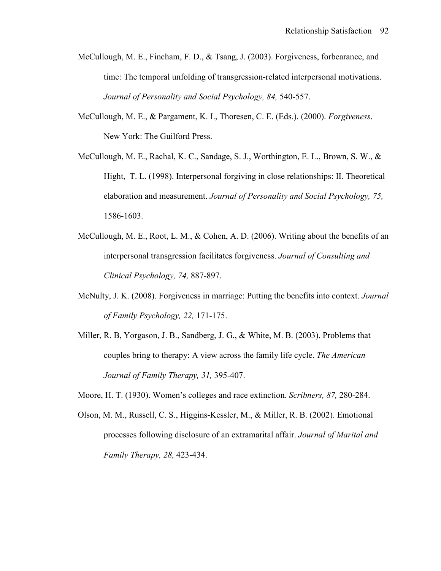- McCullough, M. E., Fincham, F. D., & Tsang, J. (2003). Forgiveness, forbearance, and time: The temporal unfolding of transgression-related interpersonal motivations. *Journal of Personality and Social Psychology, 84,* 540-557.
- McCullough, M. E., & Pargament, K. I., Thoresen, C. E. (Eds.). (2000). *Forgiveness*. New York: The Guilford Press.
- McCullough, M. E., Rachal, K. C., Sandage, S. J., Worthington, E. L., Brown, S. W., & Hight, T. L. (1998). Interpersonal forgiving in close relationships: II. Theoretical elaboration and measurement. *Journal of Personality and Social Psychology, 75,*  1586-1603.
- McCullough, M. E., Root, L. M., & Cohen, A. D. (2006). Writing about the benefits of an interpersonal transgression facilitates forgiveness. *Journal of Consulting and Clinical Psychology, 74,* 887-897.
- McNulty, J. K. (2008). Forgiveness in marriage: Putting the benefits into context. *Journal of Family Psychology, 22,* 171-175.
- Miller, R. B, Yorgason, J. B., Sandberg, J. G., & White, M. B. (2003). Problems that couples bring to therapy: A view across the family life cycle. *The American Journal of Family Therapy, 31,* 395-407.
- Moore, H. T. (1930). Women's colleges and race extinction. *Scribners, 87,* 280-284.
- Olson, M. M., Russell, C. S., Higgins-Kessler, M., & Miller, R. B. (2002). Emotional processes following disclosure of an extramarital affair. *Journal of Marital and Family Therapy, 28,* 423-434.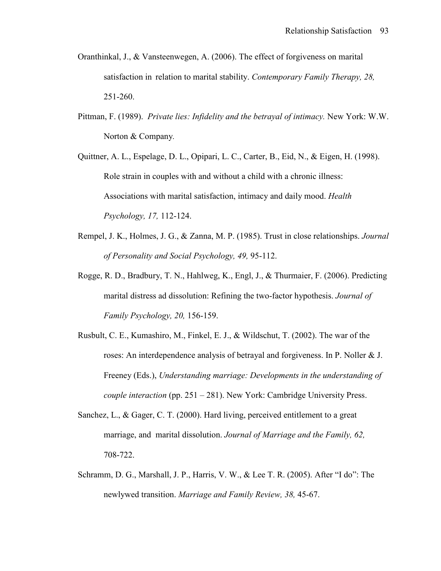- Oranthinkal, J., & Vansteenwegen, A. (2006). The effect of forgiveness on marital satisfaction in relation to marital stability. *Contemporary Family Therapy, 28,*  251-260.
- Pittman, F. (1989). *Private lies: Infidelity and the betrayal of intimacy.* New York: W.W. Norton & Company*.*
- Quittner, A. L., Espelage, D. L., Opipari, L. C., Carter, B., Eid, N., & Eigen, H. (1998). Role strain in couples with and without a child with a chronic illness: Associations with marital satisfaction, intimacy and daily mood. *Health Psychology, 17,* 112-124.
- Rempel, J. K., Holmes, J. G., & Zanna, M. P. (1985). Trust in close relationships. *Journal of Personality and Social Psychology, 49,* 95-112.
- Rogge, R. D., Bradbury, T. N., Hahlweg, K., Engl, J., & Thurmaier, F. (2006). Predicting marital distress ad dissolution: Refining the two-factor hypothesis. *Journal of Family Psychology, 20,* 156-159.
- Rusbult, C. E., Kumashiro, M., Finkel, E. J., & Wildschut, T. (2002). The war of the roses: An interdependence analysis of betrayal and forgiveness. In P. Noller & J. Freeney (Eds.), *Understanding marriage: Developments in the understanding of couple interaction* (pp. 251 – 281). New York: Cambridge University Press.
- Sanchez, L., & Gager, C. T. (2000). Hard living, perceived entitlement to a great marriage, and marital dissolution. *Journal of Marriage and the Family, 62,*  708-722.
- Schramm, D. G., Marshall, J. P., Harris, V. W., & Lee T. R. (2005). After "I do": The newlywed transition. *Marriage and Family Review, 38,* 45-67.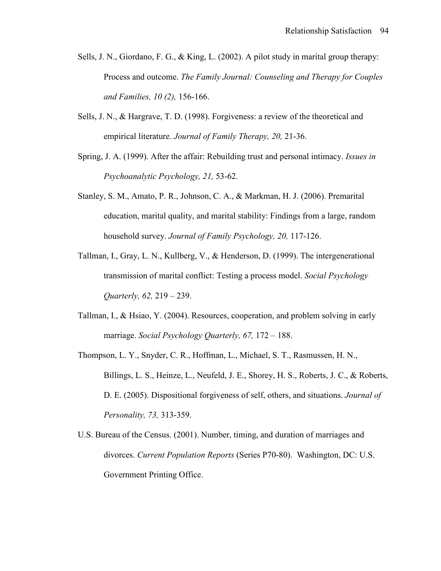- Sells, J. N., Giordano, F. G., & King, L. (2002). A pilot study in marital group therapy: Process and outcome. *The Family Journal: Counseling and Therapy for Couples and Families, 10 (2),* 156-166.
- Sells, J. N., & Hargrave, T. D. (1998). Forgiveness: a review of the theoretical and empirical literature. *Journal of Family Therapy, 20,* 21-36.
- Spring, J. A. (1999). After the affair: Rebuilding trust and personal intimacy. *Issues in Psychoanalytic Psychology, 21,* 53-62.
- Stanley, S. M., Amato, P. R., Johnson, C. A., & Markman, H. J. (2006). Premarital education, marital quality, and marital stability: Findings from a large, random household survey. *Journal of Family Psychology, 20,* 117-126.
- Tallman, I., Gray, L. N., Kullberg, V., & Henderson, D. (1999). The intergenerational transmission of marital conflict: Testing a process model. *Social Psychology Quarterly, 62,* 219 – 239.
- Tallman, I., & Hsiao, Y. (2004). Resources, cooperation, and problem solving in early marriage. *Social Psychology Quarterly, 67,* 172 – 188.
- Thompson, L. Y., Snyder, C. R., Hoffman, L., Michael, S. T., Rasmussen, H. N., Billings, L. S., Heinze, L., Neufeld, J. E., Shorey, H. S., Roberts, J. C., & Roberts, D. E. (2005). Dispositional forgiveness of self, others, and situations. *Journal of Personality, 73,* 313-359.
- U.S. Bureau of the Census. (2001). Number, timing, and duration of marriages and divorces. *Current Population Reports* (Series P70-80). Washington, DC: U.S. Government Printing Office.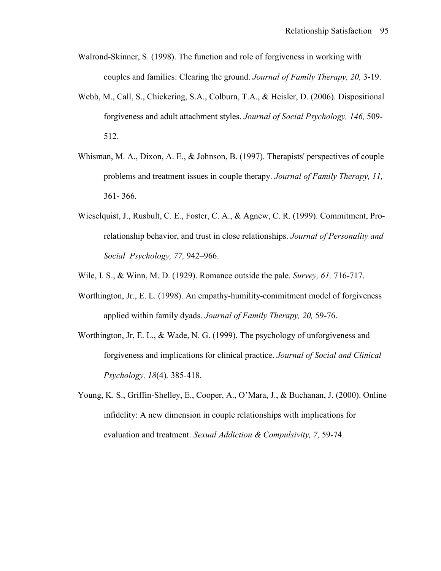- Walrond-Skinner, S. (1998). The function and role of forgiveness in working with couples and families: Clearing the ground. *Journal of Family Therapy, 20,* 3-19.
- Webb, M., Call, S., Chickering, S.A., Colburn, T.A., & Heisler, D. (2006). Dispositional forgiveness and adult attachment styles. *Journal of Social Psychology, 146,* 509- 512.
- Whisman, M. A., Dixon, A. E., & Johnson, B. (1997). Therapists' perspectives of couple problems and treatment issues in couple therapy. *Journal of Family Therapy, 11,* 361- 366.
- Wieselquist, J., Rusbult, C. E., Foster, C. A., & Agnew, C. R. (1999). Commitment, Pro relationship behavior, and trust in close relationships. *Journal of Personality and Social Psychology, 77,* 942–966.
- Wile, I. S., & Winn, M. D. (1929). Romance outside the pale. *Survey, 61,* 716-717.
- Worthington, Jr., E. L. (1998). An empathy-humility-commitment model of forgiveness applied within family dyads. *Journal of Family Therapy, 20,* 59-76.
- Worthington, Jr, E. L., & Wade, N. G. (1999). The psychology of unforgiveness and forgiveness and implications for clinical practice. *Journal of Social and Clinical Psychology, 18*(4)*,* 385-418.
- Young, K. S., Griffin-Shelley, E., Cooper, A., O'Mara, J., & Buchanan, J. (2000). Online infidelity: A new dimension in couple relationships with implications for evaluation and treatment. *Sexual Addiction & Compulsivity, 7,* 59-74.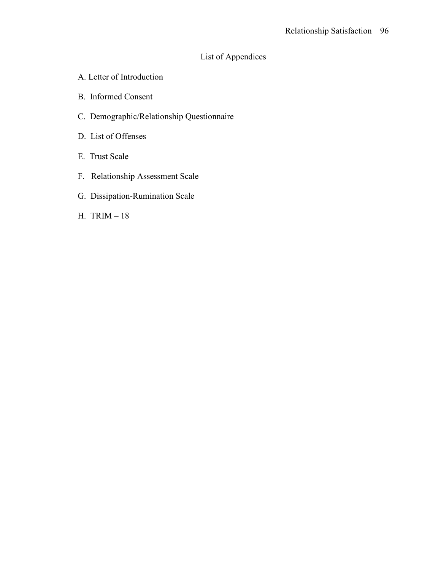# List of Appendices

- A. Letter of Introduction
- B. Informed Consent
- C. Demographic/Relationship Questionnaire
- D. List of Offenses
- E. Trust Scale
- F. Relationship Assessment Scale
- G. Dissipation-Rumination Scale
- H. TRIM 18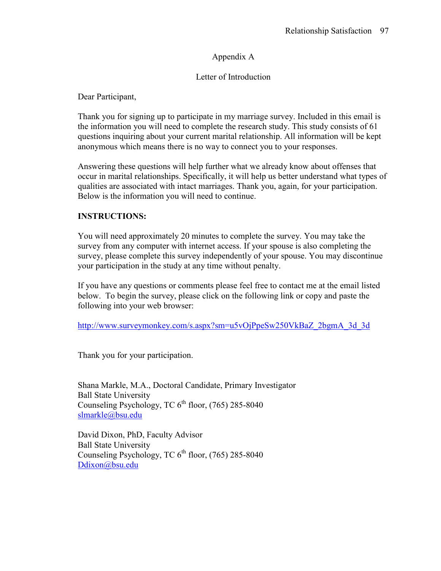# Appendix A

## Letter of Introduction

Dear Participant,

Thank you for signing up to participate in my marriage survey. Included in this email is the information you will need to complete the research study. This study consists of 61 questions inquiring about your current marital relationship. All information will be kept anonymous which means there is no way to connect you to your responses.

Answering these questions will help further what we already know about offenses that occur in marital relationships. Specifically, it will help us better understand what types of qualities are associated with intact marriages. Thank you, again, for your participation. Below is the information you will need to continue.

### **INSTRUCTIONS:**

You will need approximately 20 minutes to complete the survey. You may take the survey from any computer with internet access. If your spouse is also completing the survey, please complete this survey independently of your spouse. You may discontinue your participation in the study at any time without penalty.

If you have any questions or comments please feel free to contact me at the email listed below. To begin the survey, please click on the following link or copy and paste the following into your web browser:

http://www.surveymonkey.com/s.aspx?sm=u5vOjPpeSw250VkBaZ\_2bgmA\_3d\_3d

Thank you for your participation.

Shana Markle, M.A., Doctoral Candidate, Primary Investigator Ball State University Counseling Psychology, TC  $6<sup>th</sup>$  floor, (765) 285-8040 slmarkle@bsu.edu

David Dixon, PhD, Faculty Advisor Ball State University Counseling Psychology, TC  $6<sup>th</sup>$  floor, (765) 285-8040 Ddixon@bsu.edu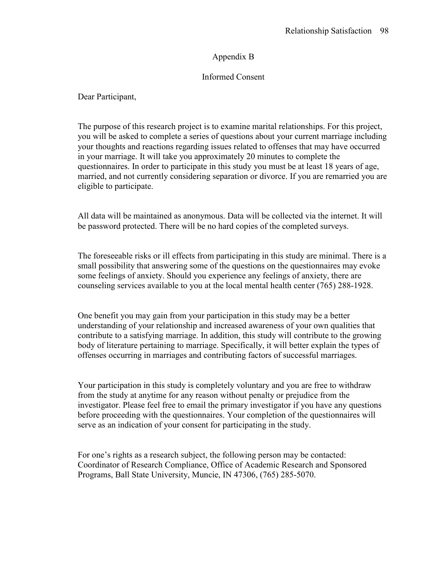### Appendix B

### Informed Consent

Dear Participant,

The purpose of this research project is to examine marital relationships. For this project, you will be asked to complete a series of questions about your current marriage including your thoughts and reactions regarding issues related to offenses that may have occurred in your marriage. It will take you approximately 20 minutes to complete the questionnaires. In order to participate in this study you must be at least 18 years of age, married, and not currently considering separation or divorce. If you are remarried you are eligible to participate.

All data will be maintained as anonymous. Data will be collected via the internet. It will be password protected. There will be no hard copies of the completed surveys.

The foreseeable risks or ill effects from participating in this study are minimal. There is a small possibility that answering some of the questions on the questionnaires may evoke some feelings of anxiety. Should you experience any feelings of anxiety, there are counseling services available to you at the local mental health center (765) 288-1928.

One benefit you may gain from your participation in this study may be a better understanding of your relationship and increased awareness of your own qualities that contribute to a satisfying marriage. In addition, this study will contribute to the growing body of literature pertaining to marriage. Specifically, it will better explain the types of offenses occurring in marriages and contributing factors of successful marriages.

Your participation in this study is completely voluntary and you are free to withdraw from the study at anytime for any reason without penalty or prejudice from the investigator. Please feel free to email the primary investigator if you have any questions before proceeding with the questionnaires. Your completion of the questionnaires will serve as an indication of your consent for participating in the study.

For one's rights as a research subject, the following person may be contacted: Coordinator of Research Compliance, Office of Academic Research and Sponsored Programs, Ball State University, Muncie, IN 47306, (765) 285-5070.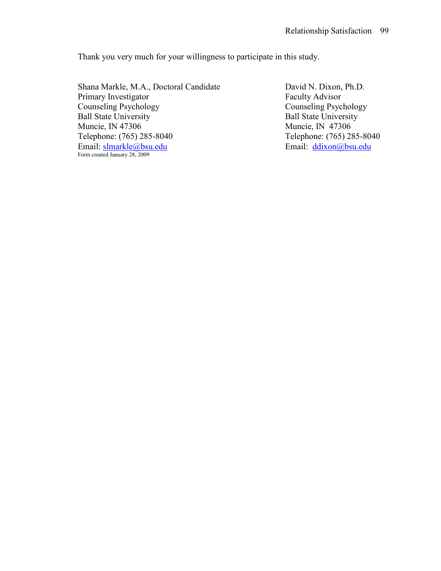Thank you very much for your willingness to participate in this study.

Shana Markle, M.A., Doctoral Candidate David N. Dixon, Ph.D.<br>Primary Investigator Faculty Advisor Primary Investigator<br>Counseling Psychology Counseling Psychology<br>
Ball State University<br>
Ball State University<br>
Ball State University Ball State University<br>
Muncie, IN 47306<br>
Muncie, IN 47306 Telephone: (765) 285-8040<br>
Email: slmarkle@bsu.edu<br>
Email: ddixon@bsu.edu<br>
Email: ddixon@bsu.edu Email: slmarkle@bsu.edu Form created January 28, 2009

Muncie, IN 47306<br>Telephone: (765) 285-8040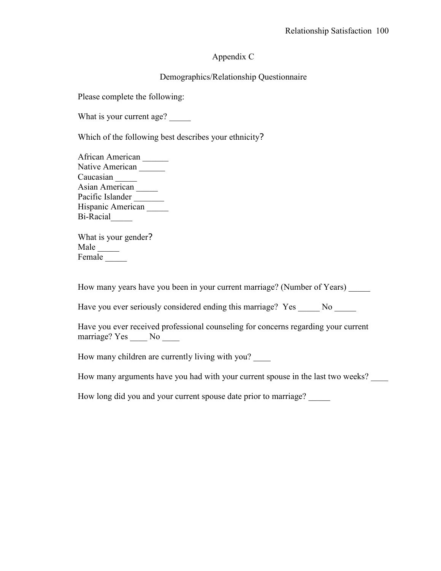### Appendix C

### Demographics/Relationship Questionnaire

Please complete the following:

What is your current age?

Which of the following best describes your ethnicity?

African American \_\_\_\_\_\_ Native American Caucasian Asian American Pacific Islander Hispanic American Bi-Racial\_\_\_\_\_

What is your gender? Male \_\_\_\_\_ Female \_\_\_\_\_

How many years have you been in your current marriage? (Number of Years)

Have you ever seriously considered ending this marriage? Yes No

Have you ever received professional counseling for concerns regarding your current marriage? Yes \_\_\_\_\_ No \_\_\_\_\_

How many children are currently living with you?

How many arguments have you had with your current spouse in the last two weeks?

How long did you and your current spouse date prior to marriage?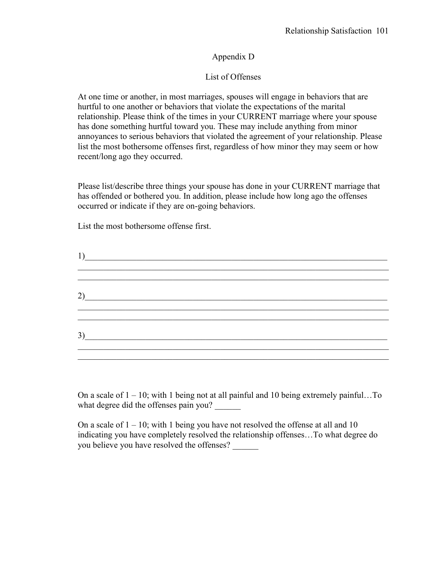### Appendix D

### List of Offenses

At one time or another, in most marriages, spouses will engage in behaviors that are hurtful to one another or behaviors that violate the expectations of the marital relationship. Please think of the times in your CURRENT marriage where your spouse has done something hurtful toward you. These may include anything from minor annoyances to serious behaviors that violated the agreement of your relationship. Please list the most bothersome offenses first, regardless of how minor they may seem or how recent/long ago they occurred.

Please list/describe three things your spouse has done in your CURRENT marriage that has offended or bothered you. In addition, please include how long ago the offenses occurred or indicate if they are on-going behaviors.

List the most bothersome offense first.

| 1)                                 |  |  |  |
|------------------------------------|--|--|--|
| 2)                                 |  |  |  |
| $3)$ and $\overline{\phantom{a}1}$ |  |  |  |

On a scale of  $1 - 10$ ; with 1 being not at all painful and 10 being extremely painful... To what degree did the offenses pain you?

On a scale of  $1 - 10$ ; with 1 being you have not resolved the offense at all and 10 indicating you have completely resolved the relationship offenses…To what degree do you believe you have resolved the offenses?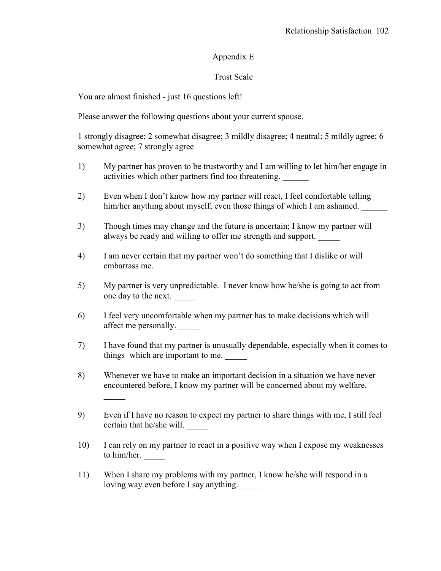# Appendix E

# Trust Scale

You are almost finished - just 16 questions left!

 $\mathcal{L}=\mathcal{L}=\mathcal{L}$ 

Please answer the following questions about your current spouse.

1 strongly disagree; 2 somewhat disagree; 3 mildly disagree; 4 neutral; 5 mildly agree; 6 somewhat agree; 7 strongly agree

- 1) My partner has proven to be trustworthy and I am willing to let him/her engage in activities which other partners find too threatening.
- 2) Even when I don't know how my partner will react, I feel comfortable telling him/her anything about myself; even those things of which I am ashamed.
- 3) Though times may change and the future is uncertain; I know my partner will always be ready and willing to offer me strength and support.
- 4) I am never certain that my partner won't do something that I dislike or will embarrass me. \_\_\_\_\_
- 5) My partner is very unpredictable. I never know how he/she is going to act from one day to the next. \_\_\_\_\_
- 6) I feel very uncomfortable when my partner has to make decisions which will affect me personally. \_\_\_\_\_
- 7) I have found that my partner is unusually dependable, especially when it comes to things which are important to me.
- 8) Whenever we have to make an important decision in a situation we have never encountered before, I know my partner will be concerned about my welfare.
- 9) Even if I have no reason to expect my partner to share things with me, I still feel certain that he/she will. \_\_\_\_\_
- 10) I can rely on my partner to react in a positive way when I expose my weaknesses to him/her.
- 11) When I share my problems with my partner, I know he/she will respond in a loving way even before I say anything.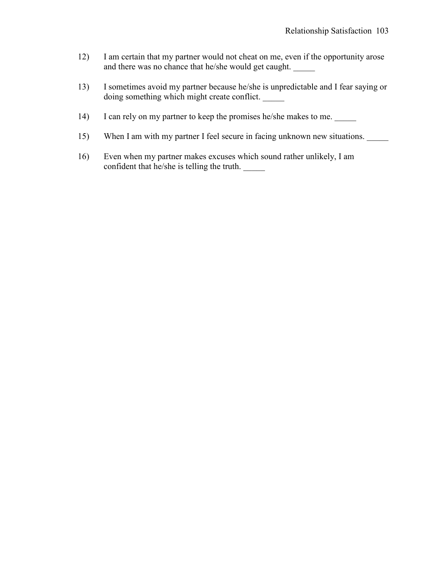- 12) I am certain that my partner would not cheat on me, even if the opportunity arose and there was no chance that he/she would get caught.
- 13) I sometimes avoid my partner because he/she is unpredictable and I fear saying or doing something which might create conflict. \_\_\_\_\_
- 14) I can rely on my partner to keep the promises he/she makes to me.
- 15) When I am with my partner I feel secure in facing unknown new situations.
- 16) Even when my partner makes excuses which sound rather unlikely, I am confident that he/she is telling the truth. \_\_\_\_\_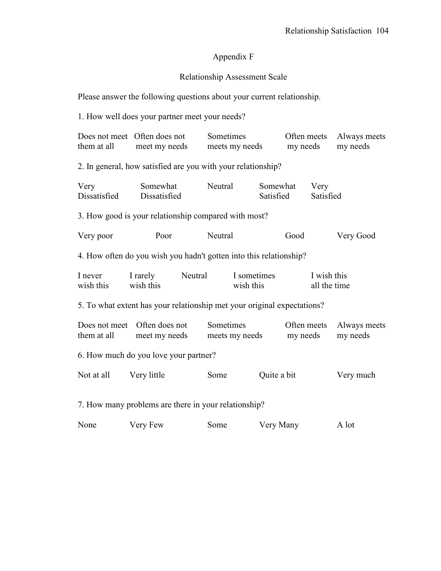# Appendix F

## Relationship Assessment Scale

Please answer the following questions about your current relationship.

1. How well does your partner meet your needs?

| them at all                                                             | Does not meet Often does not<br>meet my needs        | Sometimes<br>meets my needs |                       | Often meets<br>my needs |                             | Always meets<br>my needs |  |  |
|-------------------------------------------------------------------------|------------------------------------------------------|-----------------------------|-----------------------|-------------------------|-----------------------------|--------------------------|--|--|
| 2. In general, how satisfied are you with your relationship?            |                                                      |                             |                       |                         |                             |                          |  |  |
| Very<br>Dissatisfied                                                    | Somewhat<br>Dissatisfied                             | Neutral                     | Somewhat<br>Satisfied |                         | Very<br>Satisfied           |                          |  |  |
|                                                                         | 3. How good is your relationship compared with most? |                             |                       |                         |                             |                          |  |  |
| Very poor                                                               | Poor                                                 | Neutral                     |                       | Good                    |                             | Very Good                |  |  |
| 4. How often do you wish you hadn't gotten into this relationship?      |                                                      |                             |                       |                         |                             |                          |  |  |
| I never<br>wish this                                                    | Neutral<br>I rarely<br>wish this                     | I sometimes<br>wish this    |                       |                         | I wish this<br>all the time |                          |  |  |
| 5. To what extent has your relationship met your original expectations? |                                                      |                             |                       |                         |                             |                          |  |  |
| Does not meet<br>them at all                                            | Often does not<br>meet my needs                      | Sometimes<br>meets my needs |                       | Often meets<br>my needs |                             | Always meets<br>my needs |  |  |
| 6. How much do you love your partner?                                   |                                                      |                             |                       |                         |                             |                          |  |  |
| Not at all                                                              | Very little                                          | Some                        | Quite a bit           |                         |                             | Very much                |  |  |
| 7. How many problems are there in your relationship?                    |                                                      |                             |                       |                         |                             |                          |  |  |
| None                                                                    | Very Few                                             | Some                        | Very Many             |                         |                             | A lot                    |  |  |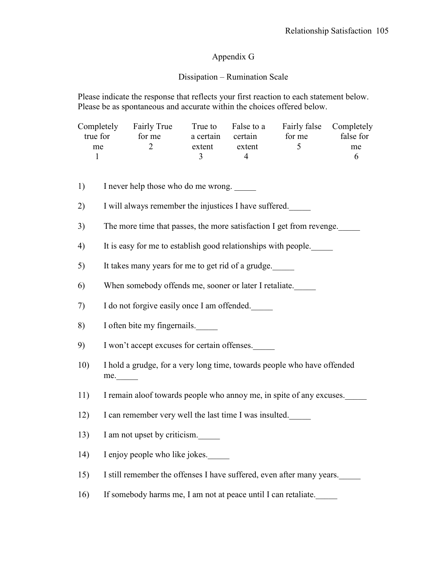### Appendix G

### Dissipation – Rumination Scale

Please indicate the response that reflects your first reaction to each statement below. Please be as spontaneous and accurate within the choices offered below.

|          | Completely Fairly True |           | True to False to a | Fairly false Completely |           |
|----------|------------------------|-----------|--------------------|-------------------------|-----------|
| true for | for me                 | a certain | certain            | for me                  | false for |
| me       |                        | extent    | extent             |                         | me        |
|          |                        |           |                    |                         | h         |
|          |                        |           |                    |                         |           |
|          |                        |           |                    |                         |           |

1) I never help those who do me wrong.

2) I will always remember the injustices I have suffered.

- 3) The more time that passes, the more satisfaction I get from revenge.
- 4) It is easy for me to establish good relationships with people.\_\_\_\_\_
- 5) It takes many years for me to get rid of a grudge.

6) When somebody offends me, sooner or later I retaliate.

7) I do not forgive easily once I am offended.\_\_\_\_\_

- 8) I often bite my fingernails.
- 9) I won't accept excuses for certain offenses.\_\_\_\_\_
- 10) I hold a grudge, for a very long time, towards people who have offended me.\_\_\_\_\_
- 11) I remain aloof towards people who annoy me, in spite of any excuses.
- 12) I can remember very well the last time I was insulted.\_\_\_\_\_
- 13) I am not upset by criticism.
- 14) I enjoy people who like jokes.
- 15) I still remember the offenses I have suffered, even after many years.
- 16) If somebody harms me, I am not at peace until I can retaliate.\_\_\_\_\_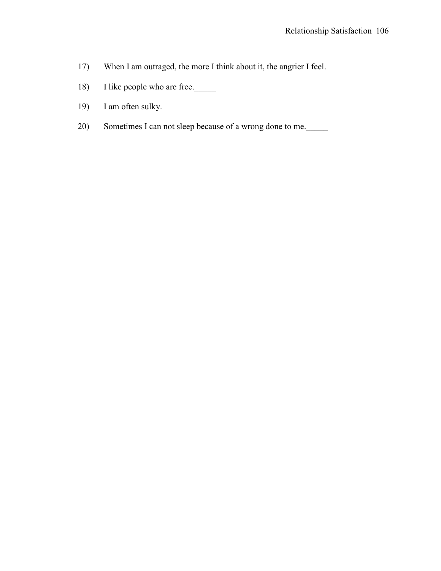- 17) When I am outraged, the more I think about it, the angrier I feel.
- 18) I like people who are free.
- 19) I am often sulky.
- 20) Sometimes I can not sleep because of a wrong done to me.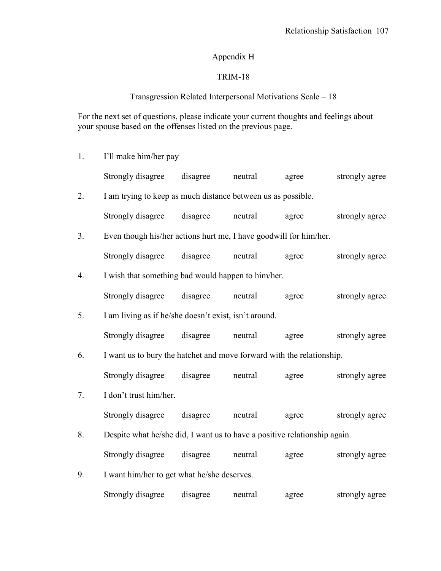# Appendix H

# TRIM-18

# Transgression Related Interpersonal Motivations Scale – 18

For the next set of questions, please indicate your current thoughts and feelings about your spouse based on the offenses listed on the previous page.

1. I'll make him/her pay

|    | Strongly disagree                                                         | disagree | neutral | agree | strongly agree |  |  |
|----|---------------------------------------------------------------------------|----------|---------|-------|----------------|--|--|
| 2. | I am trying to keep as much distance between us as possible.              |          |         |       |                |  |  |
|    | Strongly disagree                                                         | disagree | neutral | agree | strongly agree |  |  |
| 3. | Even though his/her actions hurt me, I have goodwill for him/her.         |          |         |       |                |  |  |
|    | Strongly disagree                                                         | disagree | neutral | agree | strongly agree |  |  |
| 4. | I wish that something bad would happen to him/her.                        |          |         |       |                |  |  |
|    | Strongly disagree                                                         | disagree | neutral | agree | strongly agree |  |  |
| 5. | I am living as if he/she doesn't exist, isn't around.                     |          |         |       |                |  |  |
|    | Strongly disagree                                                         | disagree | neutral | agree | strongly agree |  |  |
| 6. | I want us to bury the hatchet and move forward with the relationship.     |          |         |       |                |  |  |
|    | Strongly disagree                                                         | disagree | neutral | agree | strongly agree |  |  |
| 7. | I don't trust him/her.                                                    |          |         |       |                |  |  |
|    | Strongly disagree                                                         | disagree | neutral | agree | strongly agree |  |  |
| 8. | Despite what he/she did, I want us to have a positive relationship again. |          |         |       |                |  |  |
|    | Strongly disagree                                                         | disagree | neutral | agree | strongly agree |  |  |
| 9. | I want him/her to get what he/she deserves.                               |          |         |       |                |  |  |
|    | Strongly disagree                                                         | disagree | neutral | agree | strongly agree |  |  |